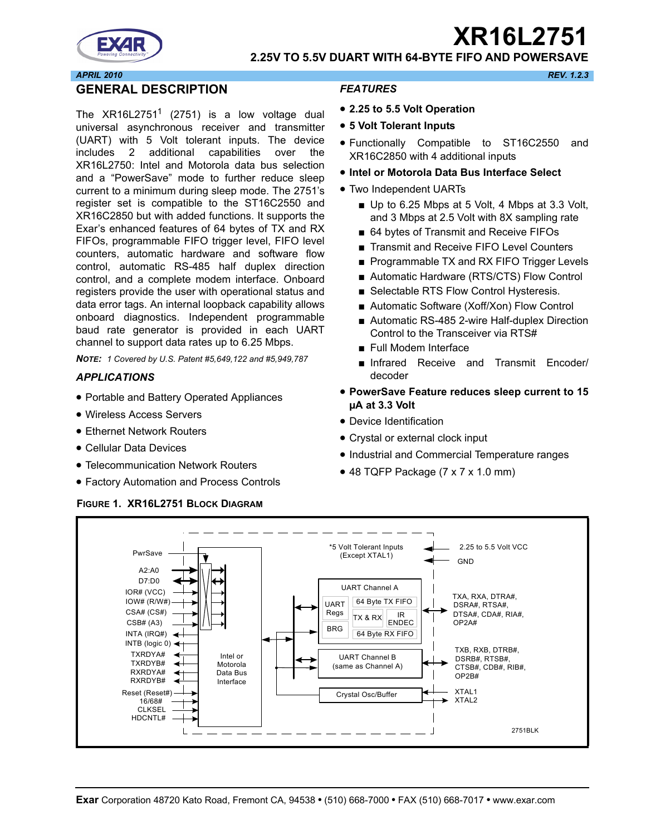# **XR16L2751**



# **2.25V TO 5.5V DUART WITH 64-BYTE FIFO AND POWERSAVE**

#### *APRIL 2010 REV. 1.2.3*

# **GENERAL DESCRIPTION**

The  $XR16L2751<sup>1</sup>$  (2751) is a low voltage dual universal asynchronous receiver and transmitter (UART) with 5 Volt tolerant inputs. The device includes 2 additional capabilities over the XR16L2750: Intel and Motorola data bus selection and a "PowerSave" mode to further reduce sleep current to a minimum during sleep mode. The 2751's register set is compatible to the ST16C2550 and XR16C2850 but with added functions. It supports the Exar's enhanced features of 64 bytes of TX and RX FIFOs, programmable FIFO trigger level, FIFO level counters, automatic hardware and software flow control, automatic RS-485 half duplex direction control, and a complete modem interface. Onboard registers provide the user with operational status and data error tags. An internal loopback capability allows onboard diagnostics. Independent programmable baud rate generator is provided in each UART channel to support data rates up to 6.25 Mbps.

*NOTE: 1 Covered by U.S. Patent #5,649,122 and #5,949,787*

#### *APPLICATIONS*

- Portable and Battery Operated Appliances
- Wireless Access Servers
- Ethernet Network Routers
- Cellular Data Devices
- Telecommunication Network Routers
- Factory Automation and Process Controls

#### **FIGURE 1. XR16L2751 BLOCK DIAGRAM**

#### *FEATURES*

- **2.25 to 5.5 Volt Operation**
- **5 Volt Tolerant Inputs**
- Functionally Compatible to ST16C2550 and XR16C2850 with 4 additional inputs
- **Intel or Motorola Data Bus Interface Select**
- Two Independent UARTs
	- Up to 6.25 Mbps at 5 Volt, 4 Mbps at 3.3 Volt, and 3 Mbps at 2.5 Volt with 8X sampling rate
	- 64 bytes of Transmit and Receive FIFOs
	- Transmit and Receive FIFO Level Counters
	- Programmable TX and RX FIFO Trigger Levels
	- Automatic Hardware (RTS/CTS) Flow Control
	- Selectable RTS Flow Control Hysteresis.
	- Automatic Software (Xoff/Xon) Flow Control
	- Automatic RS-485 2-wire Half-duplex Direction Control to the Transceiver via RTS#
	- Full Modem Interface
	- Infrared Receive and Transmit Encoder/ decoder
- **PowerSave Feature reduces sleep current to 15 µA at 3.3 Volt**
- Device Identification
- Crystal or external clock input
- Industrial and Commercial Temperature ranges
- 48 TQFP Package (7 x 7 x 1.0 mm)

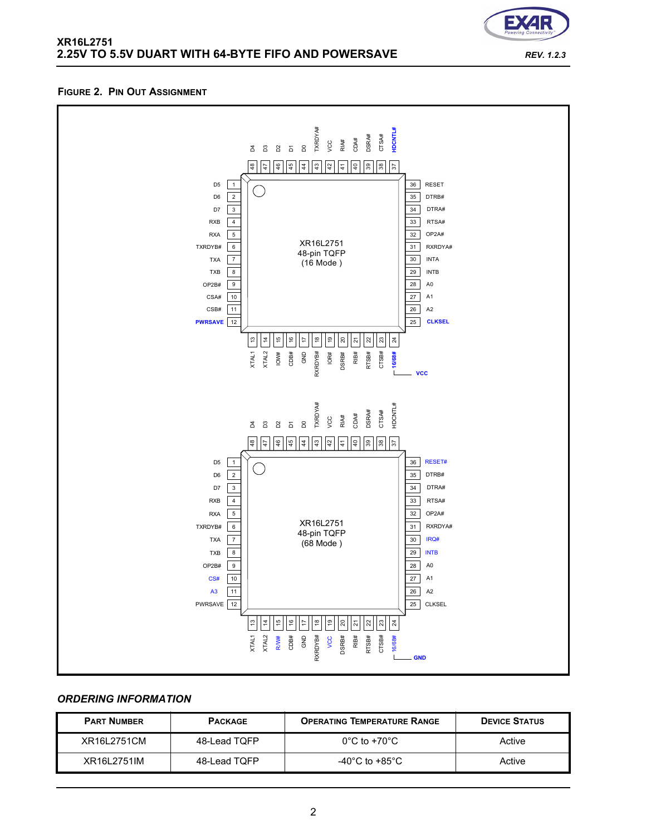

**FIGURE 2. PIN OUT ASSIGNMENT**

# *ORDERING INFORMATION*

| <b>PART NUMBER</b> | <b>PACKAGE</b> | <b>OPERATING TEMPERATURE RANGE</b>   | <b>DEVICE STATUS</b> |
|--------------------|----------------|--------------------------------------|----------------------|
| XR16L2751CM        | 48-Lead TQFP   | $0^{\circ}$ C to +70 $^{\circ}$ C    | Active               |
| XR16L2751IM        | 48-Lead TQFP   | -40 $^{\circ}$ C to +85 $^{\circ}$ C | Active               |

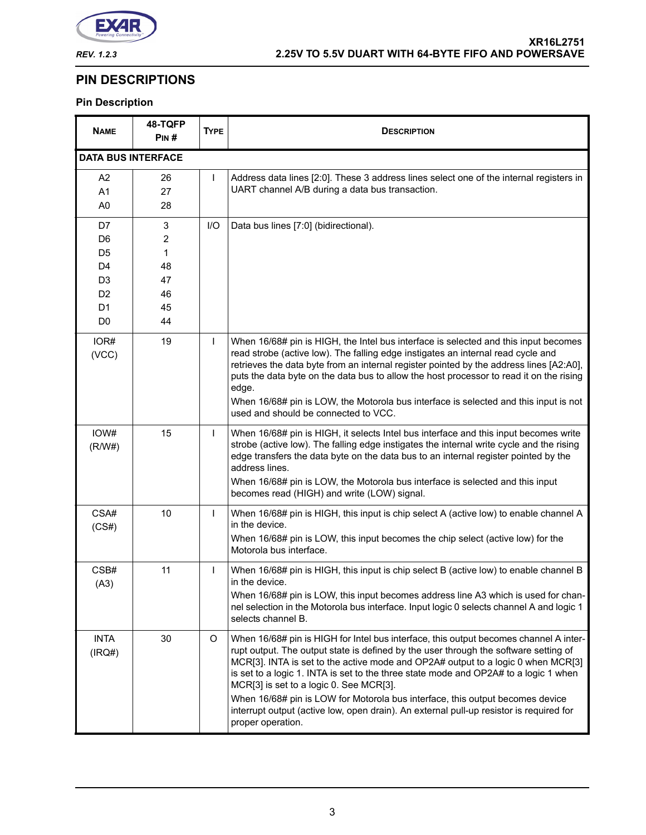

# **PIN DESCRIPTIONS**

# **Pin Description**

| <b>NAME</b>                                                                                                                      | 48-TQFP<br>PIN#                                        | <b>TYPE</b>  | <b>DESCRIPTION</b>                                                                                                                                                                                                                                                                                                                                                                                                                                                                                                                                                                                    |  |
|----------------------------------------------------------------------------------------------------------------------------------|--------------------------------------------------------|--------------|-------------------------------------------------------------------------------------------------------------------------------------------------------------------------------------------------------------------------------------------------------------------------------------------------------------------------------------------------------------------------------------------------------------------------------------------------------------------------------------------------------------------------------------------------------------------------------------------------------|--|
| <b>DATA BUS INTERFACE</b>                                                                                                        |                                                        |              |                                                                                                                                                                                                                                                                                                                                                                                                                                                                                                                                                                                                       |  |
| A <sub>2</sub><br>A <sub>1</sub><br>A <sub>0</sub>                                                                               | 26<br>27<br>28                                         | $\mathbf{I}$ | Address data lines [2:0]. These 3 address lines select one of the internal registers in<br>UART channel A/B during a data bus transaction.                                                                                                                                                                                                                                                                                                                                                                                                                                                            |  |
| D7<br>D <sub>6</sub><br>D <sub>5</sub><br>D <sub>4</sub><br>D <sub>3</sub><br>D <sub>2</sub><br>D <sub>1</sub><br>D <sub>0</sub> | 3<br>$\overline{c}$<br>1<br>48<br>47<br>46<br>45<br>44 | I/O          | Data bus lines [7:0] (bidirectional).                                                                                                                                                                                                                                                                                                                                                                                                                                                                                                                                                                 |  |
| IOR#<br>(VCC)                                                                                                                    | 19                                                     | T            | When 16/68# pin is HIGH, the Intel bus interface is selected and this input becomes<br>read strobe (active low). The falling edge instigates an internal read cycle and<br>retrieves the data byte from an internal register pointed by the address lines [A2:A0],<br>puts the data byte on the data bus to allow the host processor to read it on the rising<br>edge.<br>When 16/68# pin is LOW, the Motorola bus interface is selected and this input is not<br>used and should be connected to VCC.                                                                                                |  |
| IOW#<br>(R/W#)                                                                                                                   | 15                                                     | T            | When 16/68# pin is HIGH, it selects Intel bus interface and this input becomes write<br>strobe (active low). The falling edge instigates the internal write cycle and the rising<br>edge transfers the data byte on the data bus to an internal register pointed by the<br>address lines.<br>When 16/68# pin is LOW, the Motorola bus interface is selected and this input<br>becomes read (HIGH) and write (LOW) signal.                                                                                                                                                                             |  |
| CSA#<br>(CS#)                                                                                                                    | 10                                                     | $\mathbf{I}$ | When 16/68# pin is HIGH, this input is chip select A (active low) to enable channel A<br>in the device.<br>When 16/68# pin is LOW, this input becomes the chip select (active low) for the<br>Motorola bus interface.                                                                                                                                                                                                                                                                                                                                                                                 |  |
| CSB#<br>(A3)                                                                                                                     | 11                                                     | T            | When 16/68# pin is HIGH, this input is chip select B (active low) to enable channel B<br>in the device.<br>When 16/68# pin is LOW, this input becomes address line A3 which is used for chan-<br>nel selection in the Motorola bus interface. Input logic 0 selects channel A and logic 1<br>selects channel B.                                                                                                                                                                                                                                                                                       |  |
| <b>INTA</b><br>(IRQ#)                                                                                                            | 30                                                     | O            | When 16/68# pin is HIGH for Intel bus interface, this output becomes channel A inter-<br>rupt output. The output state is defined by the user through the software setting of<br>MCR[3]. INTA is set to the active mode and OP2A# output to a logic 0 when MCR[3]<br>is set to a logic 1. INTA is set to the three state mode and OP2A# to a logic 1 when<br>MCR[3] is set to a logic 0. See MCR[3].<br>When 16/68# pin is LOW for Motorola bus interface, this output becomes device<br>interrupt output (active low, open drain). An external pull-up resistor is required for<br>proper operation. |  |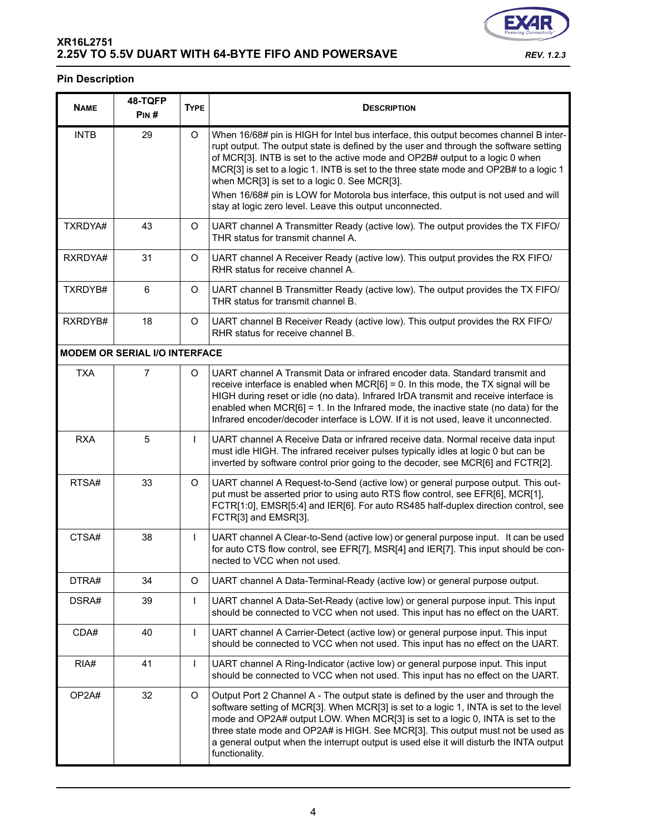| <b>NAME</b> | 48-TQFP<br>PIN# | <b>TYPE</b> |    |
|-------------|-----------------|-------------|----|
| <b>INTB</b> | 29              |             | V  |
|             |                 |             | rı |

**Pin Description**

| <b>INTB</b> | 29                                   | O            | When 16/68# pin is HIGH for Intel bus interface, this output becomes channel B inter-<br>rupt output. The output state is defined by the user and through the software setting<br>of MCR[3]. INTB is set to the active mode and OP2B# output to a logic 0 when<br>MCR[3] is set to a logic 1. INTB is set to the three state mode and OP2B# to a logic 1<br>when MCR[3] is set to a logic 0. See MCR[3].<br>When 16/68# pin is LOW for Motorola bus interface, this output is not used and will<br>stay at logic zero level. Leave this output unconnected. |  |
|-------------|--------------------------------------|--------------|-------------------------------------------------------------------------------------------------------------------------------------------------------------------------------------------------------------------------------------------------------------------------------------------------------------------------------------------------------------------------------------------------------------------------------------------------------------------------------------------------------------------------------------------------------------|--|
| TXRDYA#     | 43                                   | O            | UART channel A Transmitter Ready (active low). The output provides the TX FIFO/<br>THR status for transmit channel A.                                                                                                                                                                                                                                                                                                                                                                                                                                       |  |
| RXRDYA#     | 31                                   | O            | UART channel A Receiver Ready (active low). This output provides the RX FIFO/<br>RHR status for receive channel A.                                                                                                                                                                                                                                                                                                                                                                                                                                          |  |
| TXRDYB#     | 6                                    | O            | UART channel B Transmitter Ready (active low). The output provides the TX FIFO/<br>THR status for transmit channel B.                                                                                                                                                                                                                                                                                                                                                                                                                                       |  |
| RXRDYB#     | 18                                   | O            | UART channel B Receiver Ready (active low). This output provides the RX FIFO/<br>RHR status for receive channel B.                                                                                                                                                                                                                                                                                                                                                                                                                                          |  |
|             | <b>MODEM OR SERIAL I/O INTERFACE</b> |              |                                                                                                                                                                                                                                                                                                                                                                                                                                                                                                                                                             |  |
| <b>TXA</b>  | $\overline{7}$                       | O            | UART channel A Transmit Data or infrared encoder data. Standard transmit and<br>receive interface is enabled when $MCR[6] = 0$ . In this mode, the TX signal will be<br>HIGH during reset or idle (no data). Infrared IrDA transmit and receive interface is<br>enabled when $MCR[6] = 1$ . In the Infrared mode, the inactive state (no data) for the<br>Infrared encoder/decoder interface is LOW. If it is not used, leave it unconnected.                                                                                                               |  |
| <b>RXA</b>  | 5                                    | $\mathbf{I}$ | UART channel A Receive Data or infrared receive data. Normal receive data input<br>must idle HIGH. The infrared receiver pulses typically idles at logic 0 but can be<br>inverted by software control prior going to the decoder, see MCR[6] and FCTR[2].                                                                                                                                                                                                                                                                                                   |  |
| RTSA#       | 33                                   | O            | UART channel A Request-to-Send (active low) or general purpose output. This out-<br>put must be asserted prior to using auto RTS flow control, see EFR[6], MCR[1],<br>FCTR[1:0], EMSR[5:4] and IER[6]. For auto RS485 half-duplex direction control, see<br>FCTR[3] and EMSR[3].                                                                                                                                                                                                                                                                            |  |
| CTSA#       | 38                                   | $\mathsf{I}$ | UART channel A Clear-to-Send (active low) or general purpose input. It can be used<br>for auto CTS flow control, see EFR[7], MSR[4] and IER[7]. This input should be con-<br>nected to VCC when not used.                                                                                                                                                                                                                                                                                                                                                   |  |
| DTRA#       | 34                                   | O            | UART channel A Data-Terminal-Ready (active low) or general purpose output.                                                                                                                                                                                                                                                                                                                                                                                                                                                                                  |  |
| DSRA#       | 39                                   |              | UART channel A Data-Set-Ready (active low) or general purpose input. This input<br>should be connected to VCC when not used. This input has no effect on the UART.                                                                                                                                                                                                                                                                                                                                                                                          |  |
| CDA#        | 40                                   | L            | UART channel A Carrier-Detect (active low) or general purpose input. This input<br>should be connected to VCC when not used. This input has no effect on the UART.                                                                                                                                                                                                                                                                                                                                                                                          |  |
| RIA#        | 41                                   | L            | UART channel A Ring-Indicator (active low) or general purpose input. This input<br>should be connected to VCC when not used. This input has no effect on the UART.                                                                                                                                                                                                                                                                                                                                                                                          |  |
| OP2A#       | 32                                   | O            | Output Port 2 Channel A - The output state is defined by the user and through the<br>software setting of MCR[3]. When MCR[3] is set to a logic 1, INTA is set to the level<br>mode and OP2A# output LOW. When MCR[3] is set to a logic 0, INTA is set to the<br>three state mode and OP2A# is HIGH. See MCR[3]. This output must not be used as<br>a general output when the interrupt output is used else it will disturb the INTA output<br>functionality.                                                                                                |  |

**DESCRIPTION** 

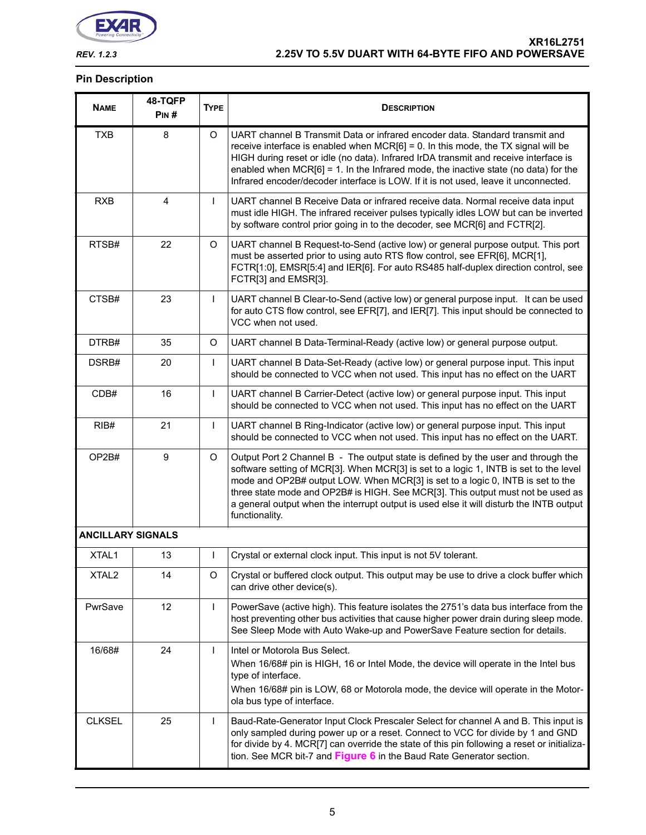

### **Pin Description**

| <b>NAME</b>              | 48-TQFP<br>PIN#         | <b>TYPE</b>  | <b>DESCRIPTION</b>                                                                                                                                                                                                                                                                                                                                                                                                                                           |  |
|--------------------------|-------------------------|--------------|--------------------------------------------------------------------------------------------------------------------------------------------------------------------------------------------------------------------------------------------------------------------------------------------------------------------------------------------------------------------------------------------------------------------------------------------------------------|--|
| <b>TXB</b>               | 8                       | O            | UART channel B Transmit Data or infrared encoder data. Standard transmit and<br>receive interface is enabled when $MCR[6] = 0$ . In this mode, the TX signal will be<br>HIGH during reset or idle (no data). Infrared IrDA transmit and receive interface is<br>enabled when $MCR[6] = 1$ . In the Infrared mode, the inactive state (no data) for the<br>Infrared encoder/decoder interface is LOW. If it is not used, leave it unconnected.                |  |
| <b>RXB</b>               | $\overline{\mathbf{4}}$ | L            | UART channel B Receive Data or infrared receive data. Normal receive data input<br>must idle HIGH. The infrared receiver pulses typically idles LOW but can be inverted<br>by software control prior going in to the decoder, see MCR[6] and FCTR[2].                                                                                                                                                                                                        |  |
| RTSB#                    | 22                      | O            | UART channel B Request-to-Send (active low) or general purpose output. This port<br>must be asserted prior to using auto RTS flow control, see EFR[6], MCR[1],<br>FCTR[1:0], EMSR[5:4] and IER[6]. For auto RS485 half-duplex direction control, see<br>FCTR[3] and EMSR[3].                                                                                                                                                                                 |  |
| CTSB#                    | 23                      | L            | UART channel B Clear-to-Send (active low) or general purpose input. It can be used<br>for auto CTS flow control, see EFR[7], and IER[7]. This input should be connected to<br>VCC when not used.                                                                                                                                                                                                                                                             |  |
| DTRB#                    | 35                      | O            | UART channel B Data-Terminal-Ready (active low) or general purpose output.                                                                                                                                                                                                                                                                                                                                                                                   |  |
| DSRB#                    | 20                      | L            | UART channel B Data-Set-Ready (active low) or general purpose input. This input<br>should be connected to VCC when not used. This input has no effect on the UART                                                                                                                                                                                                                                                                                            |  |
| CDB#                     | 16                      | $\mathsf{L}$ | UART channel B Carrier-Detect (active low) or general purpose input. This input<br>should be connected to VCC when not used. This input has no effect on the UART                                                                                                                                                                                                                                                                                            |  |
| RIB#                     | 21                      | L            | UART channel B Ring-Indicator (active low) or general purpose input. This input<br>should be connected to VCC when not used. This input has no effect on the UART.                                                                                                                                                                                                                                                                                           |  |
| OP2B#                    | $\boldsymbol{9}$        | O            | Output Port 2 Channel B - The output state is defined by the user and through the<br>software setting of MCR[3]. When MCR[3] is set to a logic 1, INTB is set to the level<br>mode and OP2B# output LOW. When MCR[3] is set to a logic 0, INTB is set to the<br>three state mode and OP2B# is HIGH. See MCR[3]. This output must not be used as<br>a general output when the interrupt output is used else it will disturb the INTB output<br>functionality. |  |
| <b>ANCILLARY SIGNALS</b> |                         |              |                                                                                                                                                                                                                                                                                                                                                                                                                                                              |  |
| XTAL1                    | 13                      | $\mathsf{I}$ | Crystal or external clock input. This input is not 5V tolerant.                                                                                                                                                                                                                                                                                                                                                                                              |  |
| XTAL <sub>2</sub>        | 14                      | O            | Crystal or buffered clock output. This output may be use to drive a clock buffer which<br>can drive other device(s).                                                                                                                                                                                                                                                                                                                                         |  |
| PwrSave                  | 12                      | $\mathsf{I}$ | PowerSave (active high). This feature isolates the 2751's data bus interface from the<br>host preventing other bus activities that cause higher power drain during sleep mode.<br>See Sleep Mode with Auto Wake-up and PowerSave Feature section for details.                                                                                                                                                                                                |  |
| 16/68#                   | 24                      | $\mathsf{I}$ | Intel or Motorola Bus Select.<br>When 16/68# pin is HIGH, 16 or Intel Mode, the device will operate in the Intel bus<br>type of interface.<br>When 16/68# pin is LOW, 68 or Motorola mode, the device will operate in the Motor-<br>ola bus type of interface.                                                                                                                                                                                               |  |
| <b>CLKSEL</b>            | 25                      | L            | Baud-Rate-Generator Input Clock Prescaler Select for channel A and B. This input is<br>only sampled during power up or a reset. Connect to VCC for divide by 1 and GND<br>for divide by 4. MCR[7] can override the state of this pin following a reset or initializa-<br>tion. See MCR bit-7 and Figure 6 in the Baud Rate Generator section.                                                                                                                |  |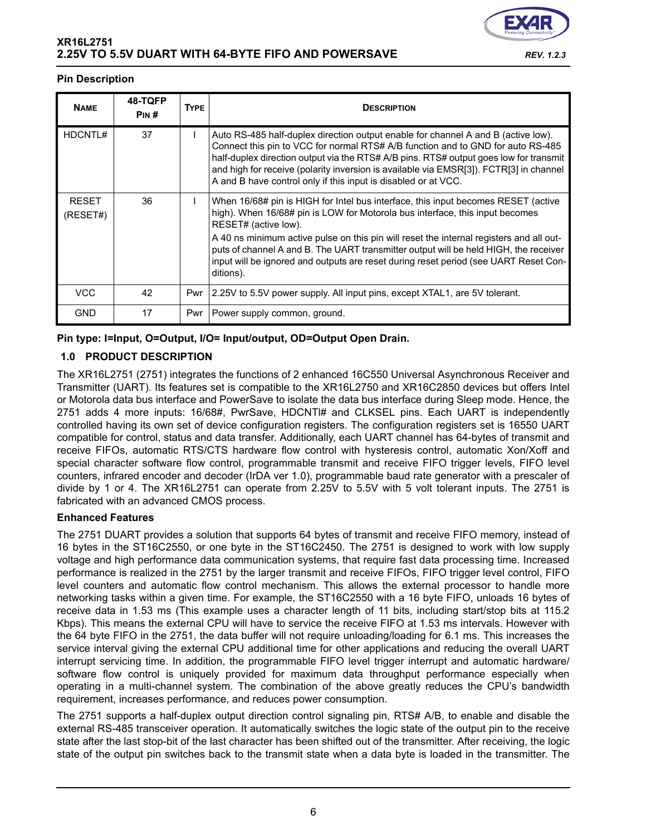

### **Pin Description**

| <b>NAME</b>              | 48-TQFP<br>PIN# | <b>TYPE</b> | <b>DESCRIPTION</b>                                                                                                                                                                                                                                                                                                                                                                                                        |
|--------------------------|-----------------|-------------|---------------------------------------------------------------------------------------------------------------------------------------------------------------------------------------------------------------------------------------------------------------------------------------------------------------------------------------------------------------------------------------------------------------------------|
| HDCNTL#                  | 37              |             | Auto RS-485 half-duplex direction output enable for channel A and B (active low).<br>Connect this pin to VCC for normal RTS# A/B function and to GND for auto RS-485<br>half-duplex direction output via the RTS# A/B pins. RTS# output goes low for transmit<br>and high for receive (polarity inversion is available via EMSR[3]). FCTR[3] in channel<br>A and B have control only if this input is disabled or at VCC. |
| <b>RESET</b><br>(RESET#) | 36              |             | When 16/68# pin is HIGH for Intel bus interface, this input becomes RESET (active<br>high). When 16/68# pin is LOW for Motorola bus interface, this input becomes<br>RESET# (active low).                                                                                                                                                                                                                                 |
|                          |                 |             | A 40 ns minimum active pulse on this pin will reset the internal registers and all out-<br>puts of channel A and B. The UART transmitter output will be held HIGH, the receiver<br>input will be ignored and outputs are reset during reset period (see UART Reset Con-<br>ditions).                                                                                                                                      |
| <b>VCC</b>               | 42              | Pwr         | 2.25V to 5.5V power supply. All input pins, except XTAL1, are 5V tolerant.                                                                                                                                                                                                                                                                                                                                                |
| <b>GND</b>               | 17              | Pwr         | Power supply common, ground.                                                                                                                                                                                                                                                                                                                                                                                              |

# **Pin type: I=Input, O=Output, I/O= Input/output, OD=Output Open Drain.**

# **1.0 PRODUCT DESCRIPTION**

The XR16L2751 (2751) integrates the functions of 2 enhanced 16C550 Universal Asynchronous Receiver and Transmitter (UART). Its features set is compatible to the XR16L2750 and XR16C2850 devices but offers Intel or Motorola data bus interface and PowerSave to isolate the data bus interface during Sleep mode. Hence, the 2751 adds 4 more inputs: 16/68#, PwrSave, HDCNTl# and CLKSEL pins. Each UART is independently controlled having its own set of device configuration registers. The configuration registers set is 16550 UART compatible for control, status and data transfer. Additionally, each UART channel has 64-bytes of transmit and receive FIFOs, automatic RTS/CTS hardware flow control with hysteresis control, automatic Xon/Xoff and special character software flow control, programmable transmit and receive FIFO trigger levels, FIFO level counters, infrared encoder and decoder (IrDA ver 1.0), programmable baud rate generator with a prescaler of divide by 1 or 4. The XR16L2751 can operate from 2.25V to 5.5V with 5 volt tolerant inputs. The 2751 is fabricated with an advanced CMOS process.

# **Enhanced Features**

The 2751 DUART provides a solution that supports 64 bytes of transmit and receive FIFO memory, instead of 16 bytes in the ST16C2550, or one byte in the ST16C2450. The 2751 is designed to work with low supply voltage and high performance data communication systems, that require fast data processing time. Increased performance is realized in the 2751 by the larger transmit and receive FIFOs, FIFO trigger level control, FIFO level counters and automatic flow control mechanism. This allows the external processor to handle more networking tasks within a given time. For example, the ST16C2550 with a 16 byte FIFO, unloads 16 bytes of receive data in 1.53 ms (This example uses a character length of 11 bits, including start/stop bits at 115.2 Kbps). This means the external CPU will have to service the receive FIFO at 1.53 ms intervals. However with the 64 byte FIFO in the 2751, the data buffer will not require unloading/loading for 6.1 ms. This increases the service interval giving the external CPU additional time for other applications and reducing the overall UART interrupt servicing time. In addition, the programmable FIFO level trigger interrupt and automatic hardware/ software flow control is uniquely provided for maximum data throughput performance especially when operating in a multi-channel system. The combination of the above greatly reduces the CPU's bandwidth requirement, increases performance, and reduces power consumption.

The 2751 supports a half-duplex output direction control signaling pin, RTS# A/B, to enable and disable the external RS-485 transceiver operation. It automatically switches the logic state of the output pin to the receive state after the last stop-bit of the last character has been shifted out of the transmitter. After receiving, the logic state of the output pin switches back to the transmit state when a data byte is loaded in the transmitter. The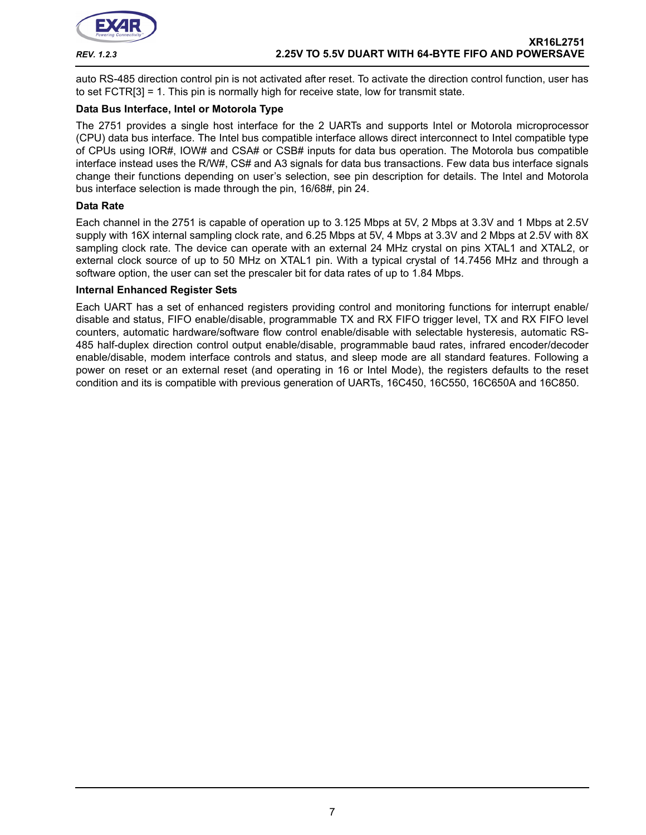

auto RS-485 direction control pin is not activated after reset. To activate the direction control function, user has to set FCTR[3] = 1. This pin is normally high for receive state, low for transmit state.

# **Data Bus Interface, Intel or Motorola Type**

The 2751 provides a single host interface for the 2 UARTs and supports Intel or Motorola microprocessor (CPU) data bus interface. The Intel bus compatible interface allows direct interconnect to Intel compatible type of CPUs using IOR#, IOW# and CSA# or CSB# inputs for data bus operation. The Motorola bus compatible interface instead uses the R/W#, CS# and A3 signals for data bus transactions. Few data bus interface signals change their functions depending on user's selection, see pin description for details. The Intel and Motorola bus interface selection is made through the pin, 16/68#, pin 24.

#### **Data Rate**

Each channel in the 2751 is capable of operation up to 3.125 Mbps at 5V, 2 Mbps at 3.3V and 1 Mbps at 2.5V supply with 16X internal sampling clock rate, and 6.25 Mbps at 5V, 4 Mbps at 3.3V and 2 Mbps at 2.5V with 8X sampling clock rate. The device can operate with an external 24 MHz crystal on pins XTAL1 and XTAL2, or external clock source of up to 50 MHz on XTAL1 pin. With a typical crystal of 14.7456 MHz and through a software option, the user can set the prescaler bit for data rates of up to 1.84 Mbps.

#### **Internal Enhanced Register Sets**

Each UART has a set of enhanced registers providing control and monitoring functions for interrupt enable/ disable and status, FIFO enable/disable, programmable TX and RX FIFO trigger level, TX and RX FIFO level counters, automatic hardware/software flow control enable/disable with selectable hysteresis, automatic RS-485 half-duplex direction control output enable/disable, programmable baud rates, infrared encoder/decoder enable/disable, modem interface controls and status, and sleep mode are all standard features. Following a power on reset or an external reset (and operating in 16 or Intel Mode), the registers defaults to the reset condition and its is compatible with previous generation of UARTs, 16C450, 16C550, 16C650A and 16C850.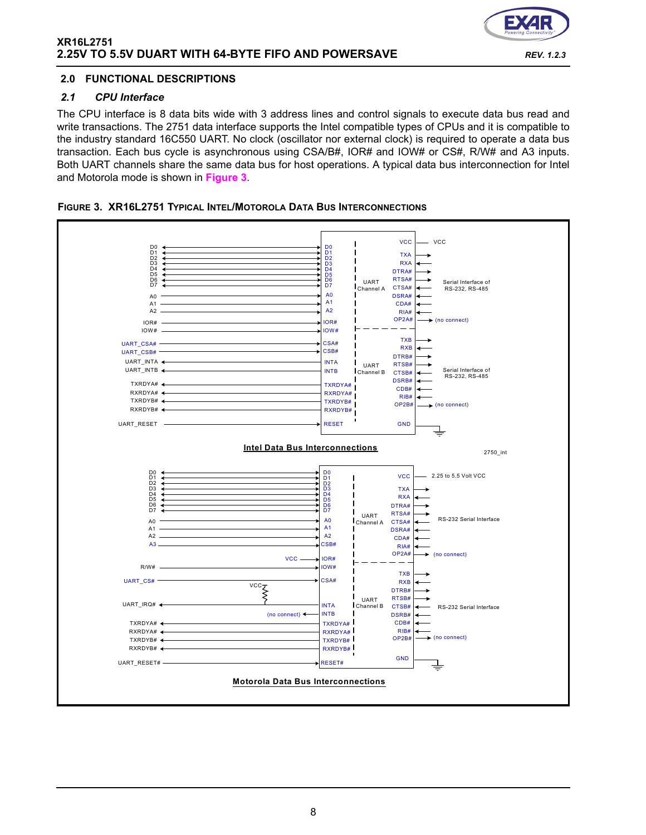

# **2.0 FUNCTIONAL DESCRIPTIONS**

#### *2.1 CPU Interface*

The CPU interface is 8 data bits wide with 3 address lines and control signals to execute data bus read and write transactions. The 2751 data interface supports the Intel compatible types of CPUs and it is compatible to the industry standard 16C550 UART. No clock (oscillator nor external clock) is required to operate a data bus transaction. Each bus cycle is asynchronous using CSA/B#, IOR# and IOW# or CS#, R/W# and A3 inputs. Both UART channels share the same data bus for host operations. A typical data bus interconnection for Intel and Motorola mode is shown in **[Figure](#page-7-0) 3**.

<span id="page-7-0"></span>

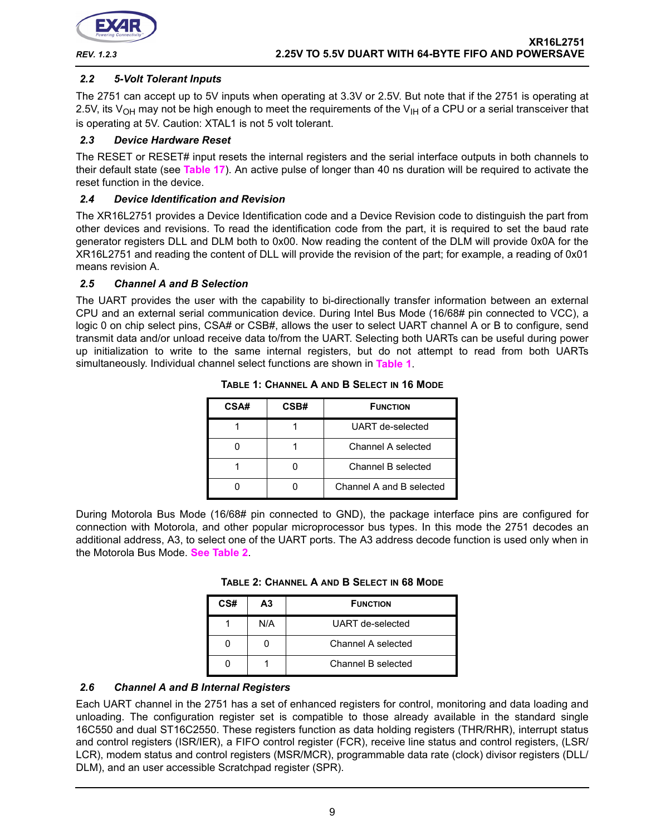

# *2.2 5-Volt Tolerant Inputs*

The 2751 can accept up to 5V inputs when operating at 3.3V or 2.5V. But note that if the 2751 is operating at 2.5V, its  $V_{OH}$  may not be high enough to meet the requirements of the  $V_{H}$  of a CPU or a serial transceiver that is operating at 5V. Caution: XTAL1 is not 5 volt tolerant.

### *2.3 Device Hardware Reset*

The RESET or RESET# input resets the internal registers and the serial interface outputs in both channels to their default state (see **[Table](#page-38-0) 17**). An active pulse of longer than 40 ns duration will be required to activate the reset function in the device.

#### *2.4 Device Identification and Revision*

The XR16L2751 provides a Device Identification code and a Device Revision code to distinguish the part from other devices and revisions. To read the identification code from the part, it is required to set the baud rate generator registers DLL and DLM both to 0x00. Now reading the content of the DLM will provide 0x0A for the XR16L2751 and reading the content of DLL will provide the revision of the part; for example, a reading of 0x01 means revision A.

#### *2.5 Channel A and B Selection*

<span id="page-8-0"></span>The UART provides the user with the capability to bi-directionally transfer information between an external CPU and an external serial communication device. During Intel Bus Mode (16/68# pin connected to VCC), a logic 0 on chip select pins, CSA# or CSB#, allows the user to select UART channel A or B to configure, send transmit data and/or unload receive data to/from the UART. Selecting both UARTs can be useful during power up initialization to write to the same internal registers, but do not attempt to read from both UARTs simultaneously. Individual channel select functions are shown in **[Table](#page-8-0) 1**.

| CSA# | CSB# | <b>FUNCTION</b>          |
|------|------|--------------------------|
|      |      | UART de-selected         |
|      |      | Channel A selected       |
|      |      | Channel B selected       |
|      |      | Channel A and B selected |

**TABLE 1: CHANNEL A AND B SELECT IN 16 MODE**

<span id="page-8-1"></span>During Motorola Bus Mode (16/68# pin connected to GND), the package interface pins are configured for connection with Motorola, and other popular microprocessor bus types. In this mode the 2751 decodes an additional address, A3, to select one of the UART ports. The A3 address decode function is used only when in the Motorola Bus Mode. **[See Table](#page-8-1) 2**.

| TABLE 2: CHANNEL A AND B SELECT IN 68 MODE |  |  |  |  |  |
|--------------------------------------------|--|--|--|--|--|
|--------------------------------------------|--|--|--|--|--|

| CS# | А3  | <b>FUNCTION</b>    |
|-----|-----|--------------------|
|     | N/A | UART de-selected   |
|     |     | Channel A selected |
|     |     | Channel B selected |

# *2.6 Channel A and B Internal Registers*

Each UART channel in the 2751 has a set of enhanced registers for control, monitoring and data loading and unloading. The configuration register set is compatible to those already available in the standard single 16C550 and dual ST16C2550. These registers function as data holding registers (THR/RHR), interrupt status and control registers (ISR/IER), a FIFO control register (FCR), receive line status and control registers, (LSR/ LCR), modem status and control registers (MSR/MCR), programmable data rate (clock) divisor registers (DLL/ DLM), and an user accessible Scratchpad register (SPR).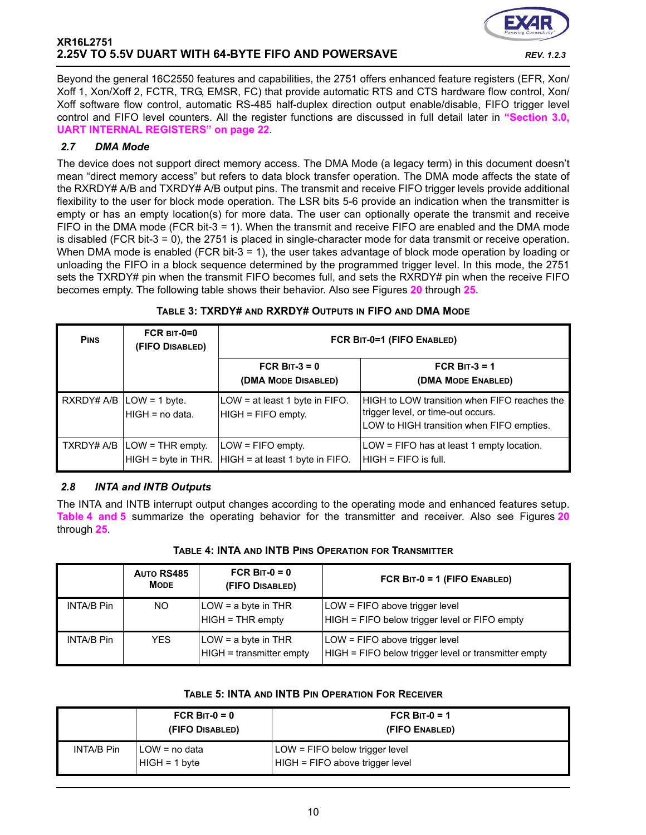

Beyond the general 16C2550 features and capabilities, the 2751 offers enhanced feature registers (EFR, Xon/ Xoff 1, Xon/Xoff 2, FCTR, TRG, EMSR, FC) that provide automatic RTS and CTS hardware flow control, Xon/ Xoff software flow control, automatic RS-485 half-duplex direction output enable/disable, FIFO trigger level control and FIFO level counters. All the register functions are discussed in full detail later in **["Section 3.0,](#page-21-0) [UART INTERNAL REGISTERS" on page](#page-21-0) 22**.

# *2.7 DMA Mode*

The device does not support direct memory access. The DMA Mode (a legacy term) in this document doesn't mean "direct memory access" but refers to data block transfer operation. The DMA mode affects the state of the RXRDY# A/B and TXRDY# A/B output pins. The transmit and receive FIFO trigger levels provide additional flexibility to the user for block mode operation. The LSR bits 5-6 provide an indication when the transmitter is empty or has an empty location(s) for more data. The user can optionally operate the transmit and receive FIFO in the DMA mode (FCR bit-3 = 1). When the transmit and receive FIFO are enabled and the DMA mode is disabled (FCR bit-3 = 0), the 2751 is placed in single-character mode for data transmit or receive operation. When DMA mode is enabled (FCR bit-3 = 1), the user takes advantage of block mode operation by loading or unloading the FIFO in a block sequence determined by the programmed trigger level. In this mode, the 2751 sets the TXRDY# pin when the transmit FIFO becomes full, and sets the RXRDY# pin when the receive FIFO becomes empty. The following table shows their behavior. Also see Figures **[20](#page-44-0)** through **[25](#page-47-0)**.

# **TABLE 3: TXRDY# AND RXRDY# OUTPUTS IN FIFO AND DMA MODE**

| <b>PINS</b> | $FCR$ BIT-0=0<br>(FIFO DISABLED)                                              | FCR BIT-0=1 (FIFO ENABLED)                                                   |                                                                                                                                 |  |
|-------------|-------------------------------------------------------------------------------|------------------------------------------------------------------------------|---------------------------------------------------------------------------------------------------------------------------------|--|
|             |                                                                               | FCR BIT-3 = $0$<br>(DMA MODE DISABLED)                                       | FCR BIT- $3 = 1$<br>(DMA MODE ENABLED)                                                                                          |  |
|             | $RXRDY# A/B  LOW = 1 byte.$<br>HIGH = no data.                                | LOW = at least 1 byte in FIFO.<br>HIGH = FIFO empty.                         | HIGH to LOW transition when FIFO reaches the<br>trigger level, or time-out occurs.<br>LOW to HIGH transition when FIFO empties. |  |
|             | $\overline{\phantom{a}}$ TXRDY# A/B $\overline{\phantom{a}}$ LOW = THR empty. | $LOW = FIFO$ empty.<br>HIGH = byte in THR.   HIGH = at least 1 byte in FIFO. | LOW = FIFO has at least 1 empty location.<br>IHIGH = FIFO is full.                                                              |  |

# *2.8 INTA and INTB Outputs*

The INTA and INTB interrupt output changes according to the operating mode and enhanced features setup. **[Table](#page-9-0) 4 [and](#page-9-1) 5** summarize the operating behavior for the transmitter and receiver. Also see Figures **[20](#page-44-0)** through **[25](#page-47-0)**.

#### **TABLE 4: INTA AND INTB PINS OPERATION FOR TRANSMITTER**

<span id="page-9-0"></span>

|            | AUTO RS485<br><b>MODE</b> | FCR BIT- $0 = 0$<br>(FIFO DISABLED)               | FCR BIT-0 = 1 (FIFO ENABLED)                                                           |
|------------|---------------------------|---------------------------------------------------|----------------------------------------------------------------------------------------|
| INTA/B Pin | NO.                       | $LOW = a$ byte in THR<br>HIGH = THR empty         | LOW = FIFO above trigger level<br>HIGH = FIFO below trigger level or FIFO empty        |
| INTA/B Pin | <b>YES</b>                | $LOW = a$ byte in THR<br>HIGH = transmitter empty | LOW = FIFO above trigger level<br>HIGH = FIFO below trigger level or transmitter empty |

#### **TABLE 5: INTA AND INTB PIN OPERATION FOR RECEIVER**

<span id="page-9-1"></span>

|                   | FCR BIT- $0 = 0$<br>(FIFO DISABLED) | FCR B <sub>IT-0</sub> = 1<br>(FIFO ENABLED)                       |
|-------------------|-------------------------------------|-------------------------------------------------------------------|
| <b>INTA/B Pin</b> | I LOW = no data<br>$HIGH = 1 byte$  | LOW = FIFO below trigger level<br>HIGH = FIFO above trigger level |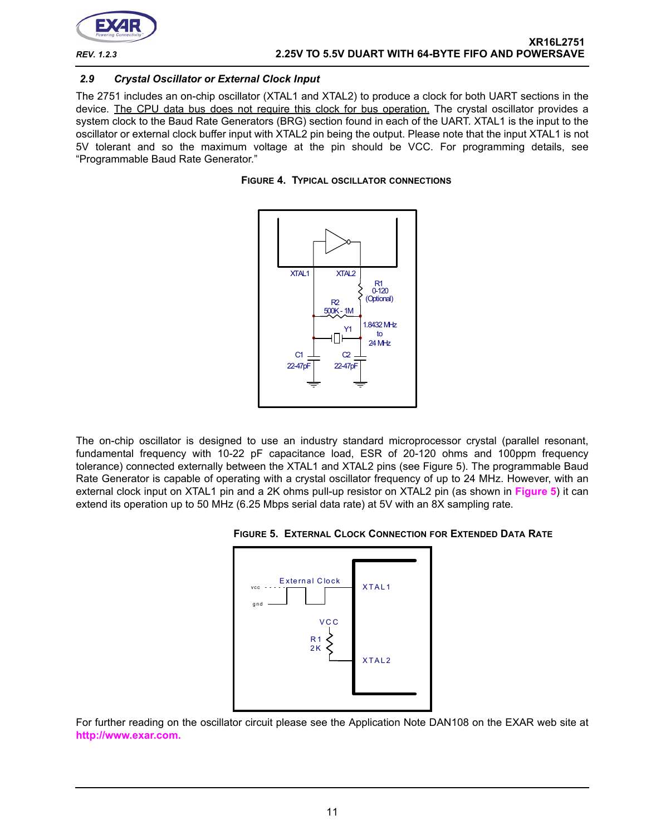

### *2.9 Crystal Oscillator or External Clock Input*

The 2751 includes an on-chip oscillator (XTAL1 and XTAL2) to produce a clock for both UART sections in the device. The CPU data bus does not require this clock for bus operation. The crystal oscillator provides a system clock to the Baud Rate Generators (BRG) section found in each of the UART. XTAL1 is the input to the oscillator or external clock buffer input with XTAL2 pin being the output. Please note that the input XTAL1 is not 5V tolerant and so the maximum voltage at the pin should be VCC. For programming details, see "Programmable Baud Rate Generator."

![](_page_10_Figure_5.jpeg)

![](_page_10_Figure_6.jpeg)

The on-chip oscillator is designed to use an industry standard microprocessor crystal (parallel resonant, fundamental frequency with 10-22 pF capacitance load, ESR of 20-120 ohms and 100ppm frequency tolerance) connected externally between the XTAL1 and XTAL2 pins (see Figure 5). The programmable Baud Rate Generator is capable of operating with a crystal oscillator frequency of up to 24 MHz. However, with an external clock input on XTAL1 pin and a 2K ohms pull-up resistor on XTAL2 pin (as shown in **[Figure](#page-10-0) 5**) it can extend its operation up to 50 MHz (6.25 Mbps serial data rate) at 5V with an 8X sampling rate.

<span id="page-10-0"></span>![](_page_10_Figure_8.jpeg)

![](_page_10_Figure_9.jpeg)

For further reading on the oscillator circuit please see the Application Note DAN108 on the EXAR web site at **[http://www.exar.com.](http://exar.com)**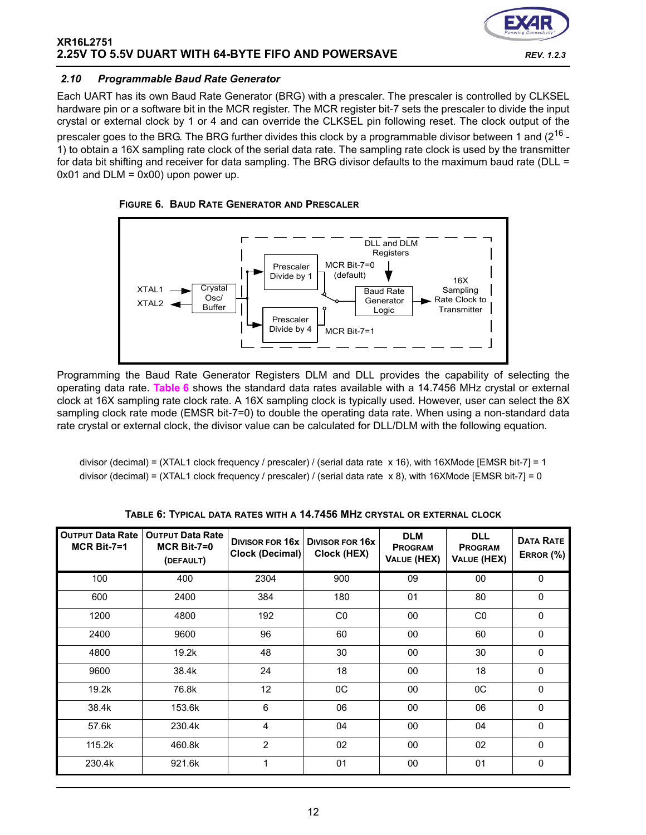![](_page_11_Picture_1.jpeg)

### *2.10 Programmable Baud Rate Generator*

Each UART has its own Baud Rate Generator (BRG) with a prescaler. The prescaler is controlled by CLKSEL hardware pin or a software bit in the MCR register. The MCR register bit-7 sets the prescaler to divide the input crystal or external clock by 1 or 4 and can override the CLKSEL pin following reset. The clock output of the prescaler goes to the BRG. The BRG further divides this clock by a programmable divisor between 1 and (2<sup>16</sup> -1) to obtain a 16X sampling rate clock of the serial data rate. The sampling rate clock is used by the transmitter for data bit shifting and receiver for data sampling. The BRG divisor defaults to the maximum baud rate (DLL =  $0x01$  and  $DLM = 0x00$ ) upon power up.

<span id="page-11-0"></span>![](_page_11_Figure_4.jpeg)

![](_page_11_Figure_5.jpeg)

Programming the Baud Rate Generator Registers DLM and DLL provides the capability of selecting the operating data rate. **[Table](#page-11-1) 6** shows the standard data rates available with a 14.7456 MHz crystal or external clock at 16X sampling rate clock rate. A 16X sampling clock is typically used. However, user can select the 8X sampling clock rate mode (EMSR bit-7=0) to double the operating data rate. When using a non-standard data rate crystal or external clock, the divisor value can be calculated for DLL/DLM with the following equation.

divisor (decimal) = (XTAL1 clock frequency / prescaler) / (serial data rate x 16), with 16XMode [EMSR bit-7] = 1 divisor (decimal) = (XTAL1 clock frequency / prescaler) / (serial data rate  $x 8$ ), with 16XMode [EMSR bit-7] = 0

<span id="page-11-1"></span>

| <b>OUTPUT Data Rate</b><br>$MCR$ Bit-7=1 | <b>OUTPUT Data Rate</b><br>$MCR$ Bit-7=0<br>(DEFAULT) | <b>DIVISOR FOR 16X</b><br><b>Clock (Decimal)</b> | <b>DIVISOR FOR 16X</b><br>Clock (HEX) | <b>DLM</b><br><b>PROGRAM</b><br><b>VALUE (HEX)</b> | <b>DLL</b><br><b>PROGRAM</b><br><b>VALUE (HEX)</b> | <b>DATA RATE</b><br>ERROR (%) |
|------------------------------------------|-------------------------------------------------------|--------------------------------------------------|---------------------------------------|----------------------------------------------------|----------------------------------------------------|-------------------------------|
| 100                                      | 400                                                   | 2304                                             | 900                                   | 09                                                 | 00                                                 | $\Omega$                      |
| 600                                      | 2400                                                  | 384                                              | 180                                   | 01                                                 | 80                                                 | 0                             |
| 1200                                     | 4800                                                  | 192                                              | C <sub>0</sub>                        | 00                                                 | C <sub>0</sub>                                     | $\Omega$                      |
| 2400                                     | 9600                                                  | 96                                               | 60                                    | 00                                                 | 60                                                 | $\Omega$                      |
| 4800                                     | 19.2k                                                 | 48                                               | 30                                    | 00                                                 | 30                                                 | $\mathbf{0}$                  |
| 9600                                     | 38.4k                                                 | 24                                               | 18                                    | 00                                                 | 18                                                 | $\Omega$                      |
| 19.2k                                    | 76.8k                                                 | 12                                               | 0C                                    | 00                                                 | $_{0C}$                                            | $\Omega$                      |
| 38.4k                                    | 153.6k                                                | 6                                                | 06                                    | 00                                                 | 06                                                 | $\Omega$                      |
| 57.6k                                    | 230.4k                                                | 4                                                | 04                                    | 00                                                 | 04                                                 | $\mathbf 0$                   |
| 115.2k                                   | 460.8k                                                | 2                                                | 02                                    | 00                                                 | 02                                                 | $\mathbf{0}$                  |
| 230.4k                                   | 921.6k                                                | 1                                                | 01                                    | 00                                                 | 01                                                 | $\Omega$                      |

**TABLE 6: TYPICAL DATA RATES WITH A 14.7456 MHZ CRYSTAL OR EXTERNAL CLOCK**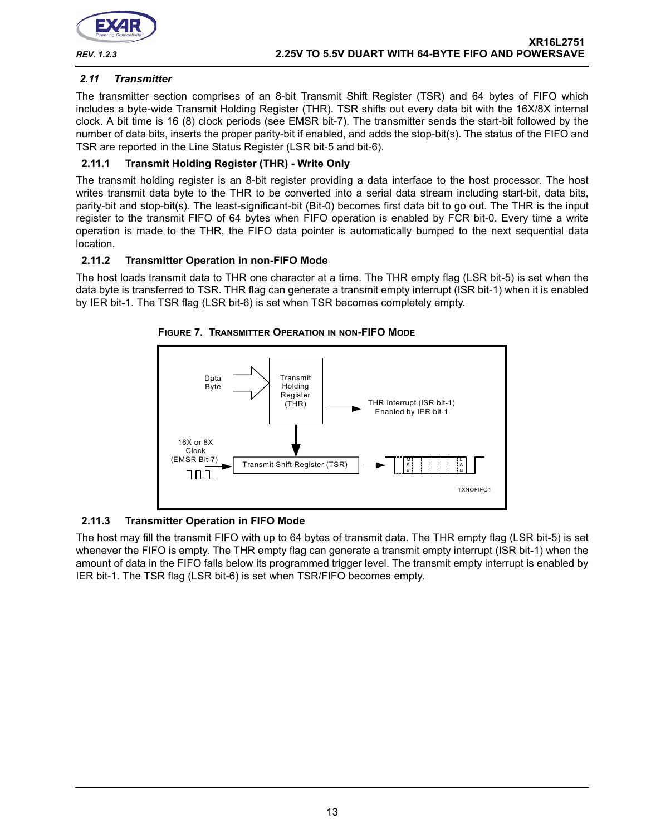![](_page_12_Picture_0.jpeg)

# <span id="page-12-0"></span>*2.11 Transmitter*

The transmitter section comprises of an 8-bit Transmit Shift Register (TSR) and 64 bytes of FIFO which includes a byte-wide Transmit Holding Register (THR). TSR shifts out every data bit with the 16X/8X internal clock. A bit time is 16 (8) clock periods (see EMSR bit-7). The transmitter sends the start-bit followed by the number of data bits, inserts the proper parity-bit if enabled, and adds the stop-bit(s). The status of the FIFO and TSR are reported in the Line Status Register (LSR bit-5 and bit-6).

# **2.11.1 Transmit Holding Register (THR) - Write Only**

The transmit holding register is an 8-bit register providing a data interface to the host processor. The host writes transmit data byte to the THR to be converted into a serial data stream including start-bit, data bits, parity-bit and stop-bit(s). The least-significant-bit (Bit-0) becomes first data bit to go out. The THR is the input register to the transmit FIFO of 64 bytes when FIFO operation is enabled by FCR bit-0. Every time a write operation is made to the THR, the FIFO data pointer is automatically bumped to the next sequential data location.

# **2.11.2 Transmitter Operation in non-FIFO Mode**

The host loads transmit data to THR one character at a time. The THR empty flag (LSR bit-5) is set when the data byte is transferred to TSR. THR flag can generate a transmit empty interrupt (ISR bit-1) when it is enabled by IER bit-1. The TSR flag (LSR bit-6) is set when TSR becomes completely empty.

![](_page_12_Figure_9.jpeg)

#### **FIGURE 7. TRANSMITTER OPERATION IN NON-FIFO MODE**

# **2.11.3 Transmitter Operation in FIFO Mode**

The host may fill the transmit FIFO with up to 64 bytes of transmit data. The THR empty flag (LSR bit-5) is set whenever the FIFO is empty. The THR empty flag can generate a transmit empty interrupt (ISR bit-1) when the amount of data in the FIFO falls below its programmed trigger level. The transmit empty interrupt is enabled by IER bit-1. The TSR flag (LSR bit-6) is set when TSR/FIFO becomes empty.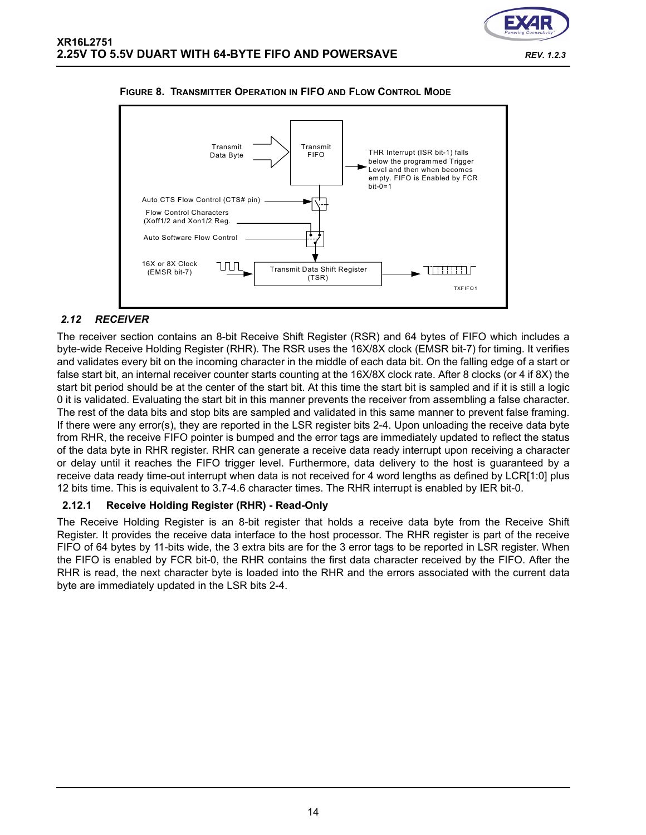![](_page_13_Figure_1.jpeg)

#### **FIGURE 8. TRANSMITTER OPERATION IN FIFO AND FLOW CONTROL MODE**

# <span id="page-13-0"></span>*2.12 RECEIVER*

The receiver section contains an 8-bit Receive Shift Register (RSR) and 64 bytes of FIFO which includes a byte-wide Receive Holding Register (RHR). The RSR uses the 16X/8X clock (EMSR bit-7) for timing. It verifies and validates every bit on the incoming character in the middle of each data bit. On the falling edge of a start or false start bit, an internal receiver counter starts counting at the 16X/8X clock rate. After 8 clocks (or 4 if 8X) the start bit period should be at the center of the start bit. At this time the start bit is sampled and if it is still a logic 0 it is validated. Evaluating the start bit in this manner prevents the receiver from assembling a false character. The rest of the data bits and stop bits are sampled and validated in this same manner to prevent false framing. If there were any error(s), they are reported in the LSR register bits 2-4. Upon unloading the receive data byte from RHR, the receive FIFO pointer is bumped and the error tags are immediately updated to reflect the status of the data byte in RHR register. RHR can generate a receive data ready interrupt upon receiving a character or delay until it reaches the FIFO trigger level. Furthermore, data delivery to the host is guaranteed by a receive data ready time-out interrupt when data is not received for 4 word lengths as defined by LCR[1:0] plus 12 bits time. This is equivalent to 3.7-4.6 character times. The RHR interrupt is enabled by IER bit-0.

#### **2.12.1 Receive Holding Register (RHR) - Read-Only**

The Receive Holding Register is an 8-bit register that holds a receive data byte from the Receive Shift Register. It provides the receive data interface to the host processor. The RHR register is part of the receive FIFO of 64 bytes by 11-bits wide, the 3 extra bits are for the 3 error tags to be reported in LSR register. When the FIFO is enabled by FCR bit-0, the RHR contains the first data character received by the FIFO. After the RHR is read, the next character byte is loaded into the RHR and the errors associated with the current data byte are immediately updated in the LSR bits 2-4.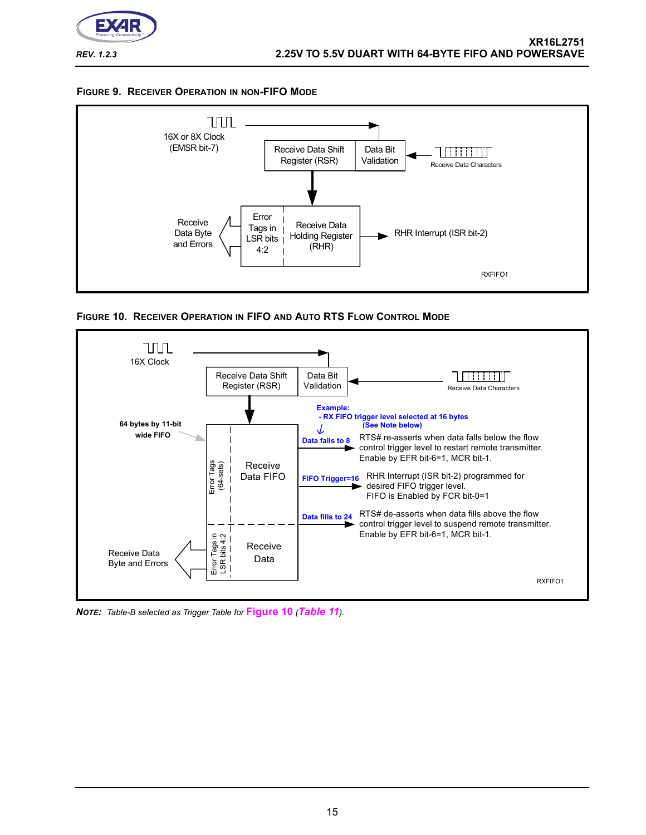![](_page_14_Picture_0.jpeg)

 **XR16L2751** *REV. 1.2.3* **2.25V TO 5.5V DUART WITH 64-BYTE FIFO AND POWERSAVE**

![](_page_14_Figure_2.jpeg)

![](_page_14_Figure_3.jpeg)

<span id="page-14-0"></span>**FIGURE 10. RECEIVER OPERATION IN FIFO AND AUTO RTS FLOW CONTROL MODE**

![](_page_14_Figure_5.jpeg)

*NOTE: Table-B selected as Trigger Table for* **[Figure](#page-14-0) 10** *([Table](#page-28-0) 11).*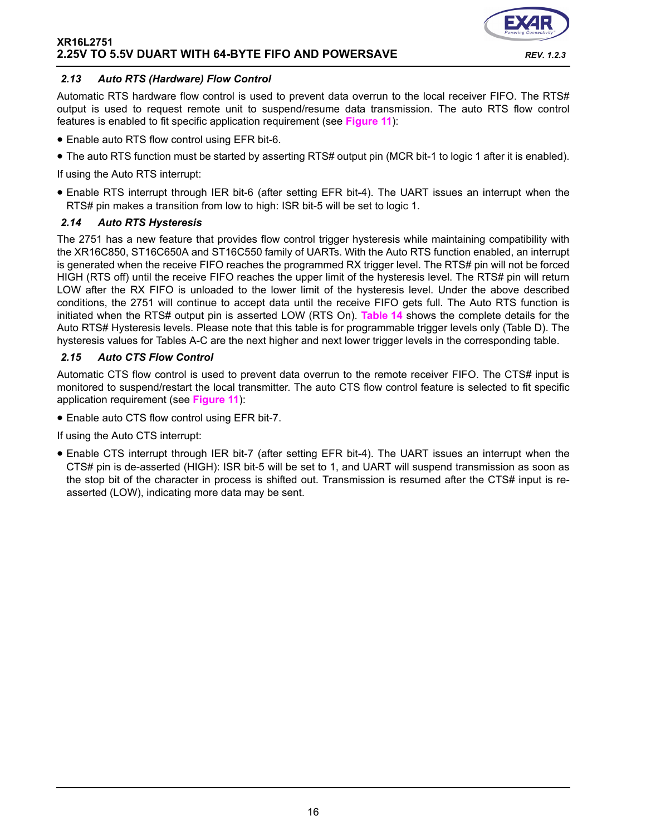![](_page_15_Picture_1.jpeg)

#### *2.13 Auto RTS (Hardware) Flow Control*

Automatic RTS hardware flow control is used to prevent data overrun to the local receiver FIFO. The RTS# output is used to request remote unit to suspend/resume data transmission. The auto RTS flow control features is enabled to fit specific application requirement (see **[Figure](#page-16-0) 11**):

- Enable auto RTS flow control using EFR bit-6.
- The auto RTS function must be started by asserting RTS# output pin (MCR bit-1 to logic 1 after it is enabled).

If using the Auto RTS interrupt:

• Enable RTS interrupt through IER bit-6 (after setting EFR bit-4). The UART issues an interrupt when the RTS# pin makes a transition from low to high: ISR bit-5 will be set to logic 1.

#### *2.14 Auto RTS Hysteresis*

The 2751 has a new feature that provides flow control trigger hysteresis while maintaining compatibility with the XR16C850, ST16C650A and ST16C550 family of UARTs. With the Auto RTS function enabled, an interrupt is generated when the receive FIFO reaches the programmed RX trigger level. The RTS# pin will not be forced HIGH (RTS off) until the receive FIFO reaches the upper limit of the hysteresis level. The RTS# pin will return LOW after the RX FIFO is unloaded to the lower limit of the hysteresis level. Under the above described conditions, the 2751 will continue to accept data until the receive FIFO gets full. The Auto RTS function is initiated when the RTS# output pin is asserted LOW (RTS On). **[Table](#page-34-0) 14** shows the complete details for the Auto RTS# Hysteresis levels. Please note that this table is for programmable trigger levels only (Table D). The hysteresis values for Tables A-C are the next higher and next lower trigger levels in the corresponding table.

#### *2.15 Auto CTS Flow Control*

Automatic CTS flow control is used to prevent data overrun to the remote receiver FIFO. The CTS# input is monitored to suspend/restart the local transmitter. The auto CTS flow control feature is selected to fit specific application requirement (see **[Figure](#page-16-0) 11**):

• Enable auto CTS flow control using EFR bit-7.

If using the Auto CTS interrupt:

• Enable CTS interrupt through IER bit-7 (after setting EFR bit-4). The UART issues an interrupt when the CTS# pin is de-asserted (HIGH): ISR bit-5 will be set to 1, and UART will suspend transmission as soon as the stop bit of the character in process is shifted out. Transmission is resumed after the CTS# input is reasserted (LOW), indicating more data may be sent.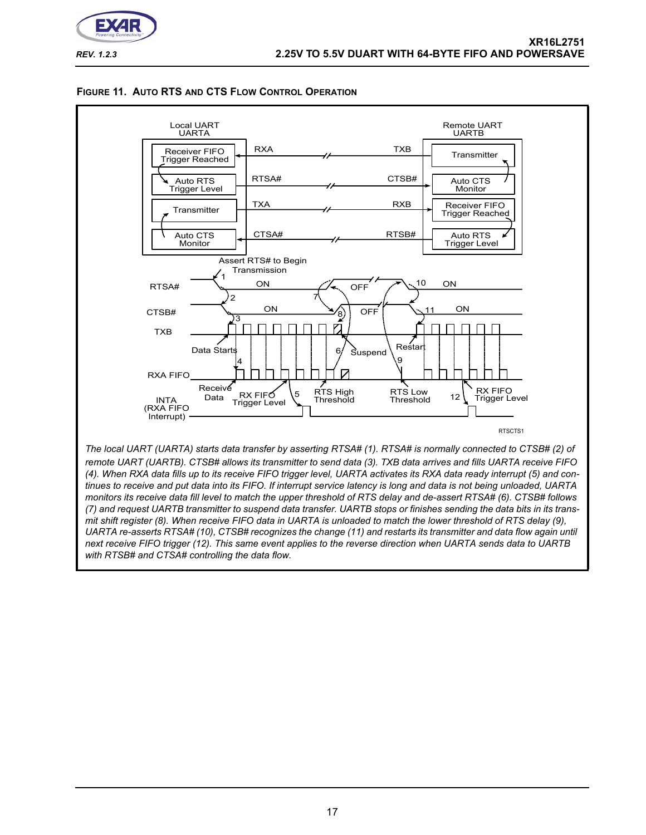![](_page_16_Picture_0.jpeg)

<span id="page-16-0"></span>![](_page_16_Figure_3.jpeg)

![](_page_16_Figure_4.jpeg)

*UARTA re-asserts RTSA# (10), CTSB# recognizes the change (11) and restarts its transmitter and data flow again until* 

*next receive FIFO trigger (12). This same event applies to the reverse direction when UARTA sends data to UARTB with RTSB# and CTSA# controlling the data flow.*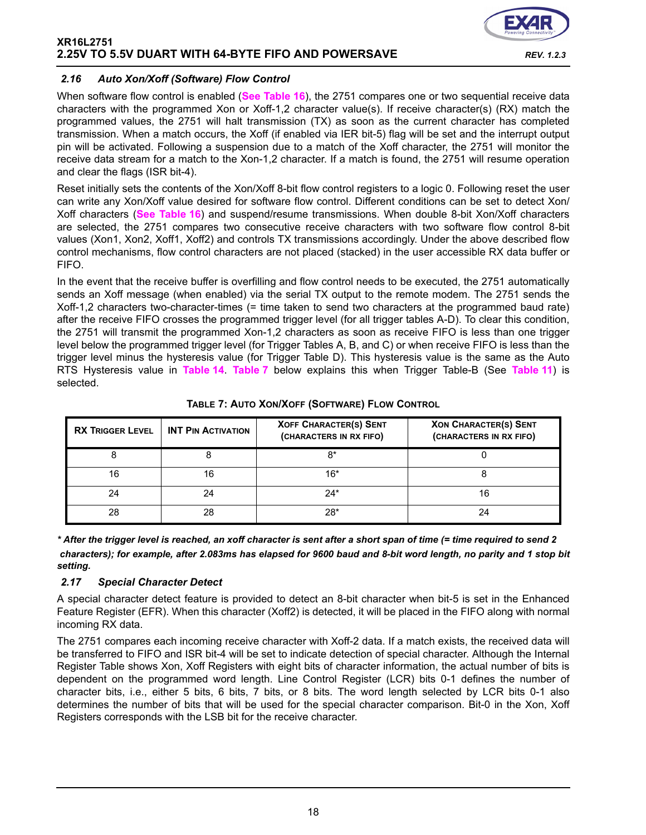![](_page_17_Picture_1.jpeg)

### *2.16 Auto Xon/Xoff (Software) Flow Control*

When software flow control is enabled (**[See Table](#page-36-0) 16**), the 2751 compares one or two sequential receive data characters with the programmed Xon or Xoff-1,2 character value(s). If receive character(s) (RX) match the programmed values, the 2751 will halt transmission (TX) as soon as the current character has completed transmission. When a match occurs, the Xoff (if enabled via IER bit-5) flag will be set and the interrupt output pin will be activated. Following a suspension due to a match of the Xoff character, the 2751 will monitor the receive data stream for a match to the Xon-1,2 character. If a match is found, the 2751 will resume operation and clear the flags (ISR bit-4).

Reset initially sets the contents of the Xon/Xoff 8-bit flow control registers to a logic 0. Following reset the user can write any Xon/Xoff value desired for software flow control. Different conditions can be set to detect Xon/ Xoff characters (**[See Table](#page-36-0) 16**) and suspend/resume transmissions. When double 8-bit Xon/Xoff characters are selected, the 2751 compares two consecutive receive characters with two software flow control 8-bit values (Xon1, Xon2, Xoff1, Xoff2) and controls TX transmissions accordingly. Under the above described flow control mechanisms, flow control characters are not placed (stacked) in the user accessible RX data buffer or FIFO.

In the event that the receive buffer is overfilling and flow control needs to be executed, the 2751 automatically sends an Xoff message (when enabled) via the serial TX output to the remote modem. The 2751 sends the Xoff-1,2 characters two-character-times (= time taken to send two characters at the programmed baud rate) after the receive FIFO crosses the programmed trigger level (for all trigger tables A-D). To clear this condition, the 2751 will transmit the programmed Xon-1,2 characters as soon as receive FIFO is less than one trigger level below the programmed trigger level (for Trigger Tables A, B, and C) or when receive FIFO is less than the trigger level minus the hysteresis value (for Trigger Table D). This hysteresis value is the same as the Auto RTS Hysteresis value in **[Table](#page-34-0) 14**. **[Table](#page-17-0) 7** below explains this when Trigger Table-B (See **[Table](#page-28-0) 11**) is selected.

<span id="page-17-0"></span>

| <b>RX TRIGGER LEVEL</b> | <b>INT PIN ACTIVATION</b> | <b>XOFF CHARACTER(S) SENT</b><br>(CHARACTERS IN RX FIFO) | <b>XON CHARACTER(S) SENT</b><br>(CHARACTERS IN RX FIFO) |
|-------------------------|---------------------------|----------------------------------------------------------|---------------------------------------------------------|
|                         |                           | 8*                                                       |                                                         |
| 16                      | 16                        | $16*$                                                    |                                                         |
| 24                      |                           | $24*$                                                    |                                                         |
| 28                      | 28                        | $28*$                                                    |                                                         |

# **TABLE 7: AUTO XON/XOFF (SOFTWARE) FLOW CONTROL**

*\* After the trigger level is reached, an xoff character is sent after a short span of time (= time required to send 2 characters); for example, after 2.083ms has elapsed for 9600 baud and 8-bit word length, no parity and 1 stop bit setting.*

#### *2.17 Special Character Detect*

A special character detect feature is provided to detect an 8-bit character when bit-5 is set in the Enhanced Feature Register (EFR). When this character (Xoff2) is detected, it will be placed in the FIFO along with normal incoming RX data.

The 2751 compares each incoming receive character with Xoff-2 data. If a match exists, the received data will be transferred to FIFO and ISR bit-4 will be set to indicate detection of special character. Although the Internal Register Table shows Xon, Xoff Registers with eight bits of character information, the actual number of bits is dependent on the programmed word length. Line Control Register (LCR) bits 0-1 defines the number of character bits, i.e., either 5 bits, 6 bits, 7 bits, or 8 bits. The word length selected by LCR bits 0-1 also determines the number of bits that will be used for the special character comparison. Bit-0 in the Xon, Xoff Registers corresponds with the LSB bit for the receive character.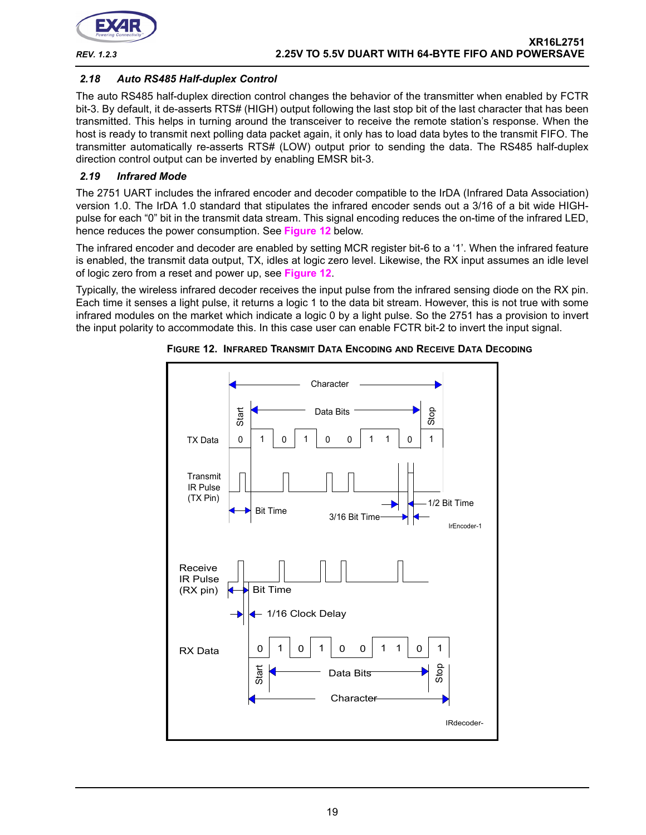![](_page_18_Picture_0.jpeg)

# *2.18 Auto RS485 Half-duplex Control*

The auto RS485 half-duplex direction control changes the behavior of the transmitter when enabled by FCTR bit-3. By default, it de-asserts RTS# (HIGH) output following the last stop bit of the last character that has been transmitted. This helps in turning around the transceiver to receive the remote station's response. When the host is ready to transmit next polling data packet again, it only has to load data bytes to the transmit FIFO. The transmitter automatically re-asserts RTS# (LOW) output prior to sending the data. The RS485 half-duplex direction control output can be inverted by enabling EMSR bit-3.

# *2.19 Infrared Mode*

The 2751 UART includes the infrared encoder and decoder compatible to the IrDA (Infrared Data Association) version 1.0. The IrDA 1.0 standard that stipulates the infrared encoder sends out a 3/16 of a bit wide HIGHpulse for each "0" bit in the transmit data stream. This signal encoding reduces the on-time of the infrared LED, hence reduces the power consumption. See **[Figure](#page-18-0) 12** below.

The infrared encoder and decoder are enabled by setting MCR register bit-6 to a '1'. When the infrared feature is enabled, the transmit data output, TX, idles at logic zero level. Likewise, the RX input assumes an idle level of logic zero from a reset and power up, see **[Figure](#page-18-0) 12**.

Typically, the wireless infrared decoder receives the input pulse from the infrared sensing diode on the RX pin. Each time it senses a light pulse, it returns a logic 1 to the data bit stream. However, this is not true with some infrared modules on the market which indicate a logic 0 by a light pulse. So the 2751 has a provision to invert the input polarity to accommodate this. In this case user can enable FCTR bit-2 to invert the input signal.

![](_page_18_Figure_9.jpeg)

<span id="page-18-0"></span>**FIGURE 12. INFRARED TRANSMIT DATA ENCODING AND RECEIVE DATA DECODING**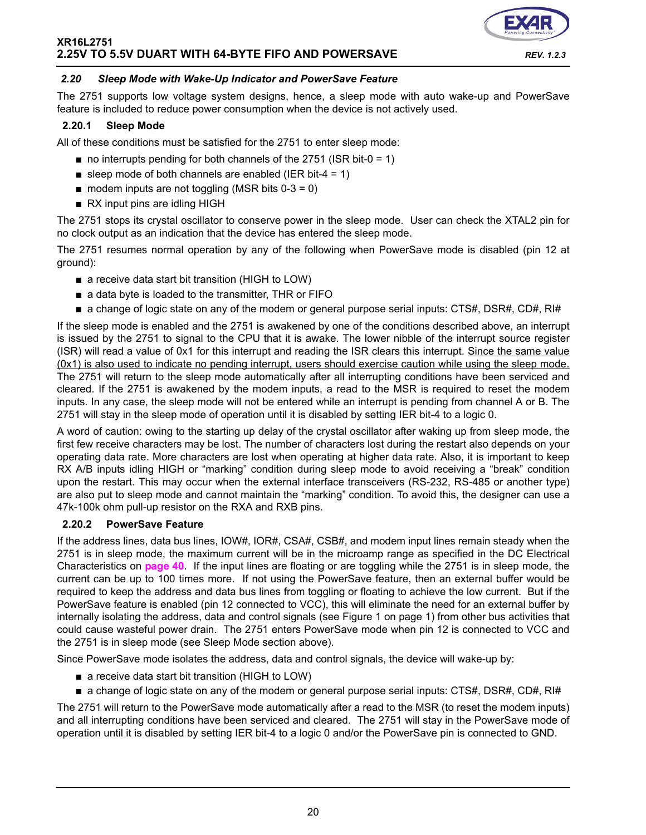![](_page_19_Picture_1.jpeg)

#### <span id="page-19-1"></span>*2.20 Sleep Mode with Wake-Up Indicator and PowerSave Feature*

The 2751 supports low voltage system designs, hence, a sleep mode with auto wake-up and PowerSave feature is included to reduce power consumption when the device is not actively used.

#### **2.20.1 Sleep Mode**

All of these conditions must be satisfied for the 2751 to enter sleep mode:

- $\blacksquare$  no interrupts pending for both channels of the 2751 (ISR bit-0 = 1)
- sleep mode of both channels are enabled (IER bit-4 = 1)
- $\blacksquare$  modem inputs are not toggling (MSR bits 0-3 = 0)
- RX input pins are idling HIGH

The 2751 stops its crystal oscillator to conserve power in the sleep mode. User can check the XTAL2 pin for no clock output as an indication that the device has entered the sleep mode.

The 2751 resumes normal operation by any of the following when PowerSave mode is disabled (pin 12 at ground):

- a receive data start bit transition (HIGH to LOW)
- a data byte is loaded to the transmitter, THR or FIFO
- a change of logic state on any of the modem or general purpose serial inputs: CTS#, DSR#, CD#, RI#

If the sleep mode is enabled and the 2751 is awakened by one of the conditions described above, an interrupt is issued by the 2751 to signal to the CPU that it is awake. The lower nibble of the interrupt source register (ISR) will read a value of 0x1 for this interrupt and reading the ISR clears this interrupt. Since the same value (0x1) is also used to indicate no pending interrupt, users should exercise caution while using the sleep mode. The 2751 will return to the sleep mode automatically after all interrupting conditions have been serviced and cleared. If the 2751 is awakened by the modem inputs, a read to the MSR is required to reset the modem inputs. In any case, the sleep mode will not be entered while an interrupt is pending from channel A or B. The 2751 will stay in the sleep mode of operation until it is disabled by setting IER bit-4 to a logic 0.

A word of caution: owing to the starting up delay of the crystal oscillator after waking up from sleep mode, the first few receive characters may be lost. The number of characters lost during the restart also depends on your operating data rate. More characters are lost when operating at higher data rate. Also, it is important to keep RX A/B inputs idling HIGH or "marking" condition during sleep mode to avoid receiving a "break" condition upon the restart. This may occur when the external interface transceivers (RS-232, RS-485 or another type) are also put to sleep mode and cannot maintain the "marking" condition. To avoid this, the designer can use a 47k-100k ohm pull-up resistor on the RXA and RXB pins.

#### <span id="page-19-0"></span>**2.20.2 PowerSave Feature**

If the address lines, data bus lines, IOW#, IOR#, CSA#, CSB#, and modem input lines remain steady when the 2751 is in sleep mode, the maximum current will be in the microamp range as specified in the DC Electrical Characteristics on **[page](#page-39-0) 40**. If the input lines are floating or are toggling while the 2751 is in sleep mode, the current can be up to 100 times more. If not using the PowerSave feature, then an external buffer would be required to keep the address and data bus lines from toggling or floating to achieve the low current. But if the PowerSave feature is enabled (pin 12 connected to VCC), this will eliminate the need for an external buffer by internally isolating the address, data and control signals (see Figure 1 on page 1) from other bus activities that could cause wasteful power drain. The 2751 enters PowerSave mode when pin 12 is connected to VCC and the 2751 is in sleep mode (see Sleep Mode section above).

Since PowerSave mode isolates the address, data and control signals, the device will wake-up by:

- a receive data start bit transition (HIGH to LOW)
- a change of logic state on any of the modem or general purpose serial inputs: CTS#, DSR#, CD#, RI#

The 2751 will return to the PowerSave mode automatically after a read to the MSR (to reset the modem inputs) and all interrupting conditions have been serviced and cleared. The 2751 will stay in the PowerSave mode of operation until it is disabled by setting IER bit-4 to a logic 0 and/or the PowerSave pin is connected to GND.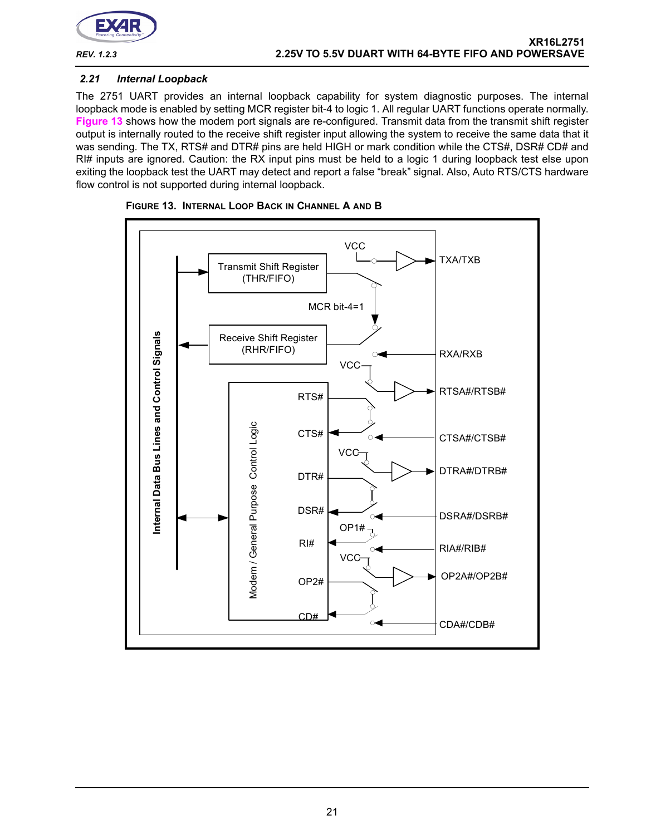![](_page_20_Picture_0.jpeg)

#### *2.21 Internal Loopback*

The 2751 UART provides an internal loopback capability for system diagnostic purposes. The internal loopback mode is enabled by setting MCR register bit-4 to logic 1. All regular UART functions operate normally. **[Figure](#page-20-0) 13** shows how the modem port signals are re-configured. Transmit data from the transmit shift register output is internally routed to the receive shift register input allowing the system to receive the same data that it was sending. The TX, RTS# and DTR# pins are held HIGH or mark condition while the CTS#, DSR# CD# and RI# inputs are ignored. Caution: the RX input pins must be held to a logic 1 during loopback test else upon exiting the loopback test the UART may detect and report a false "break" signal. Also, Auto RTS/CTS hardware flow control is not supported during internal loopback.

![](_page_20_Figure_5.jpeg)

<span id="page-20-0"></span>![](_page_20_Figure_6.jpeg)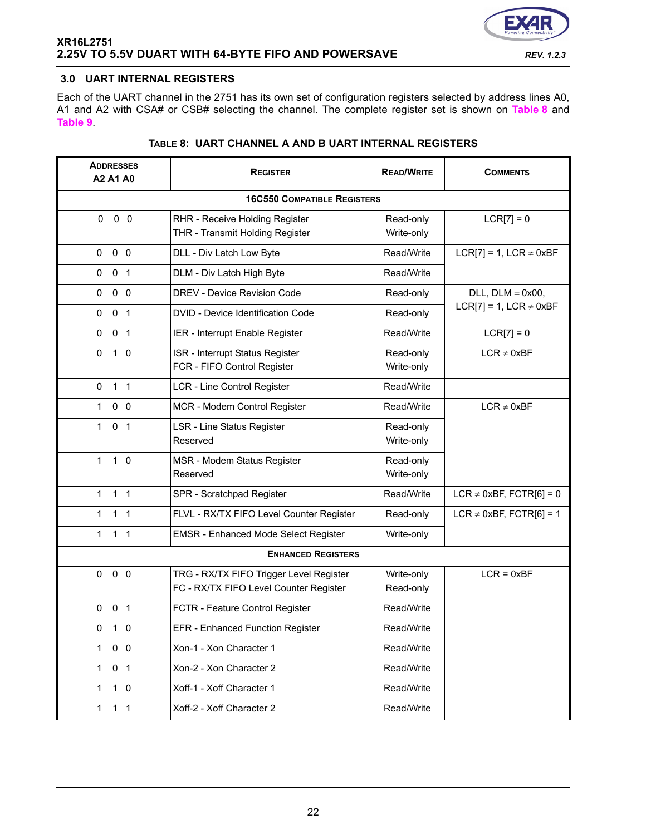![](_page_21_Picture_1.jpeg)

# <span id="page-21-0"></span>**3.0 UART INTERNAL REGISTERS**

Each of the UART channel in the 2751 has its own set of configuration registers selected by address lines A0, A1 and A2 with CSA# or CSB# selecting the channel. The complete register set is shown on **[Table](#page-21-1) 8** and **[Table](#page-22-0) 9**.

<span id="page-21-1"></span>

| <b>ADDRESSES</b><br>A2 A1 A0   | <b>REGISTER</b>                                                                   | <b>READ/WRITE</b>       | <b>COMMENTS</b>              |
|--------------------------------|-----------------------------------------------------------------------------------|-------------------------|------------------------------|
|                                | <b>16C550 COMPATIBLE REGISTERS</b>                                                |                         |                              |
| $0\quad 0$<br>$\Omega$         | RHR - Receive Holding Register<br>THR - Transmit Holding Register                 | Read-only<br>Write-only | $LCR[7] = 0$                 |
| 0 <sub>0</sub><br>0            | DLL - Div Latch Low Byte                                                          | Read/Write              | LCR[7] = 1, LCR $\neq$ 0xBF  |
| 0 <sub>1</sub><br>0            | DLM - Div Latch High Byte                                                         | Read/Write              |                              |
| 0 <sub>0</sub><br>$\mathbf 0$  | DREV - Device Revision Code                                                       | Read-only               | $DLL$ , $DLM = 0x00$ ,       |
| 0 <sub>1</sub><br>0            | DVID - Device Identification Code                                                 | Read-only               | LCR[7] = 1, LCR $\neq$ 0xBF  |
| 0 <sub>1</sub><br>0            | IER - Interrupt Enable Register                                                   | Read/Write              | $LCR[7] = 0$                 |
| $\mathbf 0$<br>$1\quad0$       | ISR - Interrupt Status Register<br>FCR - FIFO Control Register                    | Read-only<br>Write-only | $LCR \neq 0xBF$              |
| 1 <sub>1</sub><br>$\mathbf 0$  | <b>LCR - Line Control Register</b>                                                | Read/Write              |                              |
| 0 <sub>0</sub><br>1            | MCR - Modem Control Register                                                      | Read/Write              | $LCR \neq 0xBF$              |
| $\mathbf{1}$<br>0 <sub>1</sub> | LSR - Line Status Register<br>Reserved                                            | Read-only<br>Write-only |                              |
| 1 <sub>0</sub><br>$\mathbf{1}$ | MSR - Modem Status Register<br>Reserved                                           | Read-only<br>Write-only |                              |
| $1 \quad 1$<br>1               | SPR - Scratchpad Register                                                         | Read/Write              | LCR $\neq$ 0xBF, FCTR[6] = 0 |
| 1 <sub>1</sub><br>$\mathbf{1}$ | FLVL - RX/TX FIFO Level Counter Register                                          | Read-only               | LCR $\neq$ 0xBF, FCTR[6] = 1 |
| 1 <sub>1</sub><br>$\mathbf{1}$ | <b>EMSR - Enhanced Mode Select Register</b>                                       | Write-only              |                              |
|                                | <b>ENHANCED REGISTERS</b>                                                         |                         |                              |
| $0\quad 0$<br>$\mathbf{0}$     | TRG - RX/TX FIFO Trigger Level Register<br>FC - RX/TX FIFO Level Counter Register | Write-only<br>Read-only | $LCR = 0xBF$                 |
| $0 \t0 \t1$                    | FCTR - Feature Control Register                                                   | Read/Write              |                              |
| 0<br>1 0                       | EFR - Enhanced Function Register                                                  | Read/Write              |                              |
| $1 \t0 \t0$                    | Xon-1 - Xon Character 1                                                           | Read/Write              |                              |
| 0 <sub>1</sub><br>1            | Xon-2 - Xon Character 2                                                           | Read/Write              |                              |
| $1\quad0$<br>$\mathbf{1}$      | Xoff-1 - Xoff Character 1                                                         | Read/Write              |                              |
| 1 <sub>1</sub><br>1            | Xoff-2 - Xoff Character 2                                                         | Read/Write              |                              |

# **TABLE 8: UART CHANNEL A AND B UART INTERNAL REGISTERS**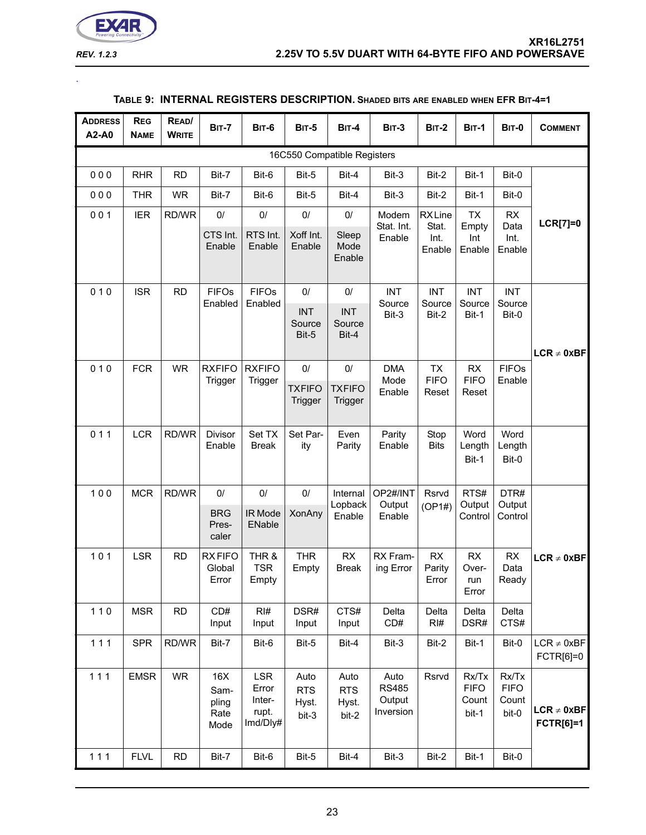![](_page_22_Picture_0.jpeg)

<span id="page-22-0"></span>.

# **TABLE 9: INTERNAL REGISTERS DESCRIPTION. SHADED BITS ARE ENABLED WHEN EFR BIT-4=1**

| <b>ADDRESS</b><br>A2-A0 | <b>REG</b><br><b>NAME</b> | READ/<br><b>WRITE</b> | <b>BIT-7</b>                         | <b>BIT-6</b>                                       | <b>BIT-5</b>                          | <b>BIT-4</b>                          | <b>BIT-3</b>                                | <b>BIT-2</b>                             | <b>BIT-1</b>                           | <b>BIT-0</b>                           | <b>COMMENT</b>                      |
|-------------------------|---------------------------|-----------------------|--------------------------------------|----------------------------------------------------|---------------------------------------|---------------------------------------|---------------------------------------------|------------------------------------------|----------------------------------------|----------------------------------------|-------------------------------------|
|                         |                           |                       |                                      |                                                    |                                       | 16C550 Compatible Registers           |                                             |                                          |                                        |                                        |                                     |
| 000                     | <b>RHR</b>                | <b>RD</b>             | Bit-7                                | Bit-6                                              | Bit-5                                 | Bit-4                                 | Bit-3                                       | Bit-2                                    | Bit-1                                  | Bit-0                                  |                                     |
| 000                     | <b>THR</b>                | <b>WR</b>             | Bit-7                                | Bit-6                                              | Bit-5                                 | Bit-4                                 | Bit-3                                       | Bit-2                                    | Bit-1                                  | Bit-0                                  |                                     |
| 001                     | <b>IER</b>                | RD/WR                 | 0/<br>CTS Int.<br>Enable             | 0/<br>RTS Int.<br>Enable                           | $0/$<br>Xoff Int.<br>Enable           | $0/$<br>Sleep<br>Mode<br>Enable       | Modem<br>Stat. Int.<br>Enable               | <b>RXLine</b><br>Stat.<br>Int.<br>Enable | <b>TX</b><br>Empty<br>Int<br>Enable    | RX<br>Data<br>Int.<br>Enable           | <b>LCR[7]=0</b>                     |
| 010                     | <b>ISR</b>                | <b>RD</b>             | <b>FIFOs</b><br>Enabled              | <b>FIFOs</b><br>Enabled                            | $0/$<br><b>INT</b><br>Source<br>Bit-5 | $0/$<br><b>INT</b><br>Source<br>Bit-4 | <b>INT</b><br>Source<br>Bit-3               | <b>INT</b><br>Source<br>Bit-2            | <b>INT</b><br>Source<br>Bit-1          | <b>INT</b><br>Source<br>Bit-0          | $LCR \neq 0xBF$                     |
| 010                     | <b>FCR</b>                | <b>WR</b>             | <b>RXFIFO</b><br>Trigger             | <b>RXFIFO</b><br>Trigger                           | $0/$<br><b>TXFIFO</b><br>Trigger      | $0/$<br><b>TXFIFO</b><br>Trigger      | <b>DMA</b><br>Mode<br>Enable                | <b>TX</b><br><b>FIFO</b><br>Reset        | RX<br><b>FIFO</b><br>Reset             | <b>FIFOs</b><br>Enable                 |                                     |
| 011                     | <b>LCR</b>                | RD/WR                 | <b>Divisor</b><br>Enable             | Set TX<br><b>Break</b>                             | Set Par-<br>ity                       | Even<br>Parity                        | Parity<br>Enable                            | Stop<br><b>Bits</b>                      | Word<br>Length<br>Bit-1                | Word<br>Length<br>Bit-0                |                                     |
| 100                     | <b>MCR</b>                | RD/WR                 | 0/<br><b>BRG</b><br>Pres-<br>caler   | 0/<br>IR Mode<br>ENable                            | $0/$<br><b>XonAny</b>                 | Internal<br>Lopback<br>Enable         | OP2#/INT<br>Output<br>Enable                | Rsrvd<br>(OP1#)                          | RTS#<br>Output<br>Control              | DTR#<br>Output<br>Control              |                                     |
| 101                     | <b>LSR</b>                | <b>RD</b>             | <b>RXFIFO</b><br>Global<br>Error     | THR &<br><b>TSR</b><br>Empty                       | <b>THR</b><br>Empty                   | RX<br><b>Break</b>                    | RX Fram-<br>ing Error                       | RX<br>Parity<br>Error                    | RX<br>Over-<br>run<br>Error            | RX<br>Data<br>Ready                    | $LCR \neq 0xBF$                     |
| $110$                   | <b>MSR</b>                | <b>RD</b>             | CD#<br>Input                         | RI#<br>Input                                       | DSR#<br>Input                         | CTS#<br>Input                         | Delta<br>CD#                                | Delta<br>RI#                             | Delta<br>DSR#                          | Delta<br>CTS#                          |                                     |
| 111                     | <b>SPR</b>                | RD/WR                 | Bit-7                                | Bit-6                                              | Bit-5                                 | Bit-4                                 | Bit-3                                       | Bit-2                                    | Bit-1                                  | Bit-0                                  | $LCR \neq 0xBF$<br>FCTR[6]=0        |
| $111$                   | <b>EMSR</b>               | <b>WR</b>             | 16X<br>Sam-<br>pling<br>Rate<br>Mode | <b>LSR</b><br>Error<br>Inter-<br>rupt.<br>Imd/Dly# | Auto<br><b>RTS</b><br>Hyst.<br>bit-3  | Auto<br><b>RTS</b><br>Hyst.<br>bit-2  | Auto<br><b>RS485</b><br>Output<br>Inversion | Rsrvd                                    | Rx/Tx<br><b>FIFO</b><br>Count<br>bit-1 | Rx/Tx<br><b>FIFO</b><br>Count<br>bit-0 | $LCR \neq 0xBF$<br><b>FCTR[6]=1</b> |
| 111                     | <b>FLVL</b>               | <b>RD</b>             | Bit-7                                | Bit-6                                              | Bit-5                                 | Bit-4                                 | Bit-3                                       | Bit-2                                    | Bit-1                                  | Bit-0                                  |                                     |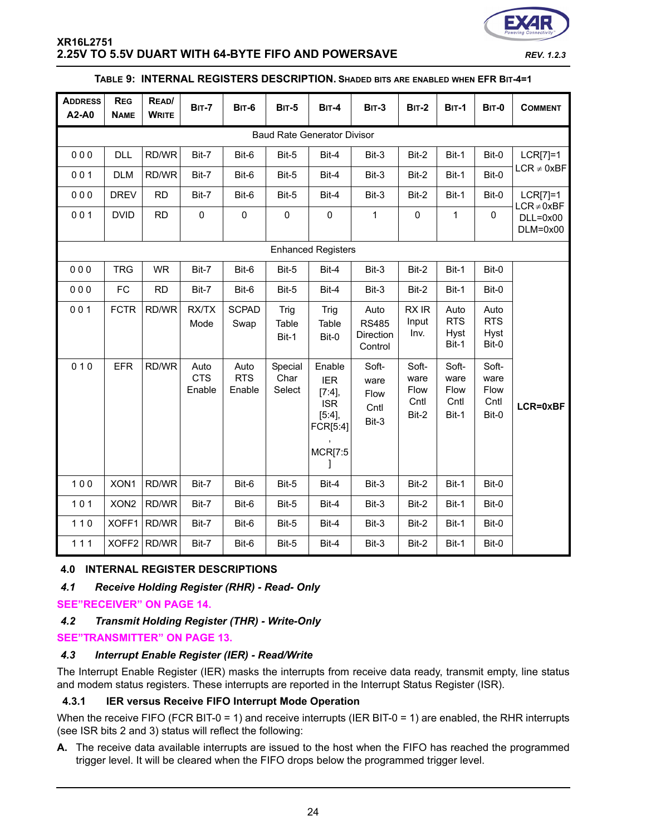![](_page_23_Picture_0.jpeg)

#### **TABLE 9: INTERNAL REGISTERS DESCRIPTION. SHADED BITS ARE ENABLED WHEN EFR BIT-4=1**

| <b>ADDRESS</b><br>A2-A0 | <b>REG</b><br><b>NAME</b>          | READ/<br><b>WRITE</b> | <b>BIT-7</b>                 | <b>BIT-6</b>                 | <b>BIT-5</b>              | $BIT-4$                                                                                 | <b>BIT-3</b>                                 | <b>BIT-2</b>                           | <b>BIT-1</b>                           | <b>BIT-0</b>                           | <b>COMMENT</b>                              |
|-------------------------|------------------------------------|-----------------------|------------------------------|------------------------------|---------------------------|-----------------------------------------------------------------------------------------|----------------------------------------------|----------------------------------------|----------------------------------------|----------------------------------------|---------------------------------------------|
|                         | <b>Baud Rate Generator Divisor</b> |                       |                              |                              |                           |                                                                                         |                                              |                                        |                                        |                                        |                                             |
| 000                     | <b>DLL</b>                         | RD/WR                 | Bit-7                        | Bit-6                        | Bit-5                     | Bit-4                                                                                   | Bit-3                                        | Bit-2                                  | Bit-1                                  | Bit-0                                  | $LCR[7]=1$                                  |
| 001                     | <b>DLM</b>                         | RD/WR                 | Bit-7                        | Bit-6                        | Bit-5                     | Bit-4                                                                                   | Bit-3                                        | Bit-2                                  | Bit-1                                  | Bit-0                                  | $LCR \neq 0xBF$                             |
| 000                     | <b>DREV</b>                        | <b>RD</b>             | Bit-7                        | Bit-6                        | Bit-5                     | Bit-4                                                                                   | Bit-3                                        | Bit-2                                  | Bit-1                                  | Bit-0                                  | $LCR[7]=1$                                  |
| 001                     | <b>DVID</b>                        | <b>RD</b>             | $\pmb{0}$                    | $\pmb{0}$                    | $\mathsf 0$               | $\pmb{0}$                                                                               | $\mathbf{1}$                                 | $\pmb{0}$                              | 1                                      | $\pmb{0}$                              | $LCR \neq 0xBF$<br>$DLL=0x00$<br>$DLM=0x00$ |
|                         |                                    |                       |                              |                              |                           | <b>Enhanced Registers</b>                                                               |                                              |                                        |                                        |                                        |                                             |
| 000                     | <b>TRG</b>                         | <b>WR</b>             | Bit-7                        | Bit-6                        | Bit-5                     | Bit-4                                                                                   | Bit-3                                        | Bit-2                                  | Bit-1                                  | Bit-0                                  |                                             |
| 000                     | FC                                 | <b>RD</b>             | Bit-7                        | Bit-6                        | Bit-5                     | Bit-4                                                                                   | Bit-3                                        | Bit-2                                  | Bit-1                                  | Bit-0                                  |                                             |
| 001                     | <b>FCTR</b>                        | RD/WR                 | RX/TX<br>Mode                | <b>SCPAD</b><br>Swap         | Trig<br>Table<br>Bit-1    | Trig<br>Table<br>Bit-0                                                                  | Auto<br><b>RS485</b><br>Direction<br>Control | RX IR<br>Input<br>Inv.                 | Auto<br><b>RTS</b><br>Hyst<br>Bit-1    | Auto<br><b>RTS</b><br>Hyst<br>Bit-0    |                                             |
| 010                     | <b>EFR</b>                         | RD/WR                 | Auto<br><b>CTS</b><br>Enable | Auto<br><b>RTS</b><br>Enable | Special<br>Char<br>Select | Enable<br><b>IER</b><br>$[7:4]$ ,<br><b>ISR</b><br>[5:4],<br>FCR[5:4]<br><b>MCR[7:5</b> | Soft-<br>ware<br>Flow<br>Cntl<br>Bit-3       | Soft-<br>ware<br>Flow<br>Cntl<br>Bit-2 | Soft-<br>ware<br>Flow<br>Cntl<br>Bit-1 | Soft-<br>ware<br>Flow<br>Cntl<br>Bit-0 | LCR=0xBF                                    |
| 100                     | XON1                               | RD/WR                 | Bit-7                        | Bit-6                        | Bit-5                     | Bit-4                                                                                   | Bit-3                                        | Bit-2                                  | Bit-1                                  | Bit-0                                  |                                             |
| 101                     | XON <sub>2</sub>                   | RD/WR                 | Bit-7                        | Bit-6                        | Bit-5                     | Bit-4                                                                                   | Bit-3                                        | Bit-2                                  | Bit-1                                  | Bit-0                                  |                                             |
| $110$                   | XOFF1                              | RD/WR                 | Bit-7                        | Bit-6                        | Bit-5                     | Bit-4                                                                                   | Bit-3                                        | Bit-2                                  | Bit-1                                  | Bit-0                                  |                                             |
| $111$                   | XOFF2                              | RD/WR                 | Bit-7                        | Bit-6                        | Bit-5                     | Bit-4                                                                                   | Bit-3                                        | Bit-2                                  | Bit-1                                  | Bit-0                                  |                                             |

# **4.0 INTERNAL REGISTER DESCRIPTIONS**

*4.1 Receive Holding Register (RHR) - Read- Only*

**[SEE"RECEIVER" ON PAGE](#page-13-0) 14.**

# *4.2 Transmit Holding Register (THR) - Write-Only*

# **[SEE"TRANSMITTER" ON PAGE](#page-12-0) 13.**

# *4.3 Interrupt Enable Register (IER) - Read/Write*

The Interrupt Enable Register (IER) masks the interrupts from receive data ready, transmit empty, line status and modem status registers. These interrupts are reported in the Interrupt Status Register (ISR).

# **4.3.1 IER versus Receive FIFO Interrupt Mode Operation**

When the receive FIFO (FCR BIT-0 = 1) and receive interrupts (IER BIT-0 = 1) are enabled, the RHR interrupts (see ISR bits 2 and 3) status will reflect the following:

**A.** The receive data available interrupts are issued to the host when the FIFO has reached the programmed trigger level. It will be cleared when the FIFO drops below the programmed trigger level.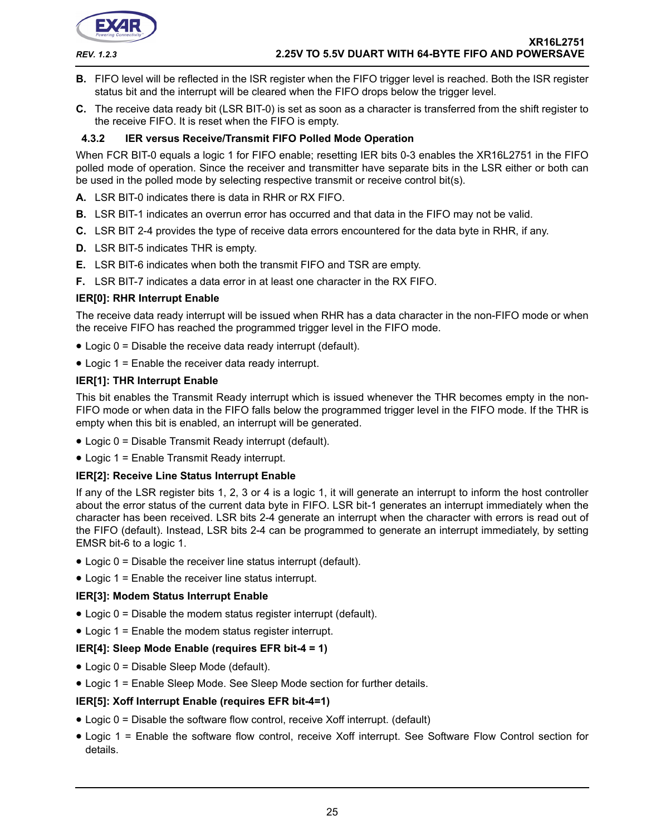![](_page_24_Picture_0.jpeg)

- **B.** FIFO level will be reflected in the ISR register when the FIFO trigger level is reached. Both the ISR register status bit and the interrupt will be cleared when the FIFO drops below the trigger level.
- **C.** The receive data ready bit (LSR BIT-0) is set as soon as a character is transferred from the shift register to the receive FIFO. It is reset when the FIFO is empty.

# **4.3.2 IER versus Receive/Transmit FIFO Polled Mode Operation**

When FCR BIT-0 equals a logic 1 for FIFO enable; resetting IER bits 0-3 enables the XR16L2751 in the FIFO polled mode of operation. Since the receiver and transmitter have separate bits in the LSR either or both can be used in the polled mode by selecting respective transmit or receive control bit(s).

- **A.** LSR BIT-0 indicates there is data in RHR or RX FIFO.
- **B.** LSR BIT-1 indicates an overrun error has occurred and that data in the FIFO may not be valid.
- **C.** LSR BIT 2-4 provides the type of receive data errors encountered for the data byte in RHR, if any.
- **D.** LSR BIT-5 indicates THR is empty.
- **E.** LSR BIT-6 indicates when both the transmit FIFO and TSR are empty.
- **F.** LSR BIT-7 indicates a data error in at least one character in the RX FIFO.

#### **IER[0]: RHR Interrupt Enable**

The receive data ready interrupt will be issued when RHR has a data character in the non-FIFO mode or when the receive FIFO has reached the programmed trigger level in the FIFO mode.

- Logic 0 = Disable the receive data ready interrupt (default).
- Logic 1 = Enable the receiver data ready interrupt.

#### **IER[1]: THR Interrupt Enable**

This bit enables the Transmit Ready interrupt which is issued whenever the THR becomes empty in the non-FIFO mode or when data in the FIFO falls below the programmed trigger level in the FIFO mode. If the THR is empty when this bit is enabled, an interrupt will be generated.

- Logic 0 = Disable Transmit Ready interrupt (default).
- Logic 1 = Enable Transmit Ready interrupt.

#### **IER[2]: Receive Line Status Interrupt Enable**

If any of the LSR register bits 1, 2, 3 or 4 is a logic 1, it will generate an interrupt to inform the host controller about the error status of the current data byte in FIFO. LSR bit-1 generates an interrupt immediately when the character has been received. LSR bits 2-4 generate an interrupt when the character with errors is read out of the FIFO (default). Instead, LSR bits 2-4 can be programmed to generate an interrupt immediately, by setting EMSR bit-6 to a logic 1.

- Logic 0 = Disable the receiver line status interrupt (default).
- Logic 1 = Enable the receiver line status interrupt.

# **IER[3]: Modem Status Interrupt Enable**

- Logic 0 = Disable the modem status register interrupt (default).
- Logic 1 = Enable the modem status register interrupt.

# **IER[4]: Sleep Mode Enable (requires EFR bit-4 = 1)**

- Logic 0 = Disable Sleep Mode (default).
- Logic 1 = Enable Sleep Mode. See Sleep Mode section for further details.

#### **IER[5]: Xoff Interrupt Enable (requires EFR bit-4=1)**

- Logic 0 = Disable the software flow control, receive Xoff interrupt. (default)
- Logic 1 = Enable the software flow control, receive Xoff interrupt. See Software Flow Control section for details.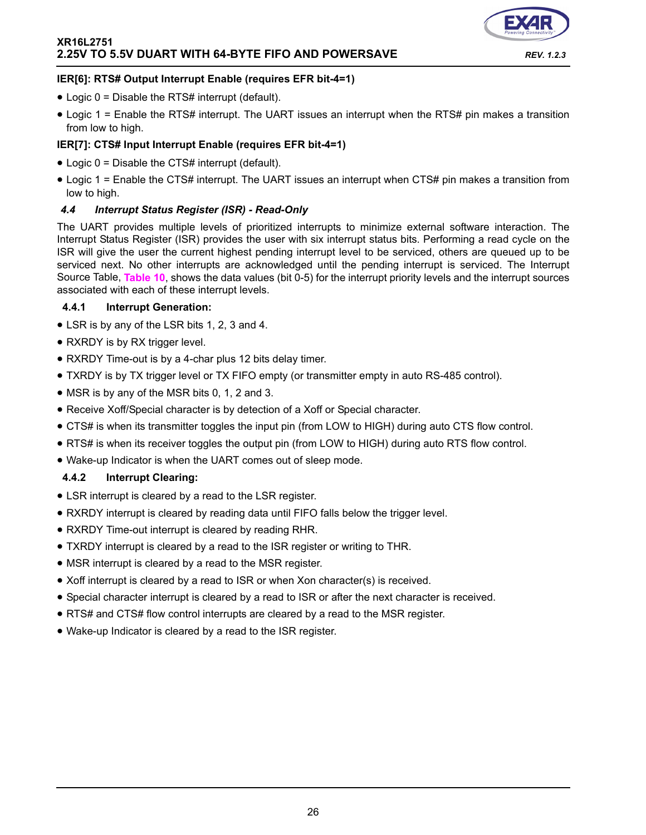![](_page_25_Picture_1.jpeg)

# **IER[6]: RTS# Output Interrupt Enable (requires EFR bit-4=1)**

- Logic 0 = Disable the RTS# interrupt (default).
- Logic 1 = Enable the RTS# interrupt. The UART issues an interrupt when the RTS# pin makes a transition from low to high.

# **IER[7]: CTS# Input Interrupt Enable (requires EFR bit-4=1)**

- Logic 0 = Disable the CTS# interrupt (default).
- Logic 1 = Enable the CTS# interrupt. The UART issues an interrupt when CTS# pin makes a transition from low to high.

#### <span id="page-25-0"></span>*4.4 Interrupt Status Register (ISR) - Read-Only*

The UART provides multiple levels of prioritized interrupts to minimize external software interaction. The Interrupt Status Register (ISR) provides the user with six interrupt status bits. Performing a read cycle on the ISR will give the user the current highest pending interrupt level to be serviced, others are queued up to be serviced next. No other interrupts are acknowledged until the pending interrupt is serviced. The Interrupt Source Table, **[Table](#page-26-0) 10**, shows the data values (bit 0-5) for the interrupt priority levels and the interrupt sources associated with each of these interrupt levels.

#### **4.4.1 Interrupt Generation:**

- LSR is by any of the LSR bits 1, 2, 3 and 4.
- RXRDY is by RX trigger level.
- RXRDY Time-out is by a 4-char plus 12 bits delay timer.
- TXRDY is by TX trigger level or TX FIFO empty (or transmitter empty in auto RS-485 control).
- MSR is by any of the MSR bits 0, 1, 2 and 3.
- Receive Xoff/Special character is by detection of a Xoff or Special character.
- CTS# is when its transmitter toggles the input pin (from LOW to HIGH) during auto CTS flow control.
- RTS# is when its receiver toggles the output pin (from LOW to HIGH) during auto RTS flow control.
- Wake-up Indicator is when the UART comes out of sleep mode.

# **4.4.2 Interrupt Clearing:**

- LSR interrupt is cleared by a read to the LSR register.
- RXRDY interrupt is cleared by reading data until FIFO falls below the trigger level.
- RXRDY Time-out interrupt is cleared by reading RHR.
- TXRDY interrupt is cleared by a read to the ISR register or writing to THR.
- MSR interrupt is cleared by a read to the MSR register.
- Xoff interrupt is cleared by a read to ISR or when Xon character(s) is received.
- Special character interrupt is cleared by a read to ISR or after the next character is received.
- RTS# and CTS# flow control interrupts are cleared by a read to the MSR register.
- Wake-up Indicator is cleared by a read to the ISR register.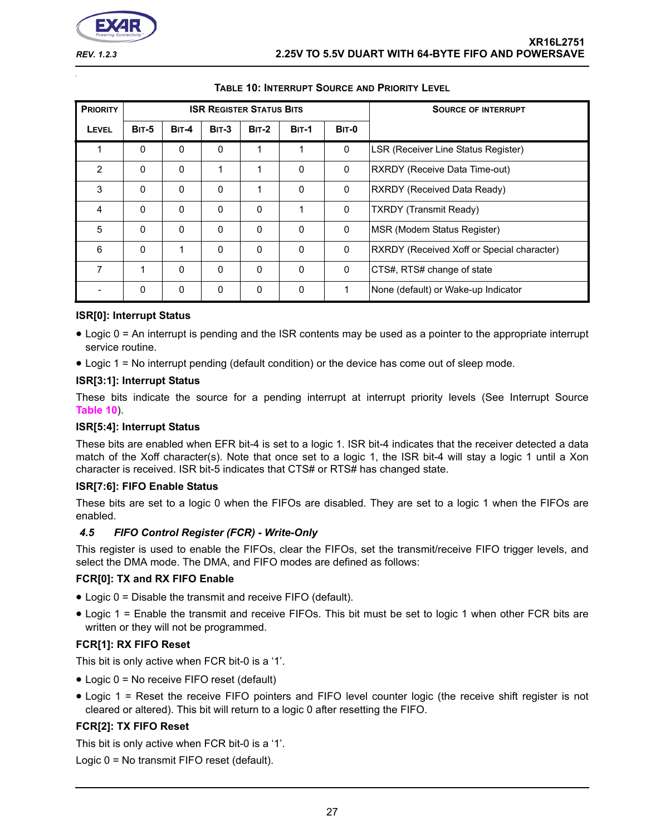![](_page_26_Picture_0.jpeg)

<span id="page-26-0"></span>

| <b>PRIORITY</b> |              |          | <b>ISR REGISTER STATUS BITS</b> |              |              |              | <b>SOURCE OF INTERRUPT</b>                        |
|-----------------|--------------|----------|---------------------------------|--------------|--------------|--------------|---------------------------------------------------|
| <b>LEVEL</b>    | <b>BIT-5</b> | $BIT-4$  | <b>BIT-3</b>                    | <b>BIT-2</b> | <b>BIT-1</b> | <b>BIT-0</b> |                                                   |
| 1               | $\Omega$     | $\Omega$ | 0                               | 1            | 1            | 0            | LSR (Receiver Line Status Register)               |
| $\overline{2}$  | $\Omega$     | 0        | 1                               |              | $\Omega$     | 0            | RXRDY (Receive Data Time-out)                     |
| 3               | $\mathbf{0}$ | $\Omega$ | 0                               |              | $\Omega$     | 0            | RXRDY (Received Data Ready)                       |
| 4               | 0            | 0        | $\Omega$                        | $\mathbf{0}$ | $\mathbf{1}$ | 0            | <b>TXRDY</b> (Transmit Ready)                     |
| 5               | $\Omega$     | $\Omega$ | $\Omega$                        | $\Omega$     | $\Omega$     | $\mathbf{0}$ | MSR (Modem Status Register)                       |
| 6               | $\Omega$     | 1        | 0                               | $\mathbf{0}$ | $\Omega$     | $\Omega$     | <b>RXRDY</b> (Received Xoff or Special character) |
| 7               |              | $\Omega$ | 0                               | $\Omega$     | $\Omega$     | 0            | CTS#, RTS# change of state                        |
|                 | $\mathbf{0}$ | 0        | $\Omega$                        | 0            | $\Omega$     | 1            | None (default) or Wake-up Indicator               |

# **TABLE 10: INTERRUPT SOURCE AND PRIORITY LEVEL**

#### **ISR[0]: Interrupt Status**

- Logic 0 = An interrupt is pending and the ISR contents may be used as a pointer to the appropriate interrupt service routine.
- Logic 1 = No interrupt pending (default condition) or the device has come out of sleep mode.

#### **ISR[3:1]: Interrupt Status**

These bits indicate the source for a pending interrupt at interrupt priority levels (See Interrupt Source **[Table](#page-26-0) 10**).

# **ISR[5:4]: Interrupt Status**

These bits are enabled when EFR bit-4 is set to a logic 1. ISR bit-4 indicates that the receiver detected a data match of the Xoff character(s). Note that once set to a logic 1, the ISR bit-4 will stay a logic 1 until a Xon character is received. ISR bit-5 indicates that CTS# or RTS# has changed state.

#### **ISR[7:6]: FIFO Enable Status**

These bits are set to a logic 0 when the FIFOs are disabled. They are set to a logic 1 when the FIFOs are enabled.

# *4.5 FIFO Control Register (FCR) - Write-Only*

This register is used to enable the FIFOs, clear the FIFOs, set the transmit/receive FIFO trigger levels, and select the DMA mode. The DMA, and FIFO modes are defined as follows:

# **FCR[0]: TX and RX FIFO Enable**

- Logic 0 = Disable the transmit and receive FIFO (default).
- Logic 1 = Enable the transmit and receive FIFOs. This bit must be set to logic 1 when other FCR bits are written or they will not be programmed.

# **FCR[1]: RX FIFO Reset**

This bit is only active when FCR bit-0 is a '1'.

- Logic 0 = No receive FIFO reset (default)
- Logic 1 = Reset the receive FIFO pointers and FIFO level counter logic (the receive shift register is not cleared or altered). This bit will return to a logic 0 after resetting the FIFO.

# **FCR[2]: TX FIFO Reset**

This bit is only active when FCR bit-0 is a '1'.

Logic 0 = No transmit FIFO reset (default).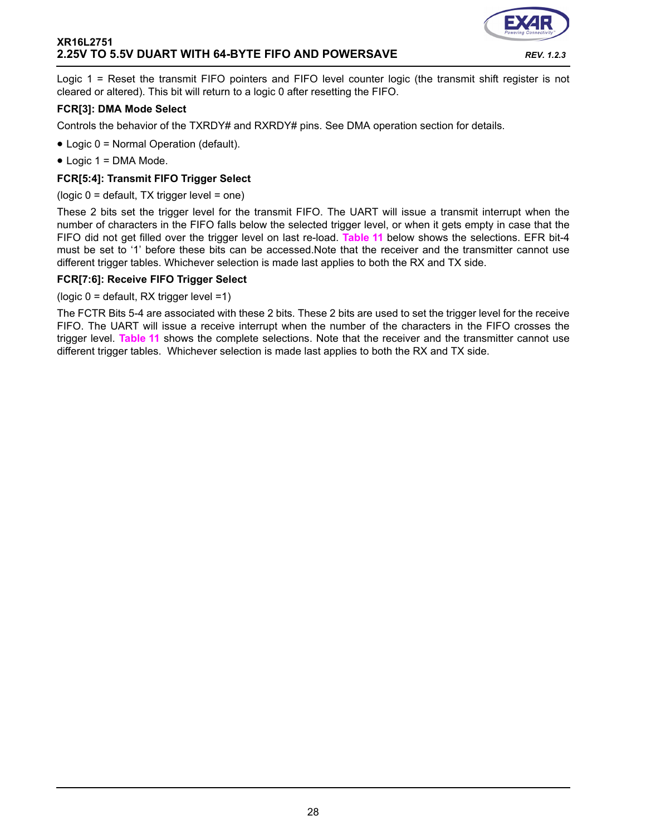![](_page_27_Picture_1.jpeg)

Logic 1 = Reset the transmit FIFO pointers and FIFO level counter logic (the transmit shift register is not cleared or altered). This bit will return to a logic 0 after resetting the FIFO.

#### **FCR[3]: DMA Mode Select**

Controls the behavior of the TXRDY# and RXRDY# pins. See DMA operation section for details.

- Logic 0 = Normal Operation (default).
- Logic 1 = DMA Mode.

#### **FCR[5:4]: Transmit FIFO Trigger Select**

(logic 0 = default, TX trigger level = one)

These 2 bits set the trigger level for the transmit FIFO. The UART will issue a transmit interrupt when the number of characters in the FIFO falls below the selected trigger level, or when it gets empty in case that the FIFO did not get filled over the trigger level on last re-load. **[Table](#page-28-0) 11** below shows the selections. EFR bit-4 must be set to '1' before these bits can be accessed.Note that the receiver and the transmitter cannot use different trigger tables. Whichever selection is made last applies to both the RX and TX side.

#### **FCR[7:6]: Receive FIFO Trigger Select**

(logic 0 = default, RX trigger level =1)

The FCTR Bits 5-4 are associated with these 2 bits. These 2 bits are used to set the trigger level for the receive FIFO. The UART will issue a receive interrupt when the number of the characters in the FIFO crosses the trigger level. **[Table](#page-28-0) 11** shows the complete selections. Note that the receiver and the transmitter cannot use different trigger tables. Whichever selection is made last applies to both the RX and TX side.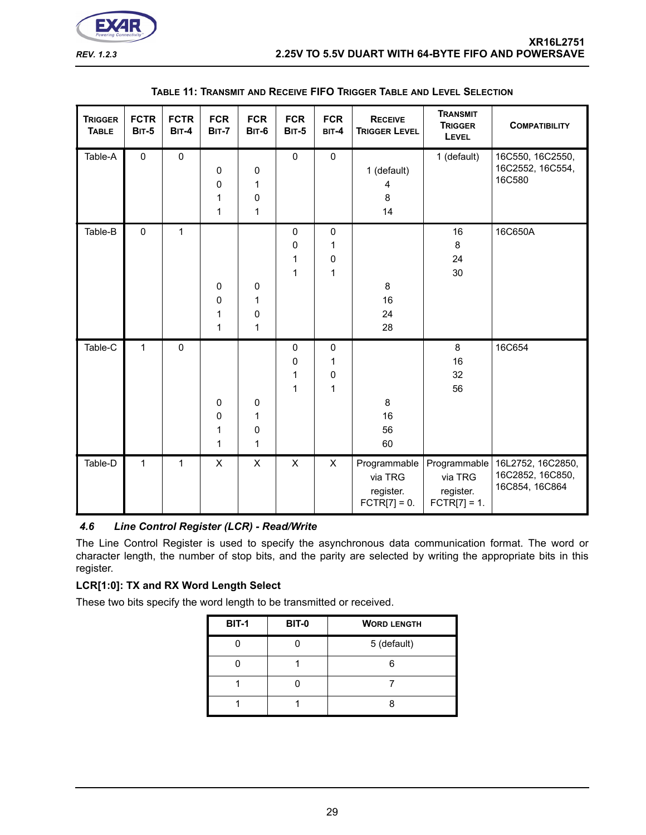![](_page_28_Picture_0.jpeg)

<span id="page-28-0"></span>

| <b>TRIGGER</b><br><b>TABLE</b> | <b>FCTR</b><br><b>BIT-5</b> | <b>FCTR</b><br><b>BIT-4</b> | <b>FCR</b><br><b>BIT-7</b>           | <b>FCR</b><br><b>BIT-6</b>  | <b>FCR</b><br><b>BIT-5</b> | <b>FCR</b><br>BIT-4                                    | <b>RECEIVE</b><br><b>TRIGGER LEVEL</b>                 | <b>TRANSMIT</b><br><b>TRIGGER</b><br>LEVEL | <b>COMPATIBILITY</b>                                                   |
|--------------------------------|-----------------------------|-----------------------------|--------------------------------------|-----------------------------|----------------------------|--------------------------------------------------------|--------------------------------------------------------|--------------------------------------------|------------------------------------------------------------------------|
| Table-A                        | $\mathbf 0$                 | $\mathbf 0$                 | $\mathbf 0$<br>0<br>1<br>1           | 0<br>1<br>0<br>$\mathbf{1}$ | $\pmb{0}$                  | $\pmb{0}$                                              | 1 (default)<br>4<br>8<br>14                            | 1 (default)                                | 16C550, 16C2550,<br>16C2552, 16C554,<br>16C580                         |
| Table-B                        | $\mathbf 0$                 | 1                           | $\mathbf 0$<br>$\mathbf 0$<br>1<br>1 | $\pmb{0}$<br>1<br>0<br>1    | $\pmb{0}$<br>0<br>1<br>1   | $\pmb{0}$<br>$\mathbf{1}$<br>$\pmb{0}$<br>$\mathbf{1}$ | 8<br>16<br>24<br>28                                    | 16<br>8<br>24<br>30                        | 16C650A                                                                |
| Table-C                        | $\mathbf{1}$                | $\pmb{0}$                   | $\pmb{0}$<br>0<br>1<br>1             | 0<br>1<br>0<br>$\mathbf{1}$ | $\pmb{0}$<br>0<br>1<br>1   | $\pmb{0}$<br>1<br>$\pmb{0}$<br>1                       | 8<br>16<br>56<br>60                                    | 8<br>16<br>32<br>56                        | 16C654                                                                 |
| Table-D                        | $\mathbf{1}$                | 1                           | X                                    | X                           | $\mathsf{X}$               | $\mathsf{X}$                                           | Programmable<br>via TRG<br>register.<br>$FCTR[7] = 0.$ | via TRG<br>register.<br>$FCTR[7] = 1.$     | Programmable   16L2752, 16C2850,<br>16C2852, 16C850,<br>16C854, 16C864 |

#### **TABLE 11: TRANSMIT AND RECEIVE FIFO TRIGGER TABLE AND LEVEL SELECTION**

# *4.6 Line Control Register (LCR) - Read/Write*

The Line Control Register is used to specify the asynchronous data communication format. The word or character length, the number of stop bits, and the parity are selected by writing the appropriate bits in this register.

# **LCR[1:0]: TX and RX Word Length Select**

These two bits specify the word length to be transmitted or received.

| <b>BIT-1</b> | <b>BIT-0</b> | <b>WORD LENGTH</b> |
|--------------|--------------|--------------------|
|              |              | 5 (default)        |
|              |              |                    |
|              |              |                    |
|              |              |                    |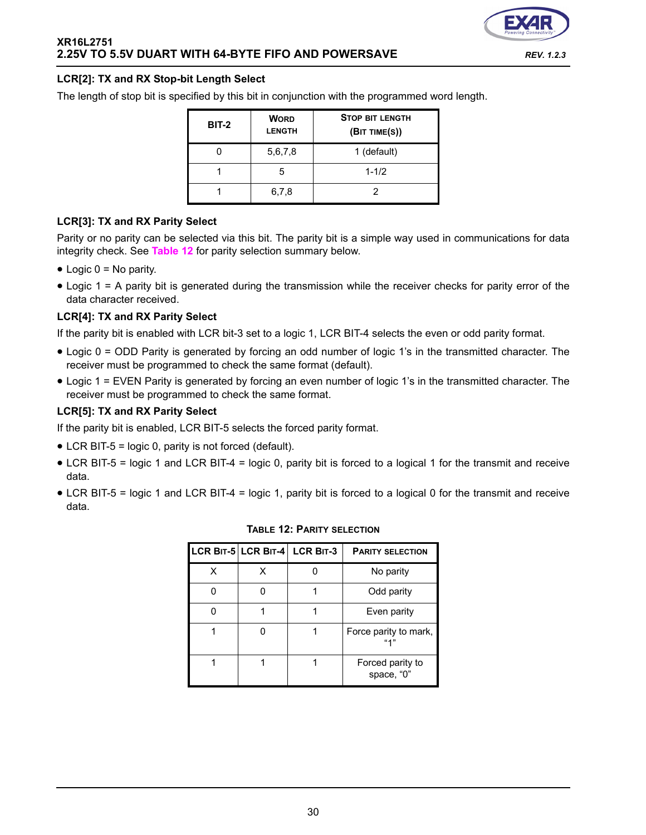![](_page_29_Picture_1.jpeg)

# **LCR[2]: TX and RX Stop-bit Length Select**

The length of stop bit is specified by this bit in conjunction with the programmed word length.

| BIT-2 | <b>WORD</b><br><b>LENGTH</b> | <b>STOP BIT LENGTH</b><br>(BIT TIME(S)) |
|-------|------------------------------|-----------------------------------------|
|       | 5,6,7,8                      | 1 (default)                             |
|       | 5                            | $1 - 1/2$                               |
|       | 6,7,8                        |                                         |

# **LCR[3]: TX and RX Parity Select**

Parity or no parity can be selected via this bit. The parity bit is a simple way used in communications for data integrity check. See **[Table](#page-29-0) 12** for parity selection summary below.

- $\bullet$  Logic  $0 = No$  parity.
- Logic 1 = A parity bit is generated during the transmission while the receiver checks for parity error of the data character received.

# **LCR[4]: TX and RX Parity Select**

If the parity bit is enabled with LCR bit-3 set to a logic 1, LCR BIT-4 selects the even or odd parity format.

- Logic 0 = ODD Parity is generated by forcing an odd number of logic 1's in the transmitted character. The receiver must be programmed to check the same format (default).
- Logic 1 = EVEN Parity is generated by forcing an even number of logic 1's in the transmitted character. The receiver must be programmed to check the same format.

# **LCR[5]: TX and RX Parity Select**

If the parity bit is enabled, LCR BIT-5 selects the forced parity format.

- LCR BIT-5 = logic 0, parity is not forced (default).
- LCR BIT-5 = logic 1 and LCR BIT-4 = logic 0, parity bit is forced to a logical 1 for the transmit and receive data.
- <span id="page-29-0"></span>• LCR BIT-5 = logic 1 and LCR BIT-4 = logic 1, parity bit is forced to a logical 0 for the transmit and receive data.

|   |   | LCR BIT-5 LCR BIT-4 LCR BIT-3 | <b>PARITY SELECTION</b>        |
|---|---|-------------------------------|--------------------------------|
| х | x |                               | No parity                      |
|   |   |                               | Odd parity                     |
|   |   |                               | Even parity                    |
|   |   |                               | Force parity to mark,<br>(14)  |
|   |   |                               | Forced parity to<br>space, "0" |

#### **TABLE 12: PARITY SELECTION**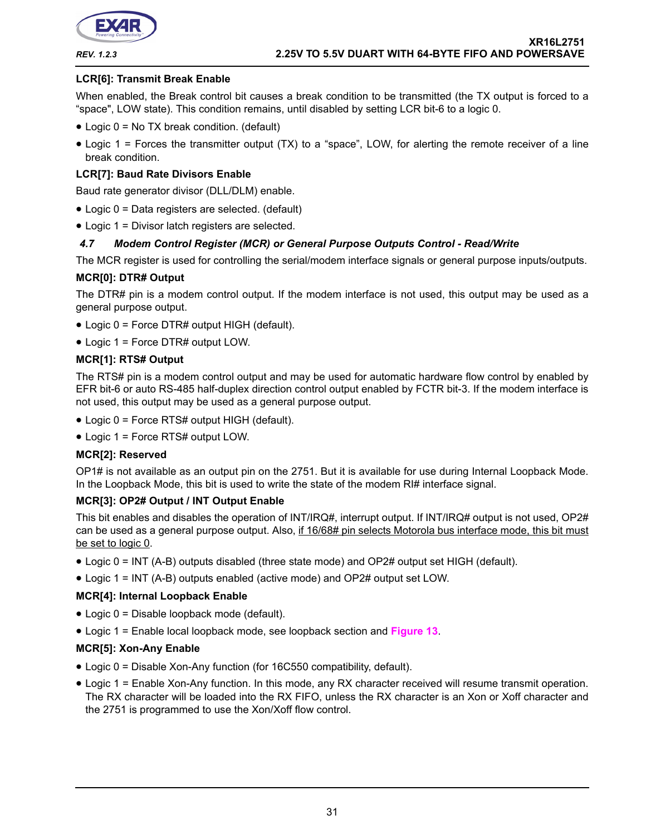![](_page_30_Picture_0.jpeg)

#### **LCR[6]: Transmit Break Enable**

When enabled, the Break control bit causes a break condition to be transmitted (the TX output is forced to a "space", LOW state). This condition remains, until disabled by setting LCR bit-6 to a logic 0.

- Logic 0 = No TX break condition. (default)
- Logic 1 = Forces the transmitter output (TX) to a "space", LOW, for alerting the remote receiver of a line break condition.

# **LCR[7]: Baud Rate Divisors Enable**

Baud rate generator divisor (DLL/DLM) enable.

- Logic 0 = Data registers are selected. (default)
- Logic 1 = Divisor latch registers are selected.

#### *4.7 Modem Control Register (MCR) or General Purpose Outputs Control - Read/Write*

The MCR register is used for controlling the serial/modem interface signals or general purpose inputs/outputs.

#### **MCR[0]: DTR# Output**

The DTR# pin is a modem control output. If the modem interface is not used, this output may be used as a general purpose output.

- Logic 0 = Force DTR# output HIGH (default).
- Logic 1 = Force DTR# output LOW.

#### **MCR[1]: RTS# Output**

The RTS# pin is a modem control output and may be used for automatic hardware flow control by enabled by EFR bit-6 or auto RS-485 half-duplex direction control output enabled by FCTR bit-3. If the modem interface is not used, this output may be used as a general purpose output.

- Logic 0 = Force RTS# output HIGH (default).
- Logic 1 = Force RTS# output LOW.

#### **MCR[2]: Reserved**

OP1# is not available as an output pin on the 2751. But it is available for use during Internal Loopback Mode. In the Loopback Mode, this bit is used to write the state of the modem RI# interface signal.

#### **MCR[3]: OP2# Output / INT Output Enable**

This bit enables and disables the operation of INT/IRQ#, interrupt output. If INT/IRQ# output is not used, OP2# can be used as a general purpose output. Also, if 16/68# pin selects Motorola bus interface mode, this bit must be set to logic 0.

- Logic 0 = INT (A-B) outputs disabled (three state mode) and OP2# output set HIGH (default).
- Logic 1 = INT (A-B) outputs enabled (active mode) and OP2# output set LOW.

#### **MCR[4]: Internal Loopback Enable**

- Logic 0 = Disable loopback mode (default).
- Logic 1 = Enable local loopback mode, see loopback section and **[Figure](#page-20-0) 13**.

#### **MCR[5]: Xon-Any Enable**

- Logic 0 = Disable Xon-Any function (for 16C550 compatibility, default).
- Logic 1 = Enable Xon-Any function. In this mode, any RX character received will resume transmit operation. The RX character will be loaded into the RX FIFO, unless the RX character is an Xon or Xoff character and the 2751 is programmed to use the Xon/Xoff flow control.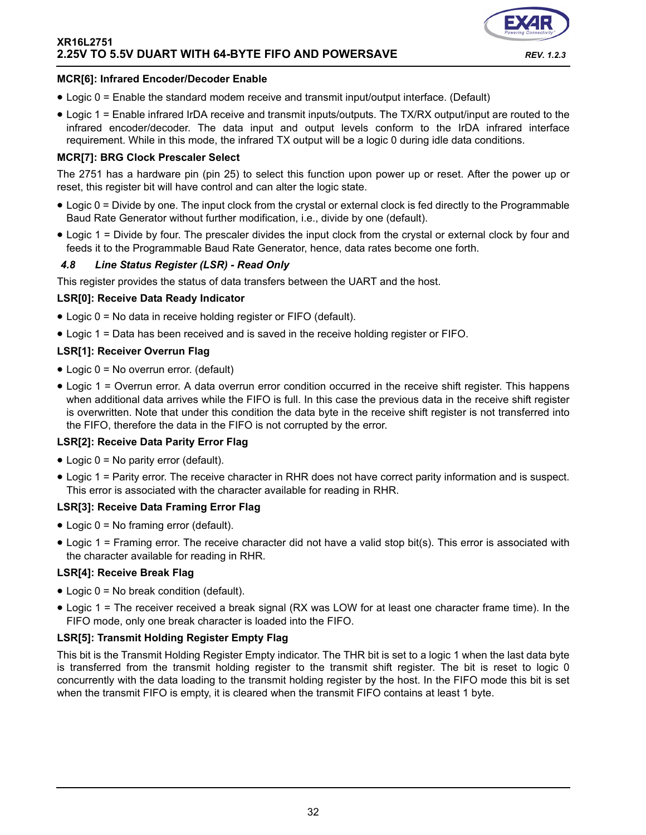![](_page_31_Picture_1.jpeg)

#### **MCR[6]: Infrared Encoder/Decoder Enable**

- Logic 0 = Enable the standard modem receive and transmit input/output interface. (Default)
- Logic 1 = Enable infrared IrDA receive and transmit inputs/outputs. The TX/RX output/input are routed to the infrared encoder/decoder. The data input and output levels conform to the IrDA infrared interface requirement. While in this mode, the infrared TX output will be a logic 0 during idle data conditions.

#### **MCR[7]: BRG Clock Prescaler Select**

The 2751 has a hardware pin (pin 25) to select this function upon power up or reset. After the power up or reset, this register bit will have control and can alter the logic state.

- Logic 0 = Divide by one. The input clock from the crystal or external clock is fed directly to the Programmable Baud Rate Generator without further modification, i.e., divide by one (default).
- Logic 1 = Divide by four. The prescaler divides the input clock from the crystal or external clock by four and feeds it to the Programmable Baud Rate Generator, hence, data rates become one forth.

#### *4.8 Line Status Register (LSR) - Read Only*

This register provides the status of data transfers between the UART and the host.

#### **LSR[0]: Receive Data Ready Indicator**

- Logic 0 = No data in receive holding register or FIFO (default).
- Logic 1 = Data has been received and is saved in the receive holding register or FIFO.

# **LSR[1]: Receiver Overrun Flag**

- Logic 0 = No overrun error. (default)
- Logic 1 = Overrun error. A data overrun error condition occurred in the receive shift register. This happens when additional data arrives while the FIFO is full. In this case the previous data in the receive shift register is overwritten. Note that under this condition the data byte in the receive shift register is not transferred into the FIFO, therefore the data in the FIFO is not corrupted by the error.

# **LSR[2]: Receive Data Parity Error Flag**

- Logic 0 = No parity error (default).
- Logic 1 = Parity error. The receive character in RHR does not have correct parity information and is suspect. This error is associated with the character available for reading in RHR.

# **LSR[3]: Receive Data Framing Error Flag**

- Logic 0 = No framing error (default).
- Logic 1 = Framing error. The receive character did not have a valid stop bit(s). This error is associated with the character available for reading in RHR.

#### **LSR[4]: Receive Break Flag**

- Logic 0 = No break condition (default).
- Logic 1 = The receiver received a break signal (RX was LOW for at least one character frame time). In the FIFO mode, only one break character is loaded into the FIFO.

#### **LSR[5]: Transmit Holding Register Empty Flag**

This bit is the Transmit Holding Register Empty indicator. The THR bit is set to a logic 1 when the last data byte is transferred from the transmit holding register to the transmit shift register. The bit is reset to logic 0 concurrently with the data loading to the transmit holding register by the host. In the FIFO mode this bit is set when the transmit FIFO is empty, it is cleared when the transmit FIFO contains at least 1 byte.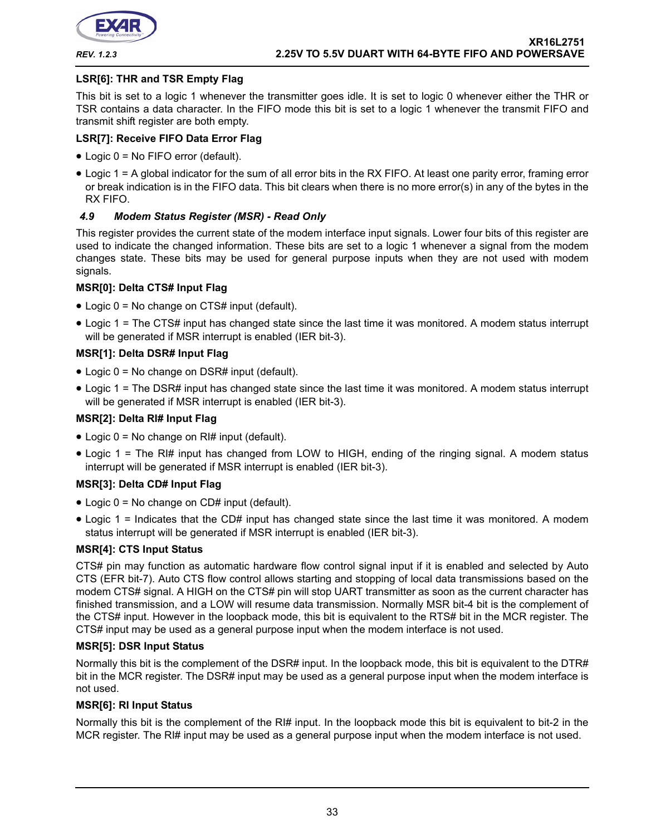![](_page_32_Picture_0.jpeg)

### **LSR[6]: THR and TSR Empty Flag**

This bit is set to a logic 1 whenever the transmitter goes idle. It is set to logic 0 whenever either the THR or TSR contains a data character. In the FIFO mode this bit is set to a logic 1 whenever the transmit FIFO and transmit shift register are both empty.

# **LSR[7]: Receive FIFO Data Error Flag**

- Logic 0 = No FIFO error (default).
- Logic 1 = A global indicator for the sum of all error bits in the RX FIFO. At least one parity error, framing error or break indication is in the FIFO data. This bit clears when there is no more error(s) in any of the bytes in the RX FIFO.

#### *4.9 Modem Status Register (MSR) - Read Only*

This register provides the current state of the modem interface input signals. Lower four bits of this register are used to indicate the changed information. These bits are set to a logic 1 whenever a signal from the modem changes state. These bits may be used for general purpose inputs when they are not used with modem signals.

#### **MSR[0]: Delta CTS# Input Flag**

- Logic 0 = No change on CTS# input (default).
- Logic 1 = The CTS# input has changed state since the last time it was monitored. A modem status interrupt will be generated if MSR interrupt is enabled (IER bit-3).

#### **MSR[1]: Delta DSR# Input Flag**

- Logic 0 = No change on DSR# input (default).
- Logic 1 = The DSR# input has changed state since the last time it was monitored. A modem status interrupt will be generated if MSR interrupt is enabled (IER bit-3).

# **MSR[2]: Delta RI# Input Flag**

- Logic 0 = No change on RI# input (default).
- Logic 1 = The RI# input has changed from LOW to HIGH, ending of the ringing signal. A modem status interrupt will be generated if MSR interrupt is enabled (IER bit-3).

#### **MSR[3]: Delta CD# Input Flag**

- Logic  $0 = No$  change on CD# input (default).
- Logic 1 = Indicates that the CD# input has changed state since the last time it was monitored. A modem status interrupt will be generated if MSR interrupt is enabled (IER bit-3).

#### **MSR[4]: CTS Input Status**

CTS# pin may function as automatic hardware flow control signal input if it is enabled and selected by Auto CTS (EFR bit-7). Auto CTS flow control allows starting and stopping of local data transmissions based on the modem CTS# signal. A HIGH on the CTS# pin will stop UART transmitter as soon as the current character has finished transmission, and a LOW will resume data transmission. Normally MSR bit-4 bit is the complement of the CTS# input. However in the loopback mode, this bit is equivalent to the RTS# bit in the MCR register. The CTS# input may be used as a general purpose input when the modem interface is not used.

#### **MSR[5]: DSR Input Status**

Normally this bit is the complement of the DSR# input. In the loopback mode, this bit is equivalent to the DTR# bit in the MCR register. The DSR# input may be used as a general purpose input when the modem interface is not used.

#### **MSR[6]: RI Input Status**

Normally this bit is the complement of the RI# input. In the loopback mode this bit is equivalent to bit-2 in the MCR register. The RI# input may be used as a general purpose input when the modem interface is not used.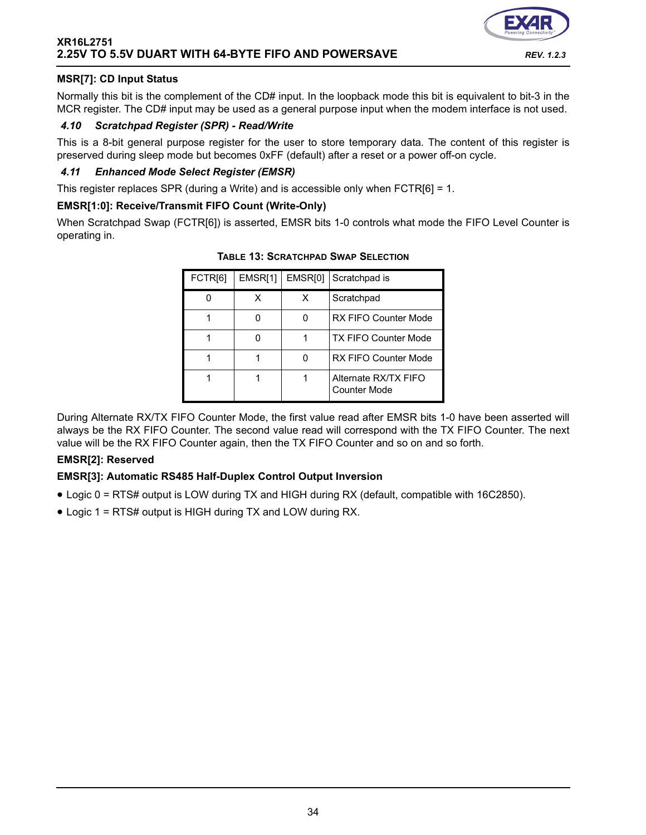# **MSR[7]: CD Input Status**

Normally this bit is the complement of the CD# input. In the loopback mode this bit is equivalent to bit-3 in the MCR register. The CD# input may be used as a general purpose input when the modem interface is not used.

#### *4.10 Scratchpad Register (SPR) - Read/Write*

This is a 8-bit general purpose register for the user to store temporary data. The content of this register is preserved during sleep mode but becomes 0xFF (default) after a reset or a power off-on cycle.

#### *4.11 Enhanced Mode Select Register (EMSR)*

This register replaces SPR (during a Write) and is accessible only when FCTR[6] = 1.

#### **EMSR[1:0]: Receive/Transmit FIFO Count (Write-Only)**

<span id="page-33-0"></span>When Scratchpad Swap (FCTR[6]) is asserted, EMSR bits 1-0 controls what mode the FIFO Level Counter is operating in.

| FCTR[6] | EMSR[1] | EMSR[0] | Scratchpad is                        |
|---------|---------|---------|--------------------------------------|
|         | х       | х       | Scratchpad                           |
|         |         | O       | <b>RX FIFO Counter Mode</b>          |
|         |         |         | <b>TX FIFO Counter Mode</b>          |
|         |         | ი       | <b>RX FIFO Counter Mode</b>          |
|         |         |         | Alternate RX/TX FIFO<br>Counter Mode |

**TABLE 13: SCRATCHPAD SWAP SELECTION**

During Alternate RX/TX FIFO Counter Mode, the first value read after EMSR bits 1-0 have been asserted will always be the RX FIFO Counter. The second value read will correspond with the TX FIFO Counter. The next value will be the RX FIFO Counter again, then the TX FIFO Counter and so on and so forth.

#### **EMSR[2]: Reserved**

#### **EMSR[3]: Automatic RS485 Half-Duplex Control Output Inversion**

- Logic 0 = RTS# output is LOW during TX and HIGH during RX (default, compatible with 16C2850).
- Logic 1 = RTS# output is HIGH during TX and LOW during RX.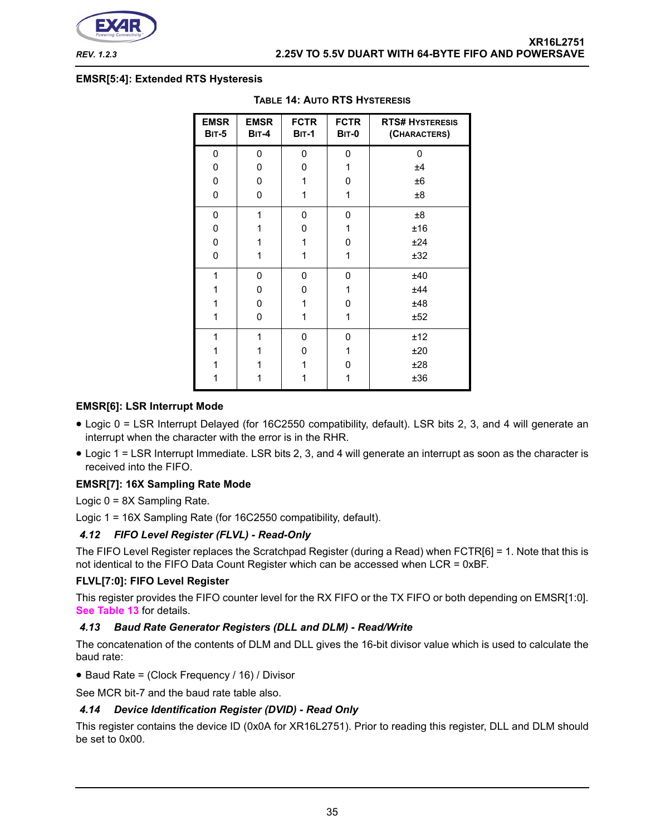![](_page_34_Picture_0.jpeg)

#### <span id="page-34-0"></span>**EMSR[5:4]: Extended RTS Hysteresis**

| <b>EMSR</b><br><b>BIT-5</b> | <b>EMSR</b><br><b>BIT-4</b> | <b>FCTR</b><br><b>BIT-1</b> | <b>FCTR</b><br><b>BIT-0</b> | <b>RTS# HYSTERESIS</b><br>(CHARACTERS) |
|-----------------------------|-----------------------------|-----------------------------|-----------------------------|----------------------------------------|
| 0                           | 0                           | 0                           | 0                           | 0                                      |
| 0                           | 0                           | 0                           | 1                           | ±4                                     |
| 0                           | 0                           | 1                           | 0                           | ±6                                     |
| 0                           | 0                           | 1                           | 1                           | $\pm 8$                                |
| 0                           | 1                           | 0                           | 0                           | $\pm 8$                                |
| 0                           | 1                           | 0                           | 1                           | ±16                                    |
| 0                           | 1                           | 1                           | 0                           | ±24                                    |
| 0                           | 1                           | 1                           | 1                           | ±32                                    |
| 1                           | 0                           | 0                           | 0                           | ±40                                    |
| 1                           | 0                           | 0                           | 1                           | ±44                                    |
| 1                           | 0                           | 1                           | 0                           | ±48                                    |
| 1                           | 0                           | 1                           | 1                           | ±52                                    |
| 1                           | 1                           | 0                           | 0                           | ±12                                    |
| 1                           | 1                           | 0                           | 1                           | ±20                                    |
|                             |                             | 1                           | 0                           | ±28                                    |
| 1                           | 1                           | 1                           | 1                           | ±36                                    |

#### **TABLE 14: AUTO RTS HYSTERESIS**

#### **EMSR[6]: LSR Interrupt Mode**

- Logic 0 = LSR Interrupt Delayed (for 16C2550 compatibility, default). LSR bits 2, 3, and 4 will generate an interrupt when the character with the error is in the RHR.
- Logic 1 = LSR Interrupt Immediate. LSR bits 2, 3, and 4 will generate an interrupt as soon as the character is received into the FIFO.

#### **EMSR[7]: 16X Sampling Rate Mode**

Logic 0 = 8X Sampling Rate.

Logic 1 = 16X Sampling Rate (for 16C2550 compatibility, default).

#### *4.12 FIFO Level Register (FLVL) - Read-Only*

The FIFO Level Register replaces the Scratchpad Register (during a Read) when FCTR[6] = 1. Note that this is not identical to the FIFO Data Count Register which can be accessed when LCR = 0xBF.

#### **FLVL[7:0]: FIFO Level Register**

This register provides the FIFO counter level for the RX FIFO or the TX FIFO or both depending on EMSR[1:0]. **[See Table](#page-33-0) 13** for details.

#### *4.13 Baud Rate Generator Registers (DLL and DLM) - Read/Write*

The concatenation of the contents of DLM and DLL gives the 16-bit divisor value which is used to calculate the baud rate:

• Baud Rate = (Clock Frequency / 16) / Divisor

See MCR bit-7 and the baud rate table also.

#### *4.14 Device Identification Register (DVID) - Read Only*

This register contains the device ID (0x0A for XR16L2751). Prior to reading this register, DLL and DLM should be set to 0x00.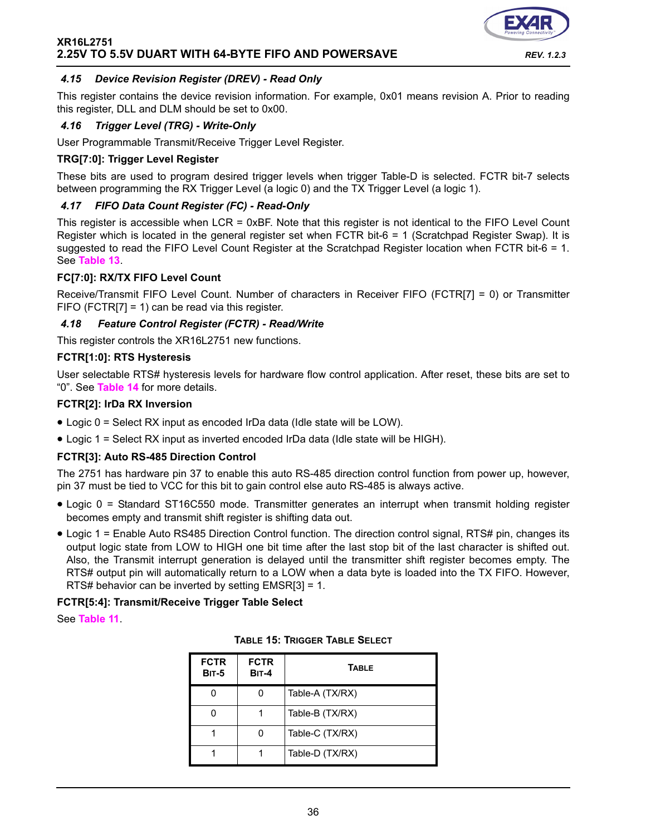![](_page_35_Picture_1.jpeg)

### *4.15 Device Revision Register (DREV) - Read Only*

This register contains the device revision information. For example, 0x01 means revision A. Prior to reading this register, DLL and DLM should be set to 0x00.

#### *4.16 Trigger Level (TRG) - Write-Only*

User Programmable Transmit/Receive Trigger Level Register.

#### **TRG[7:0]: Trigger Level Register**

These bits are used to program desired trigger levels when trigger Table-D is selected. FCTR bit-7 selects between programming the RX Trigger Level (a logic 0) and the TX Trigger Level (a logic 1).

#### *4.17 FIFO Data Count Register (FC) - Read-Only*

This register is accessible when LCR = 0xBF. Note that this register is not identical to the FIFO Level Count Register which is located in the general register set when FCTR bit-6 = 1 (Scratchpad Register Swap). It is suggested to read the FIFO Level Count Register at the Scratchpad Register location when FCTR bit-6 = 1. See **[Table](#page-33-0) 13**.

#### **FC[7:0]: RX/TX FIFO Level Count**

Receive/Transmit FIFO Level Count. Number of characters in Receiver FIFO (FCTR[7] = 0) or Transmitter FIFO (FCTR[7] = 1) can be read via this register.

#### *4.18 Feature Control Register (FCTR) - Read/Write*

This register controls the XR16L2751 new functions.

#### **FCTR[1:0]: RTS Hysteresis**

User selectable RTS# hysteresis levels for hardware flow control application. After reset, these bits are set to "0". See **[Table](#page-34-0) 14** for more details.

#### **FCTR[2]: IrDa RX Inversion**

- Logic 0 = Select RX input as encoded IrDa data (Idle state will be LOW).
- Logic 1 = Select RX input as inverted encoded IrDa data (Idle state will be HIGH).

#### **FCTR[3]: Auto RS-485 Direction Control**

The 2751 has hardware pin 37 to enable this auto RS-485 direction control function from power up, however, pin 37 must be tied to VCC for this bit to gain control else auto RS-485 is always active.

- Logic 0 = Standard ST16C550 mode. Transmitter generates an interrupt when transmit holding register becomes empty and transmit shift register is shifting data out.
- Logic 1 = Enable Auto RS485 Direction Control function. The direction control signal, RTS# pin, changes its output logic state from LOW to HIGH one bit time after the last stop bit of the last character is shifted out. Also, the Transmit interrupt generation is delayed until the transmitter shift register becomes empty. The RTS# output pin will automatically return to a LOW when a data byte is loaded into the TX FIFO. However, RTS# behavior can be inverted by setting EMSR[3] = 1.

#### **FCTR[5:4]: Transmit/Receive Trigger Table Select**

See **[Table](#page-28-0) 11**.

|  | <b>TABLE 15: TRIGGER TABLE SELECT</b> |  |  |
|--|---------------------------------------|--|--|
|--|---------------------------------------|--|--|

| <b>FCTR</b><br><b>BIT-5</b> | <b>FCTR</b><br><b>BIT-4</b> | <b>TABLE</b>    |
|-----------------------------|-----------------------------|-----------------|
|                             |                             | Table-A (TX/RX) |
|                             |                             | Table-B (TX/RX) |
|                             |                             | Table-C (TX/RX) |
|                             |                             | Table-D (TX/RX) |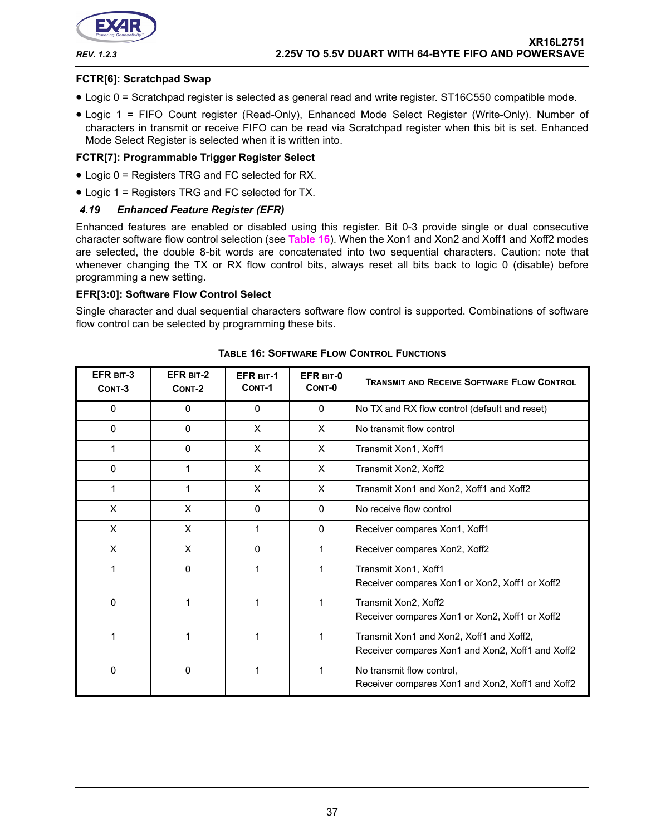![](_page_36_Picture_0.jpeg)

#### **FCTR[6]: Scratchpad Swap**

- Logic 0 = Scratchpad register is selected as general read and write register. ST16C550 compatible mode.
- Logic 1 = FIFO Count register (Read-Only), Enhanced Mode Select Register (Write-Only). Number of characters in transmit or receive FIFO can be read via Scratchpad register when this bit is set. Enhanced Mode Select Register is selected when it is written into.

#### **FCTR[7]: Programmable Trigger Register Select**

- Logic 0 = Registers TRG and FC selected for RX.
- Logic 1 = Registers TRG and FC selected for TX.

#### *4.19 Enhanced Feature Register (EFR)*

Enhanced features are enabled or disabled using this register. Bit 0-3 provide single or dual consecutive character software flow control selection (see **[Table](#page-36-0) 16**). When the Xon1 and Xon2 and Xoff1 and Xoff2 modes are selected, the double 8-bit words are concatenated into two sequential characters. Caution: note that whenever changing the TX or RX flow control bits, always reset all bits back to logic 0 (disable) before programming a new setting.

#### **EFR[3:0]: Software Flow Control Select**

Single character and dual sequential characters software flow control is supported. Combinations of software flow control can be selected by programming these bits.

<span id="page-36-0"></span>

| EFR BIT-3<br>CONT-3 | <b>EFR BIT-2</b><br>CONT-2 | <b>EFR BIT-1</b><br>CONT-1 | EFR BIT-0<br>CONT-0 | <b>TRANSMIT AND RECEIVE SOFTWARE FLOW CONTROL</b>                                            |
|---------------------|----------------------------|----------------------------|---------------------|----------------------------------------------------------------------------------------------|
| 0                   | 0                          | 0                          | $\mathbf{0}$        | No TX and RX flow control (default and reset)                                                |
| 0                   | $\mathbf{0}$               | X                          | X                   | No transmit flow control                                                                     |
|                     | $\Omega$                   | X                          | X                   | Transmit Xon1, Xoff1                                                                         |
| $\Omega$            | 1                          | X                          | X                   | Transmit Xon2, Xoff2                                                                         |
|                     | 1                          | X                          | X                   | Transmit Xon1 and Xon2, Xoff1 and Xoff2                                                      |
| X                   | X                          | 0                          | $\Omega$            | No receive flow control                                                                      |
| X                   | X                          | 1                          | $\Omega$            | Receiver compares Xon1, Xoff1                                                                |
| X                   | X                          | 0                          | 1                   | Receiver compares Xon2, Xoff2                                                                |
| 1                   | $\Omega$                   | 1                          | 1                   | Transmit Xon1, Xoff1<br>Receiver compares Xon1 or Xon2, Xoff1 or Xoff2                       |
| $\mathbf 0$         | 1                          | 1                          | 1                   | Transmit Xon2, Xoff2<br>Receiver compares Xon1 or Xon2, Xoff1 or Xoff2                       |
|                     | 1                          |                            | 1                   | Transmit Xon1 and Xon2, Xoff1 and Xoff2,<br>Receiver compares Xon1 and Xon2, Xoff1 and Xoff2 |
| 0                   | 0                          |                            | 1                   | No transmit flow control,<br>Receiver compares Xon1 and Xon2, Xoff1 and Xoff2                |

#### **TABLE 16: SOFTWARE FLOW CONTROL FUNCTIONS**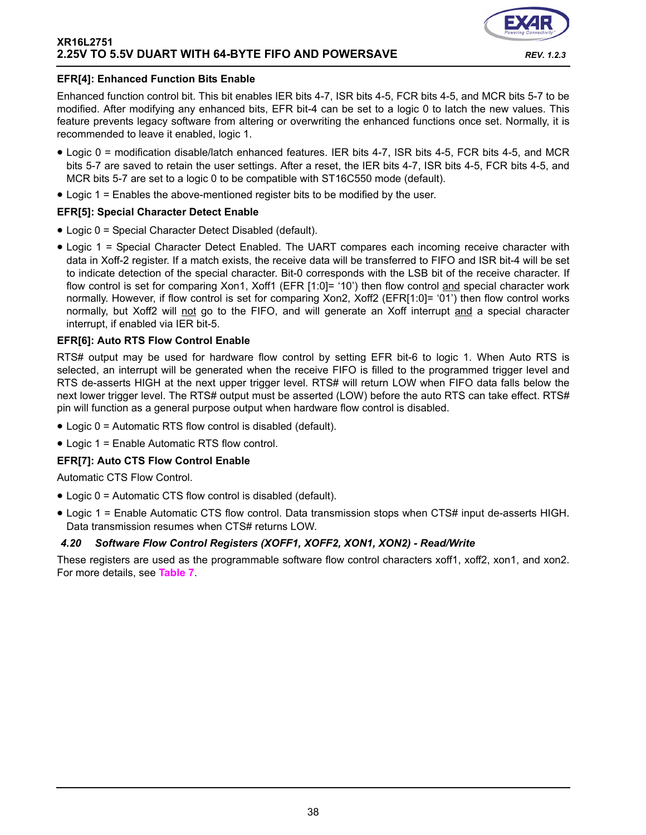![](_page_37_Picture_1.jpeg)

#### **EFR[4]: Enhanced Function Bits Enable**

Enhanced function control bit. This bit enables IER bits 4-7, ISR bits 4-5, FCR bits 4-5, and MCR bits 5-7 to be modified. After modifying any enhanced bits, EFR bit-4 can be set to a logic 0 to latch the new values. This feature prevents legacy software from altering or overwriting the enhanced functions once set. Normally, it is recommended to leave it enabled, logic 1.

- Logic 0 = modification disable/latch enhanced features. IER bits 4-7, ISR bits 4-5, FCR bits 4-5, and MCR bits 5-7 are saved to retain the user settings. After a reset, the IER bits 4-7, ISR bits 4-5, FCR bits 4-5, and MCR bits 5-7 are set to a logic 0 to be compatible with ST16C550 mode (default).
- Logic 1 = Enables the above-mentioned register bits to be modified by the user.

#### **EFR[5]: Special Character Detect Enable**

- Logic 0 = Special Character Detect Disabled (default).
- Logic 1 = Special Character Detect Enabled. The UART compares each incoming receive character with data in Xoff-2 register. If a match exists, the receive data will be transferred to FIFO and ISR bit-4 will be set to indicate detection of the special character. Bit-0 corresponds with the LSB bit of the receive character. If flow control is set for comparing Xon1, Xoff1 (EFR [1:0]= '10') then flow control and special character work normally. However, if flow control is set for comparing Xon2, Xoff2 (EFR[1:0]= '01') then flow control works normally, but Xoff2 will not go to the FIFO, and will generate an Xoff interrupt and a special character interrupt, if enabled via IER bit-5.

#### **EFR[6]: Auto RTS Flow Control Enable**

RTS# output may be used for hardware flow control by setting EFR bit-6 to logic 1. When Auto RTS is selected, an interrupt will be generated when the receive FIFO is filled to the programmed trigger level and RTS de-asserts HIGH at the next upper trigger level. RTS# will return LOW when FIFO data falls below the next lower trigger level. The RTS# output must be asserted (LOW) before the auto RTS can take effect. RTS# pin will function as a general purpose output when hardware flow control is disabled.

- Logic 0 = Automatic RTS flow control is disabled (default).
- Logic 1 = Enable Automatic RTS flow control.

# **EFR[7]: Auto CTS Flow Control Enable**

Automatic CTS Flow Control.

- Logic 0 = Automatic CTS flow control is disabled (default).
- Logic 1 = Enable Automatic CTS flow control. Data transmission stops when CTS# input de-asserts HIGH. Data transmission resumes when CTS# returns LOW.

# *4.20 Software Flow Control Registers (XOFF1, XOFF2, XON1, XON2) - Read/Write*

These registers are used as the programmable software flow control characters xoff1, xoff2, xon1, and xon2. For more details, see **[Table](#page-17-0) 7**.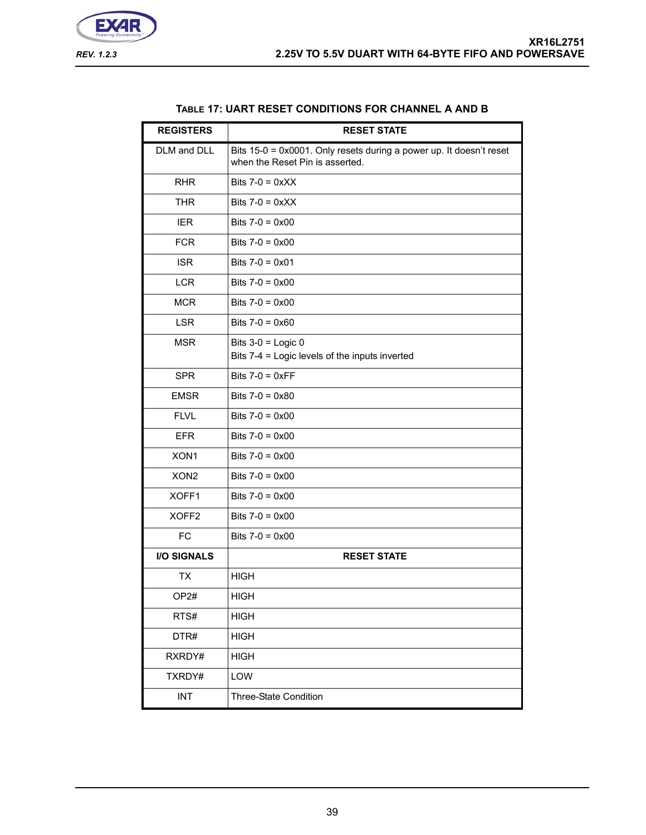![](_page_38_Picture_1.jpeg)

<span id="page-38-0"></span>

| <b>REGISTERS</b>   | <b>RESET STATE</b>                                                                                     |
|--------------------|--------------------------------------------------------------------------------------------------------|
| DLM and DLL        | Bits 15-0 = 0x0001. Only resets during a power up. It doesn't reset<br>when the Reset Pin is asserted. |
| <b>RHR</b>         | Bits $7-0 = 0 \times XX$                                                                               |
| <b>THR</b>         | Bits $7-0 = 0 \times X$                                                                                |
| <b>IER</b>         | Bits $7-0 = 0 \times 00$                                                                               |
| <b>FCR</b>         | Bits $7-0 = 0 \times 00$                                                                               |
| <b>ISR</b>         | Bits $7-0 = 0 \times 01$                                                                               |
| <b>LCR</b>         | Bits $7-0 = 0 \times 00$                                                                               |
| <b>MCR</b>         | Bits $7-0 = 0 \times 00$                                                                               |
| <b>LSR</b>         | Bits $7-0 = 0 \times 60$                                                                               |
| <b>MSR</b>         | Bits $3-0$ = Logic 0<br>Bits 7-4 = Logic levels of the inputs inverted                                 |
| <b>SPR</b>         | Bits $7-0 = 0 \times FF$                                                                               |
| <b>EMSR</b>        | Bits $7-0 = 0 \times 80$                                                                               |
| <b>FLVL</b>        | Bits $7-0 = 0 \times 00$                                                                               |
| <b>EFR</b>         | Bits $7-0 = 0 \times 00$                                                                               |
| XON1               | Bits $7-0 = 0 \times 00$                                                                               |
| XON <sub>2</sub>   | Bits $7-0 = 0 \times 00$                                                                               |
| XOFF1              | Bits $7-0 = 0 \times 00$                                                                               |
| XOFF <sub>2</sub>  | Bits $7-0 = 0 \times 00$                                                                               |
| <b>FC</b>          | Bits $7-0 = 0 \times 00$                                                                               |
| <b>I/O SIGNALS</b> | <b>RESET STATE</b>                                                                                     |
| TX                 | <b>HIGH</b>                                                                                            |
| OP <sub>2</sub> #  | HIGH                                                                                                   |
| RTS#               | <b>HIGH</b>                                                                                            |
| DTR#               | <b>HIGH</b>                                                                                            |
| RXRDY#             | <b>HIGH</b>                                                                                            |
| TXRDY#             | LOW                                                                                                    |
| <b>INT</b>         | Three-State Condition                                                                                  |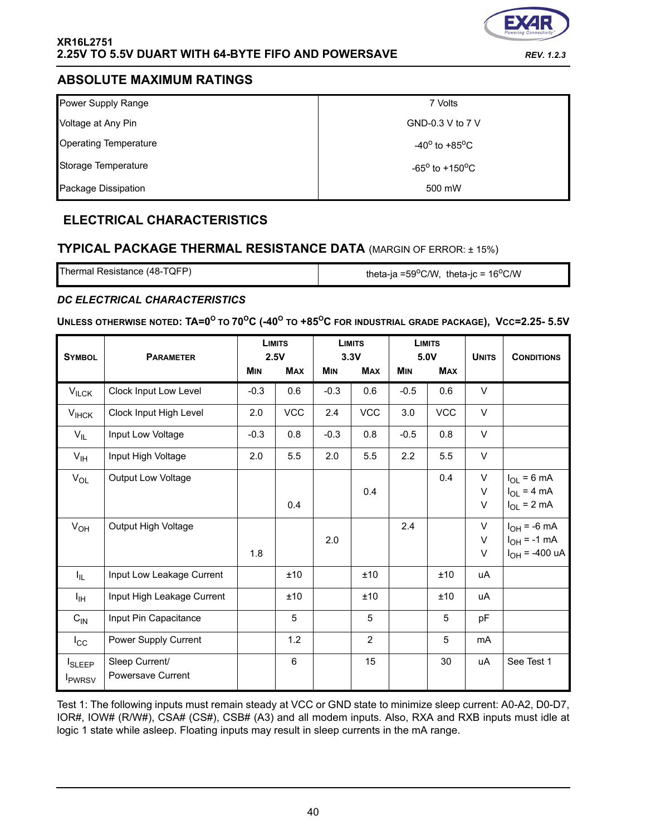![](_page_39_Picture_1.jpeg)

# **ABSOLUTE MAXIMUM RATINGS**

| Power Supply Range           | 7 Volts                           |
|------------------------------|-----------------------------------|
| Voltage at Any Pin           | GND-0.3 V to 7 V                  |
| <b>Operating Temperature</b> | $-40^{\circ}$ to $+85^{\circ}$ C  |
| Storage Temperature          | $-65^{\circ}$ to $+150^{\circ}$ C |
| Package Dissipation          | 500 mW                            |

# **ELECTRICAL CHARACTERISTICS**

# **TYPICAL PACKAGE THERMAL RESISTANCE DATA** (MARGIN OF ERROR: ± 15%)

Thermal Resistance (48-TQFP)  $\qquad \qquad$  theta-ja =59<sup>o</sup>C/W, theta-jc = 16<sup>o</sup>C/W

# <span id="page-39-0"></span>*DC ELECTRICAL CHARACTERISTICS*

# $\blacksquare$  <code>UNLESS</code> <code>OTHERWISE</code> <code>NOTED: <code>TA=0<sup>O</sup> to 70<sup>O</sup>C (-40<sup>O</sup> to +85<sup>O</sup>C for industrial grade package), <code>Vcc=2.25-5.5V</code></code></code>

| <b>SYMBOL</b>                                          | <b>PARAMETER</b>                    |            | <b>LIMITS</b><br>2.5V |            | <b>LIMITS</b><br>3.3V |            | <b>LIMITS</b><br>5.0V | <b>UNITS</b>   | <b>CONDITIONS</b>                                          |
|--------------------------------------------------------|-------------------------------------|------------|-----------------------|------------|-----------------------|------------|-----------------------|----------------|------------------------------------------------------------|
|                                                        |                                     | <b>MIN</b> | <b>MAX</b>            | <b>MIN</b> | <b>MAX</b>            | <b>MIN</b> | <b>MAX</b>            |                |                                                            |
| $V_{ILCK}$                                             | Clock Input Low Level               | $-0.3$     | 0.6                   | $-0.3$     | 0.6                   | $-0.5$     | 0.6                   | V              |                                                            |
| $V_{IHCK}$                                             | Clock Input High Level              | 2.0        | <b>VCC</b>            | 2.4        | <b>VCC</b>            | 3.0        | <b>VCC</b>            | $\vee$         |                                                            |
| $V_{IL}$                                               | Input Low Voltage                   | $-0.3$     | 0.8                   | $-0.3$     | 0.8                   | $-0.5$     | 0.8                   | $\vee$         |                                                            |
| $V_{\text{IH}}$                                        | Input High Voltage                  | 2.0        | 5.5                   | 2.0        | 5.5                   | 2.2        | 5.5                   | V              |                                                            |
| $V_{OL}$                                               | Output Low Voltage                  |            | 0.4                   |            | 0.4                   |            | 0.4                   | V<br>V<br>V    | $I_{OL}$ = 6 mA<br>$I_{OL}$ = 4 mA<br>$I_{OL}$ = 2 mA      |
| $V_{OH}$                                               | Output High Voltage                 | 1.8        |                       | 2.0        |                       | 2.4        |                       | V<br>V<br>V    | $I_{OH}$ = -6 mA<br>$I_{OH} = -1$ mA<br>$I_{OH}$ = -400 uA |
| $I_{IL}$                                               | Input Low Leakage Current           |            | ±10                   |            | ±10                   |            | ±10                   | uA             |                                                            |
| Iн                                                     | Input High Leakage Current          |            | ±10                   |            | ±10                   |            | ±10                   | uA             |                                                            |
| $C_{IN}$                                               | Input Pin Capacitance               |            | 5                     |            | $\overline{5}$        |            | 5                     | pF             |                                                            |
| $I_{\rm CC}$                                           | Power Supply Current                |            | 1.2                   |            | 2                     |            | 5                     | m <sub>A</sub> |                                                            |
| <b>I</b> <sub>SLEEP</sub><br><b>I</b> <sub>PWRSV</sub> | Sleep Current/<br>Powersave Current |            | $6\phantom{1}$        |            | 15                    |            | 30                    | uA             | See Test 1                                                 |

Test 1: The following inputs must remain steady at VCC or GND state to minimize sleep current: A0-A2, D0-D7, IOR#, IOW# (R/W#), CSA# (CS#), CSB# (A3) and all modem inputs. Also, RXA and RXB inputs must idle at logic 1 state while asleep. Floating inputs may result in sleep currents in the mA range.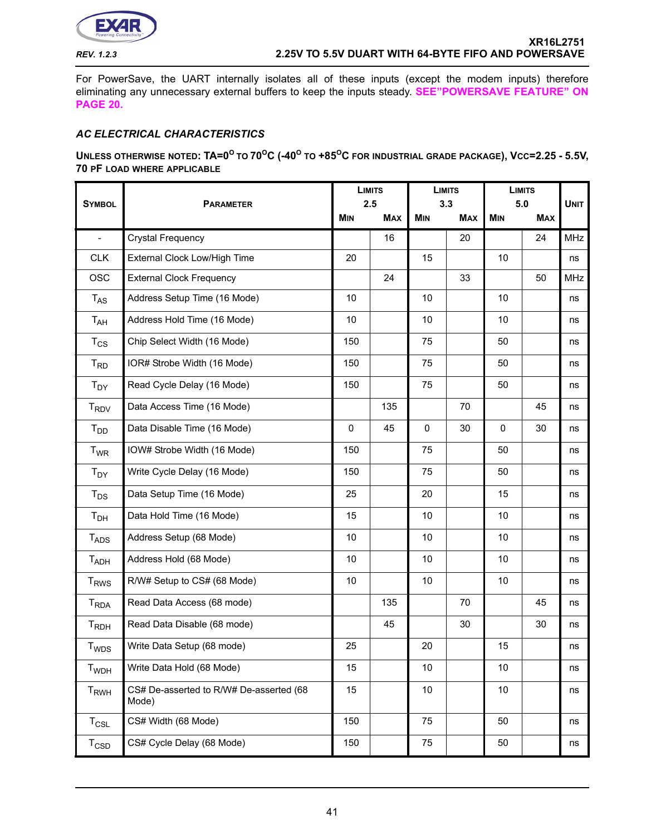![](_page_40_Picture_0.jpeg)

For PowerSave, the UART internally isolates all of these inputs (except the modem inputs) therefore eliminating any unnecessary external buffers to keep the inputs steady. **[SEE"POWERSAVE FEATURE" ON](#page-19-0)  [PAGE](#page-19-0) 20.**

# *AC ELECTRICAL CHARACTERISTICS*

**UNLESS OTHERWISE NOTED: TA=0<sup>O</sup> TO 70OC (-40O TO +85OC FOR INDUSTRIAL GRADE PACKAGE), VCC=2.25 - 5.5V, 70 PF LOAD WHERE APPLICABLE**

|                               | <b>SYMBOL</b><br><b>PARAMETER</b>                |     | <b>LIMITS</b><br>2.5 |            | <b>LIMITS</b><br>3.3 |            | <b>LIMITS</b><br>5.0 |             |
|-------------------------------|--------------------------------------------------|-----|----------------------|------------|----------------------|------------|----------------------|-------------|
|                               |                                                  |     | <b>MAX</b>           | <b>MIN</b> | <b>MAX</b>           | <b>MIN</b> | <b>MAX</b>           | <b>UNIT</b> |
| $\overline{a}$                | <b>Crystal Frequency</b>                         |     | 16                   |            | 20                   |            | 24                   | <b>MHz</b>  |
| <b>CLK</b>                    | External Clock Low/High Time                     | 20  |                      | 15         |                      | 10         |                      | ns          |
| <b>OSC</b>                    | <b>External Clock Frequency</b>                  |     | 24                   |            | 33                   |            | 50                   | <b>MHz</b>  |
| $T_{AS}$                      | Address Setup Time (16 Mode)                     | 10  |                      | 10         |                      | 10         |                      | ns          |
| $T_{AH}$                      | Address Hold Time (16 Mode)                      | 10  |                      | 10         |                      | 10         |                      | ns          |
| $T_{CS}$                      | Chip Select Width (16 Mode)                      | 150 |                      | 75         |                      | 50         |                      | ns          |
| $T_{RD}$                      | IOR# Strobe Width (16 Mode)                      | 150 |                      | 75         |                      | 50         |                      | ns          |
| $T_{DY}$                      | Read Cycle Delay (16 Mode)                       | 150 |                      | 75         |                      | 50         |                      | ns          |
| $T_{\mathsf{RDV}}$            | Data Access Time (16 Mode)                       |     | 135                  | 70         |                      |            | 45                   | ns          |
| $T_{DD}$                      | Data Disable Time (16 Mode)                      | 0   | 45                   | 0<br>30    |                      | 0          | 30                   | ns          |
| <b>T<sub>WR</sub></b>         | IOW# Strobe Width (16 Mode)                      | 150 |                      | 75         |                      | 50         |                      | ns          |
| $T_{DY}$                      | Write Cycle Delay (16 Mode)                      | 150 |                      | 75         |                      | 50         |                      | ns          |
| $T_{DS}$                      | Data Setup Time (16 Mode)                        | 25  |                      | 20         |                      | 15         |                      | ns          |
| $T_{\sf DH}$                  | Data Hold Time (16 Mode)                         | 15  |                      | 10         |                      | 10         |                      | ns          |
| $T_{ADS}$                     | Address Setup (68 Mode)                          | 10  |                      | 10         |                      | 10         |                      | ns          |
| $T_{ADH}$                     | Address Hold (68 Mode)                           | 10  |                      | 10         |                      | 10         |                      | ns          |
| <b>T<sub>RWS</sub></b>        | R/W# Setup to CS# (68 Mode)                      | 10  |                      | 10         |                      | 10         |                      | ns          |
| <b>T</b> <sub>RDA</sub>       | Read Data Access (68 mode)                       |     | 135                  |            | 70                   |            | 45                   | ns          |
| $T_{RDH}$                     | Read Data Disable (68 mode)                      |     | 45                   |            | 30                   |            | 30                   | ns          |
| T <sub>WDS</sub>              | Write Data Setup (68 mode)                       | 25  |                      | 20         |                      | 15         |                      | ns          |
| <b>T</b> <sub>WDH</sub>       | Write Data Hold (68 Mode)                        | 15  |                      | 10         |                      | 10         |                      | ns          |
| T <sub>RWH</sub>              | CS# De-asserted to R/W# De-asserted (68<br>Mode) | 15  |                      | 10         |                      | 10         |                      | ns          |
| $T_{CSL}$                     | CS# Width (68 Mode)                              | 150 |                      | 75         |                      | 50         |                      | ns          |
| $T_{\scriptstyle \text{CSD}}$ | CS# Cycle Delay (68 Mode)                        | 150 |                      | 75         |                      | 50         |                      | ns          |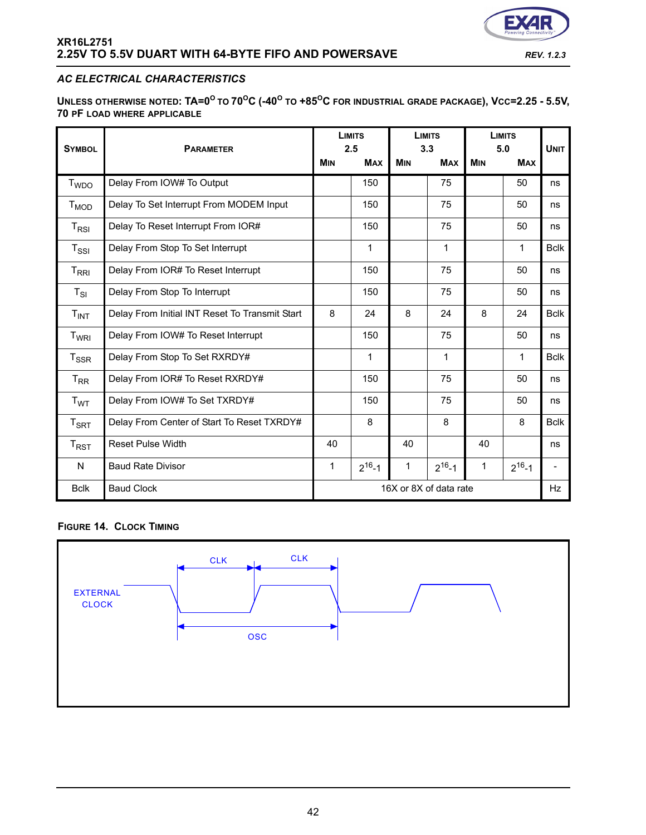![](_page_41_Picture_0.jpeg)

# *AC ELECTRICAL CHARACTERISTICS*

**UNLESS OTHERWISE NOTED: TA=0<sup>O</sup> TO 70OC (-40O TO +85OC FOR INDUSTRIAL GRADE PACKAGE), VCC=2.25 - 5.5V, 70 PF LOAD WHERE APPLICABLE**

| <b>SYMBOL</b>              | <b>PARAMETER</b>                               |                        | <b>LIMITS</b><br>2.5 | <b>LIMITS</b><br>3.3 |              | <b>LIMITS</b><br>5.0 |              | <b>UNIT</b>                  |
|----------------------------|------------------------------------------------|------------------------|----------------------|----------------------|--------------|----------------------|--------------|------------------------------|
|                            |                                                | <b>MIN</b>             | <b>MAX</b>           | <b>MIN</b>           | <b>MAX</b>   | <b>MIN</b>           | <b>MAX</b>   |                              |
| <b>T</b> <sub>WDO</sub>    | Delay From IOW# To Output                      |                        | 150                  |                      | 75           |                      | 50           | ns                           |
| $T_{MOD}$                  | Delay To Set Interrupt From MODEM Input        |                        | 150                  |                      | 75           |                      | 50           | ns                           |
| $T_{RSI}$                  | Delay To Reset Interrupt From IOR#             |                        | 150                  |                      | 75           |                      | 50           | ns                           |
| $T_{\rm SSI}$              | Delay From Stop To Set Interrupt               | 1<br>1                 |                      |                      |              | 1                    | <b>Bclk</b>  |                              |
| $T_{\sf RRI}$              | Delay From IOR# To Reset Interrupt             | 150<br>75<br>50        |                      |                      |              | ns                   |              |                              |
| $T_{SI}$                   | Delay From Stop To Interrupt                   |                        | 150                  |                      | 75           |                      | 50           | ns                           |
| $T_{INT}$                  | Delay From Initial INT Reset To Transmit Start | 8                      | 24                   | 8                    | 24           | 8                    | 24           | <b>Bclk</b>                  |
| T <sub>WRI</sub>           | Delay From IOW# To Reset Interrupt             |                        | 150                  |                      | 75           |                      | 50           | ns                           |
| $T_{SSR}$                  | Delay From Stop To Set RXRDY#                  | 1<br>1<br>1            |                      |                      |              | <b>Bclk</b>          |              |                              |
| $T_{RR}$                   | Delay From IOR# To Reset RXRDY#                |                        | 150                  |                      | 75           |                      | 50           | ns                           |
| T <sub>WT</sub>            | Delay From IOW# To Set TXRDY#                  |                        | 150                  |                      | 75           |                      | 50           | ns                           |
| $T_{\footnotesize\rm SRT}$ | Delay From Center of Start To Reset TXRDY#     | 8                      |                      |                      | 8            |                      | 8            | <b>Bclk</b>                  |
| $T_{\sf RST}$              | <b>Reset Pulse Width</b>                       | 40                     |                      | 40                   |              | 40                   |              | ns                           |
| N                          | <b>Baud Rate Divisor</b>                       | 1                      | $2^{16} - 1$         | 1                    | $2^{16} - 1$ | 1                    | $2^{16} - 1$ | $\qquad \qquad \blacksquare$ |
| <b>Bclk</b>                | <b>Baud Clock</b>                              | 16X or 8X of data rate |                      |                      | <b>Hz</b>    |                      |              |                              |

#### **FIGURE 14. CLOCK TIMING**

![](_page_41_Figure_7.jpeg)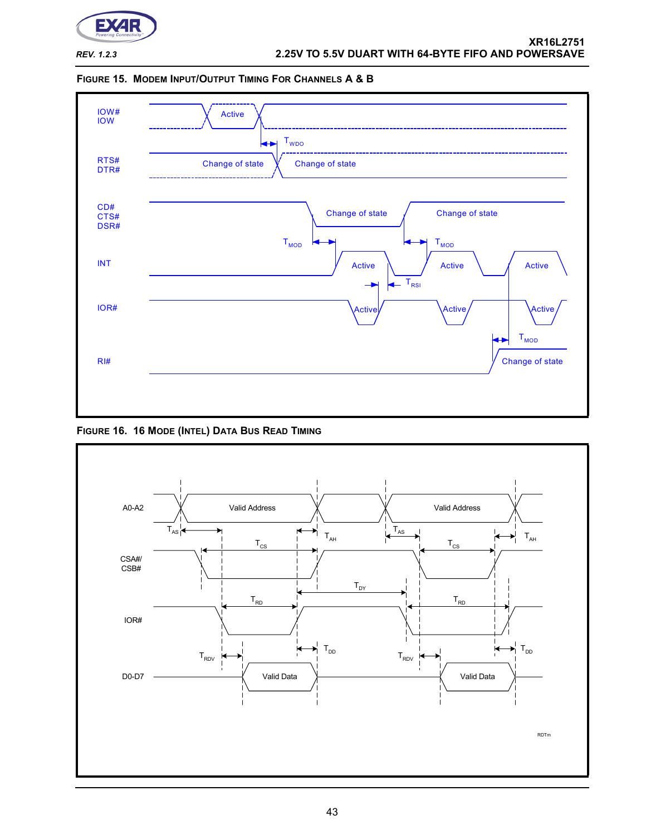![](_page_42_Picture_0.jpeg)

![](_page_42_Figure_3.jpeg)

![](_page_42_Figure_4.jpeg)

<span id="page-42-0"></span>**FIGURE 16. 16 MODE (INTEL) DATA BUS READ TIMING**

![](_page_42_Figure_6.jpeg)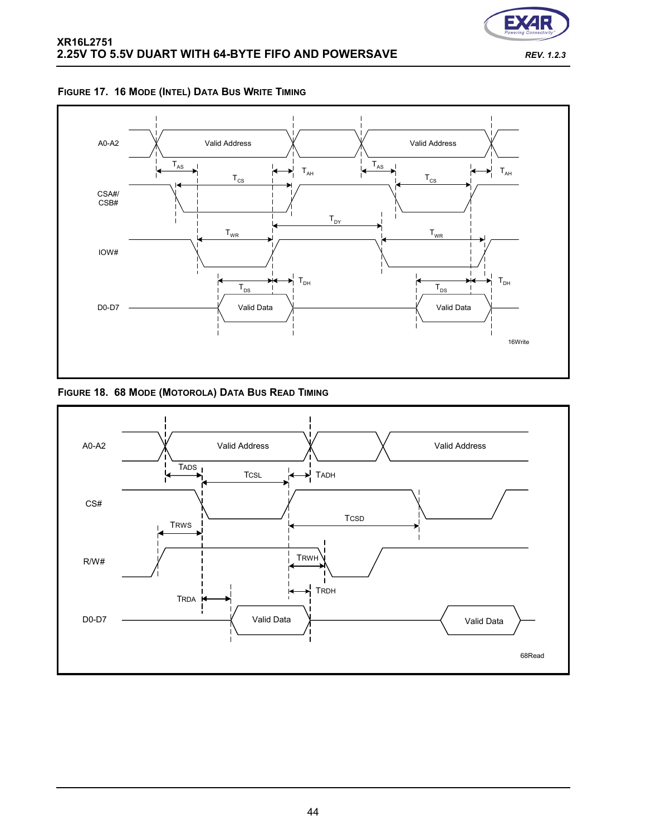![](_page_43_Picture_0.jpeg)

![](_page_43_Figure_2.jpeg)

# **FIGURE 17. 16 MODE (INTEL) DATA BUS WRITE TIMING**

# **FIGURE 18. 68 MODE (MOTOROLA) DATA BUS READ TIMING**

![](_page_43_Figure_5.jpeg)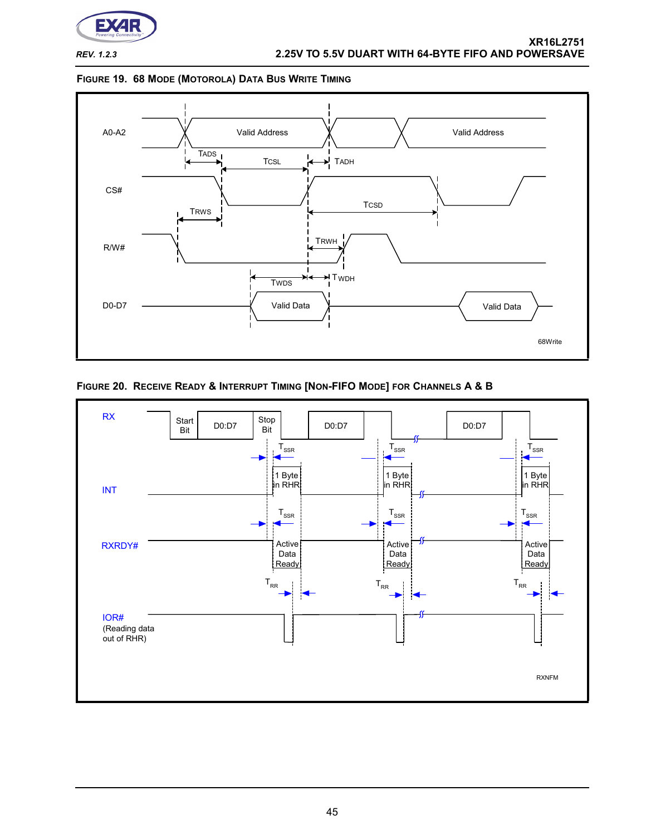![](_page_44_Picture_0.jpeg)

#### <span id="page-44-1"></span>**FIGURE 19. 68 MODE (MOTOROLA) DATA BUS WRITE TIMING**

![](_page_44_Figure_4.jpeg)

# <span id="page-44-0"></span>**FIGURE 20. RECEIVE READY & INTERRUPT TIMING [NON-FIFO MODE] FOR CHANNELS A & B**

![](_page_44_Figure_6.jpeg)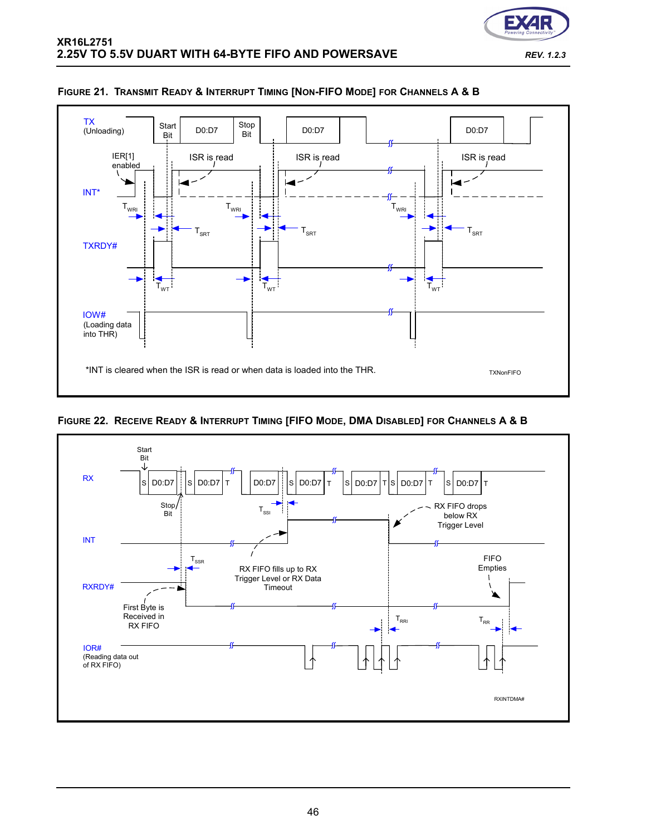![](_page_45_Picture_0.jpeg)

![](_page_45_Figure_2.jpeg)

# **FIGURE 21. TRANSMIT READY & INTERRUPT TIMING [NON-FIFO MODE] FOR CHANNELS A & B**

![](_page_45_Figure_4.jpeg)

![](_page_45_Figure_5.jpeg)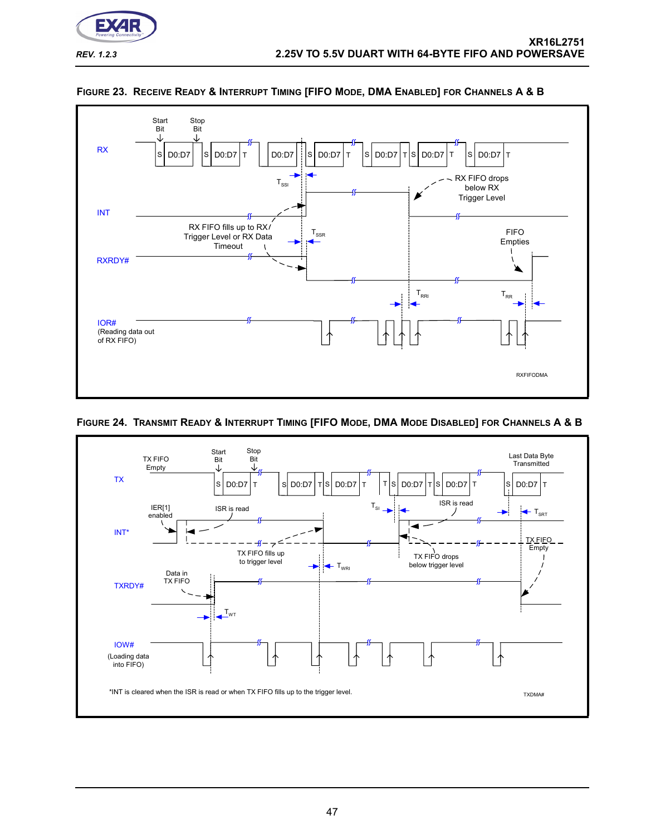![](_page_46_Picture_0.jpeg)

![](_page_46_Figure_2.jpeg)

![](_page_46_Figure_3.jpeg)

# **FIGURE 24. TRANSMIT READY & INTERRUPT TIMING [FIFO MODE, DMA MODE DISABLED] FOR CHANNELS A & B**

![](_page_46_Figure_5.jpeg)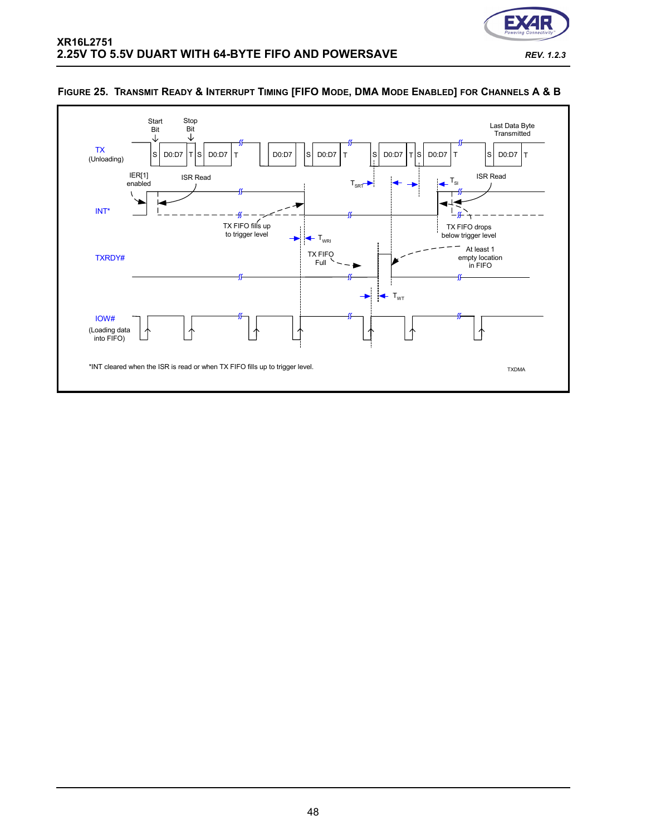![](_page_47_Picture_0.jpeg)

![](_page_47_Figure_2.jpeg)

#### <span id="page-47-0"></span>**FIGURE 25. TRANSMIT READY & INTERRUPT TIMING [FIFO MODE, DMA MODE ENABLED] FOR CHANNELS A & B**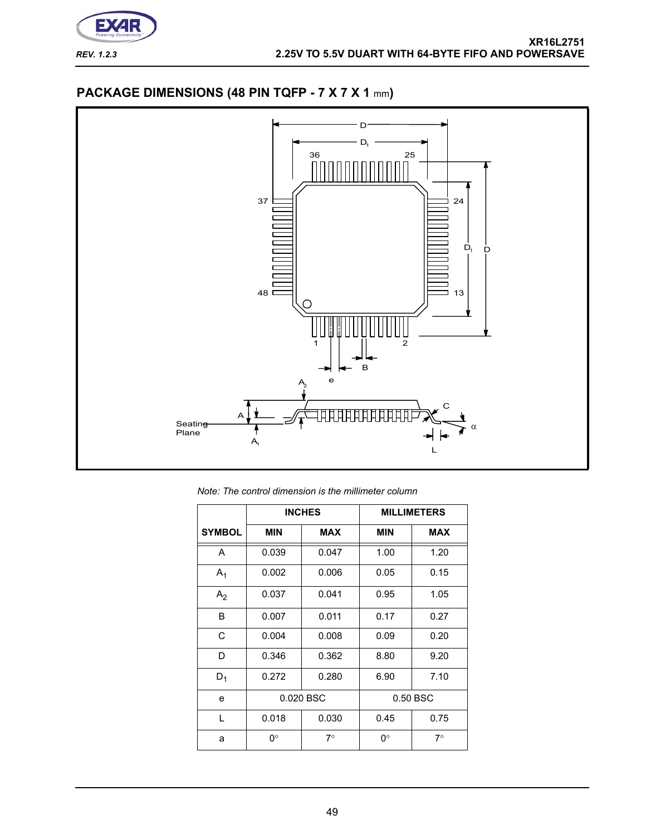![](_page_48_Picture_0.jpeg)

# **PACKAGE DIMENSIONS (48 PIN TQFP - 7 X 7 X 1** mm**)**

![](_page_48_Figure_3.jpeg)

*Note: The control dimension is the millimeter column*

|                |            | <b>INCHES</b> |            | <b>MILLIMETERS</b> |
|----------------|------------|---------------|------------|--------------------|
| <b>SYMBOL</b>  | <b>MIN</b> | <b>MAX</b>    | <b>MIN</b> | <b>MAX</b>         |
| A              | 0.039      | 0.047         | 1.00       | 1.20               |
| $A_1$          | 0.002      | 0.006         | 0.05       | 0.15               |
| A <sub>2</sub> | 0.037      | 0.041         | 0.95       | 1.05               |
| B              | 0.007      | 0.011         | 0.17       | 0.27               |
| C              | 0.004      | 0.008         | 0.09       | 0.20               |
| D              | 0.346      | 0.362         | 8.80       | 9.20               |
| $D_1$          | 0.272      | 0.280         | 6.90       | 7.10               |
| e              |            | 0.020 BSC     |            | 0.50 BSC           |
| L              | 0.018      | 0.030         | 0.45       | 0.75               |
| a              | 0°         | $7^{\circ}$   | ∩°         | $7^{\circ}$        |